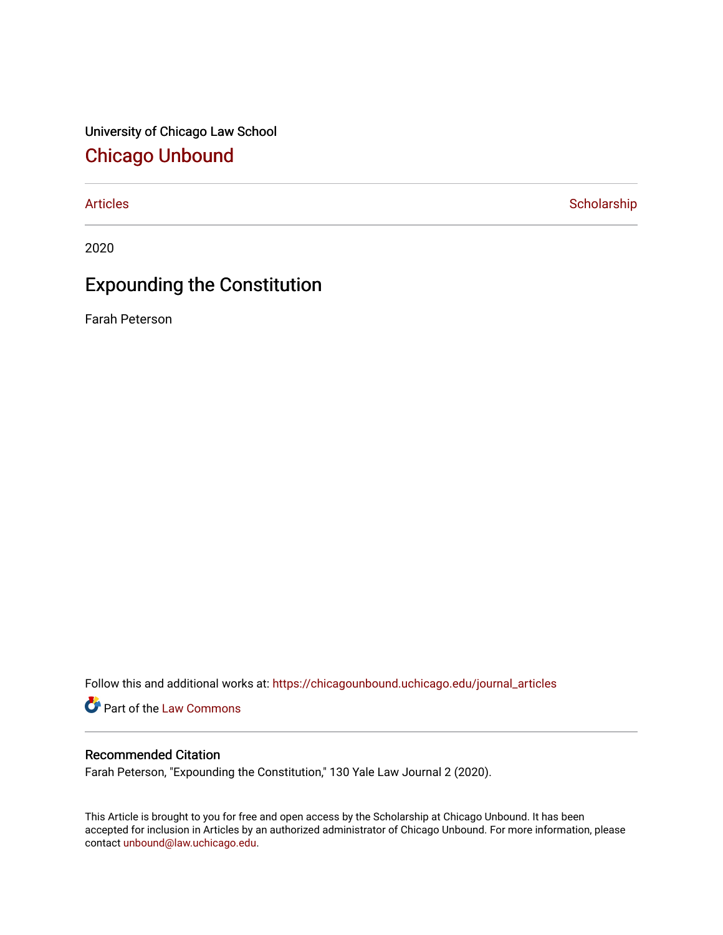University of Chicago Law School [Chicago Unbound](https://chicagounbound.uchicago.edu/)

[Articles](https://chicagounbound.uchicago.edu/journal_articles) **Scholarship** 

2020

## Expounding the Constitution

Farah Peterson

Follow this and additional works at: [https://chicagounbound.uchicago.edu/journal\\_articles](https://chicagounbound.uchicago.edu/journal_articles?utm_source=chicagounbound.uchicago.edu%2Fjournal_articles%2F10092&utm_medium=PDF&utm_campaign=PDFCoverPages) 

Part of the [Law Commons](http://network.bepress.com/hgg/discipline/578?utm_source=chicagounbound.uchicago.edu%2Fjournal_articles%2F10092&utm_medium=PDF&utm_campaign=PDFCoverPages)

## Recommended Citation

Farah Peterson, "Expounding the Constitution," 130 Yale Law Journal 2 (2020).

This Article is brought to you for free and open access by the Scholarship at Chicago Unbound. It has been accepted for inclusion in Articles by an authorized administrator of Chicago Unbound. For more information, please contact [unbound@law.uchicago.edu](mailto:unbound@law.uchicago.edu).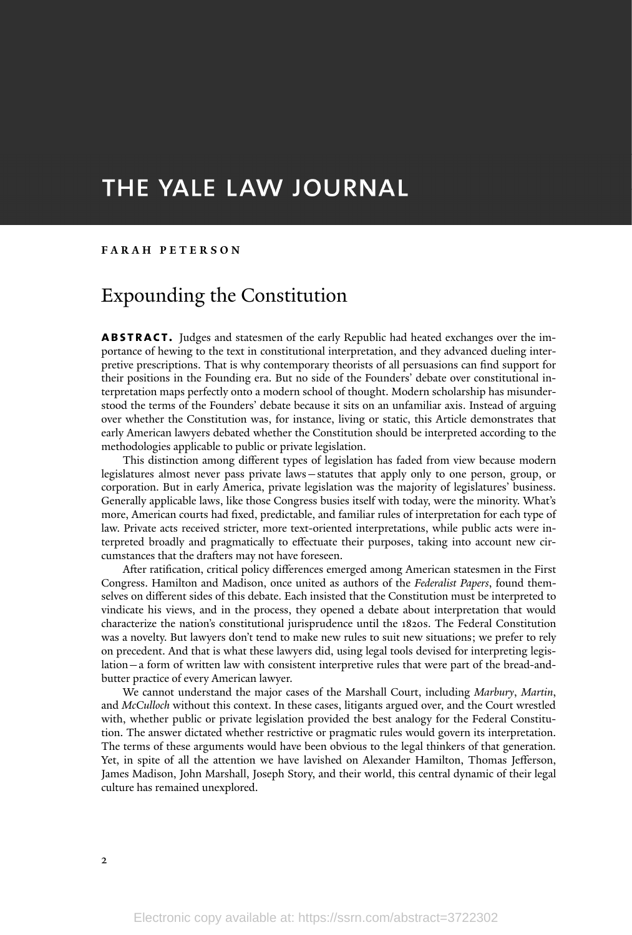# THE YALE LAW JOURNAL

#### **F A R A H P E T E R S O N**

## Expounding the Constitution

**ABSTRACT.** Judges and statesmen of the early Republic had heated exchanges over the importance of hewing to the text in constitutional interpretation, and they advanced dueling interpretive prescriptions. That is why contemporary theorists of all persuasions can find support for their positions in the Founding era. But no side of the Founders' debate over constitutional interpretation maps perfectly onto a modern school of thought. Modern scholarship has misunderstood the terms of the Founders' debate because it sits on an unfamiliar axis. Instead of arguing over whether the Constitution was, for instance, living or static, this Article demonstrates that early American lawyers debated whether the Constitution should be interpreted according to the methodologies applicable to public or private legislation.

This distinction among different types of legislation has faded from view because modern legislatures almost never pass private laws—statutes that apply only to one person, group, or corporation. But in early America, private legislation was the majority of legislatures' business. Generally applicable laws, like those Congress busies itself with today, were the minority. What's more, American courts had fixed, predictable, and familiar rules of interpretation for each type of law. Private acts received stricter, more text-oriented interpretations, while public acts were interpreted broadly and pragmatically to effectuate their purposes, taking into account new circumstances that the drafters may not have foreseen.

After ratification, critical policy differences emerged among American statesmen in the First Congress. Hamilton and Madison, once united as authors of the *Federalist Papers*, found themselves on different sides of this debate. Each insisted that the Constitution must be interpreted to vindicate his views, and in the process, they opened a debate about interpretation that would characterize the nation's constitutional jurisprudence until the 1820s. The Federal Constitution was a novelty. But lawyers don't tend to make new rules to suit new situations; we prefer to rely on precedent. And that is what these lawyers did, using legal tools devised for interpreting legislation—a form of written law with consistent interpretive rules that were part of the bread-andbutter practice of every American lawyer.

We cannot understand the major cases of the Marshall Court, including *Marbury*, *Martin*, and *McCulloch* without this context. In these cases, litigants argued over, and the Court wrestled with, whether public or private legislation provided the best analogy for the Federal Constitution. The answer dictated whether restrictive or pragmatic rules would govern its interpretation. The terms of these arguments would have been obvious to the legal thinkers of that generation. Yet, in spite of all the attention we have lavished on Alexander Hamilton, Thomas Jefferson, James Madison, John Marshall, Joseph Story, and their world, this central dynamic of their legal culture has remained unexplored.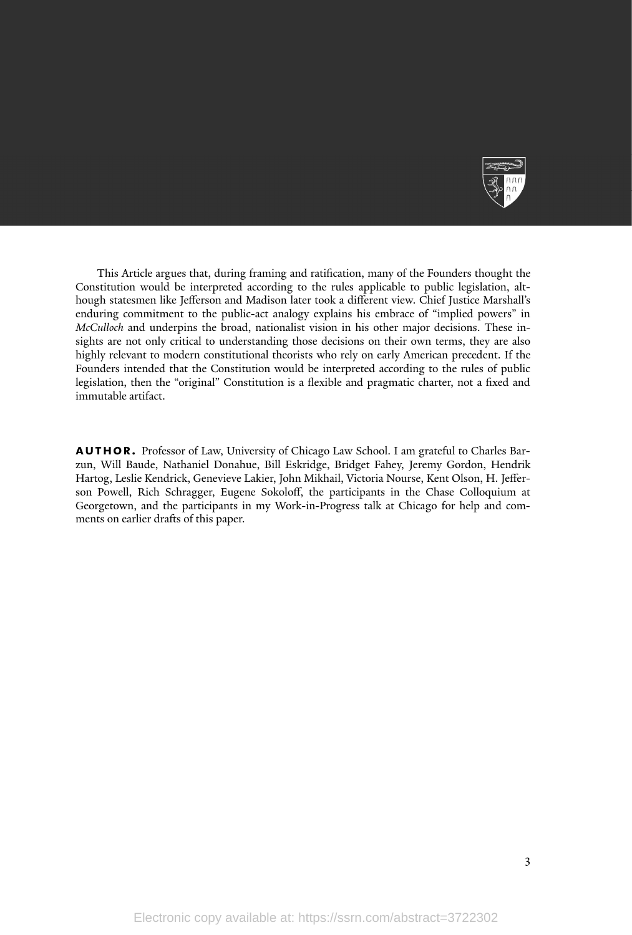

This Article argues that, during framing and ratification, many of the Founders thought the Constitution would be interpreted according to the rules applicable to public legislation, although statesmen like Jefferson and Madison later took a different view. Chief Justice Marshall's enduring commitment to the public-act analogy explains his embrace of "implied powers" in *McCulloch* and underpins the broad, nationalist vision in his other major decisions. These insights are not only critical to understanding those decisions on their own terms, they are also highly relevant to modern constitutional theorists who rely on early American precedent. If the Founders intended that the Constitution would be interpreted according to the rules of public legislation, then the "original" Constitution is a flexible and pragmatic charter, not a fixed and immutable artifact.

**AUTHOR.** Professor of Law, University of Chicago Law School. I am grateful to Charles Barzun, Will Baude, Nathaniel Donahue, Bill Eskridge, Bridget Fahey, Jeremy Gordon, Hendrik Hartog, Leslie Kendrick, Genevieve Lakier, John Mikhail, Victoria Nourse, Kent Olson, H. Jefferson Powell, Rich Schragger, Eugene Sokoloff, the participants in the Chase Colloquium at Georgetown, and the participants in my Work-in-Progress talk at Chicago for help and comments on earlier drafts of this paper.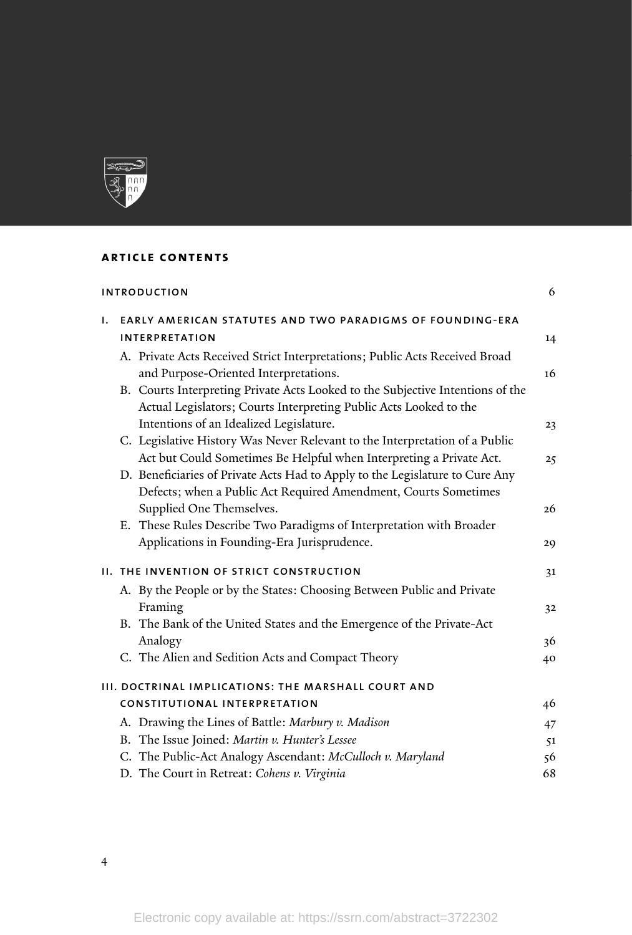

## **article contents**

| 6<br><b>INTRODUCTION</b> |                                                                                                                                                                                              |    |
|--------------------------|----------------------------------------------------------------------------------------------------------------------------------------------------------------------------------------------|----|
| Ι.                       | <b>EARLY AMERICAN STATUTES AND TWO PARADIGMS OF FOUNDING-ERA</b><br><b>INTERPRETATION</b>                                                                                                    | 14 |
|                          | A. Private Acts Received Strict Interpretations; Public Acts Received Broad                                                                                                                  | 16 |
|                          | and Purpose-Oriented Interpretations.<br>B. Courts Interpreting Private Acts Looked to the Subjective Intentions of the<br>Actual Legislators; Courts Interpreting Public Acts Looked to the |    |
|                          | Intentions of an Idealized Legislature.                                                                                                                                                      | 23 |
|                          | C. Legislative History Was Never Relevant to the Interpretation of a Public<br>Act but Could Sometimes Be Helpful when Interpreting a Private Act.                                           | 25 |
|                          | D. Beneficiaries of Private Acts Had to Apply to the Legislature to Cure Any<br>Defects; when a Public Act Required Amendment, Courts Sometimes                                              |    |
|                          | Supplied One Themselves.<br>E. These Rules Describe Two Paradigms of Interpretation with Broader                                                                                             | 26 |
|                          | Applications in Founding-Era Jurisprudence.                                                                                                                                                  | 29 |
|                          | <b>II. THE INVENTION OF STRICT CONSTRUCTION</b>                                                                                                                                              | 31 |
|                          | A. By the People or by the States: Choosing Between Public and Private                                                                                                                       |    |
|                          | Framing                                                                                                                                                                                      | 32 |
|                          | B. The Bank of the United States and the Emergence of the Private-Act                                                                                                                        |    |
|                          | Analogy                                                                                                                                                                                      | 36 |
|                          | C. The Alien and Sedition Acts and Compact Theory                                                                                                                                            | 40 |
|                          | III. DOCTRINAL IMPLICATIONS: THE MARSHALL COURT AND                                                                                                                                          |    |
|                          | <b>CONSTITUTIONAL INTERPRETATION</b>                                                                                                                                                         | 46 |
|                          | A. Drawing the Lines of Battle: Marbury v. Madison                                                                                                                                           | 47 |
|                          | B. The Issue Joined: Martin v. Hunter's Lessee                                                                                                                                               | 51 |
|                          | C. The Public-Act Analogy Ascendant: McCulloch v. Maryland                                                                                                                                   | 56 |
|                          | D. The Court in Retreat: Cohens v. Virginia                                                                                                                                                  | 68 |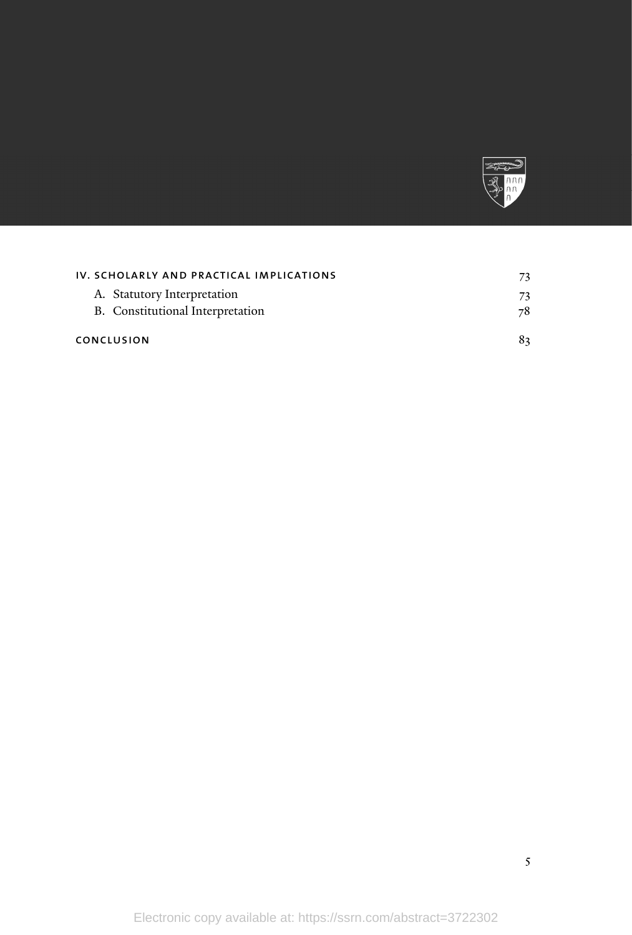

| IV. SCHOLARLY AND PRACTICAL IMPLICATIONS |    |
|------------------------------------------|----|
| A. Statutory Interpretation              | 73 |
| B. Constitutional Interpretation         | 78 |
| CONCLUSION                               |    |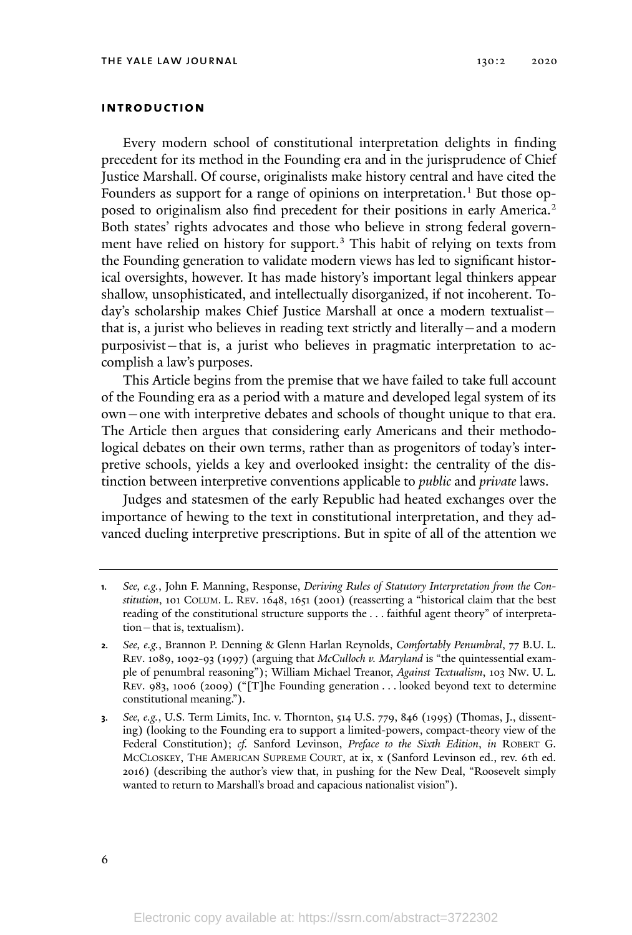#### **introduction**

Every modern school of constitutional interpretation delights in finding precedent for its method in the Founding era and in the jurisprudence of Chief Justice Marshall. Of course, originalists make history central and have cited the Founders as support for a range of opinions on interpretation.<sup>1</sup> But those opposed to originalism also find precedent for their positions in early America.<sup>2</sup> Both states' rights advocates and those who believe in strong federal government have relied on history for support.<sup>3</sup> This habit of relying on texts from the Founding generation to validate modern views has led to significant historical oversights, however. It has made history's important legal thinkers appear shallow, unsophisticated, and intellectually disorganized, if not incoherent. Today's scholarship makes Chief Justice Marshall at once a modern textualist that is, a jurist who believes in reading text strictly and literally—and a modern purposivist—that is, a jurist who believes in pragmatic interpretation to accomplish a law's purposes.

This Article begins from the premise that we have failed to take full account of the Founding era as a period with a mature and developed legal system of its own—one with interpretive debates and schools of thought unique to that era. The Article then argues that considering early Americans and their methodological debates on their own terms, rather than as progenitors of today's interpretive schools, yields a key and overlooked insight: the centrality of the distinction between interpretive conventions applicable to *public* and *private* laws.

Judges and statesmen of the early Republic had heated exchanges over the importance of hewing to the text in constitutional interpretation, and they advanced dueling interpretive prescriptions. But in spite of all of the attention we

**<sup>1</sup>***. See, e.g.*, John F. Manning, Response, *Deriving Rules of Statutory Interpretation from the Constitution*, 101 COLUM. L. REV. 1648, 1651 (2001) (reasserting a "historical claim that the best reading of the constitutional structure supports the . . . faithful agent theory" of interpretation—that is, textualism).

**<sup>2</sup>***. See, e.g.*, Brannon P. Denning & Glenn Harlan Reynolds, *Comfortably Penumbral*, 77 B.U. L. REV. 1089, 1092-93 (1997) (arguing that *McCulloch v. Maryland* is "the quintessential example of penumbral reasoning"); William Michael Treanor, *Against Textualism*, 103 NW. U. L. REV. 983, 1006 (2009) ("[T]he Founding generation . . . looked beyond text to determine constitutional meaning.").

**<sup>3</sup>***. See, e.g.*, U.S. Term Limits, Inc. v. Thornton, 514 U.S. 779, 846 (1995) (Thomas, J., dissenting) (looking to the Founding era to support a limited-powers, compact-theory view of the Federal Constitution); *cf.* Sanford Levinson, *Preface to the Sixth Edition*, *in* ROBERT G. MCCLOSKEY, THE AMERICAN SUPREME COURT, at ix, x (Sanford Levinson ed., rev. 6th ed. 2016) (describing the author's view that, in pushing for the New Deal, "Roosevelt simply wanted to return to Marshall's broad and capacious nationalist vision").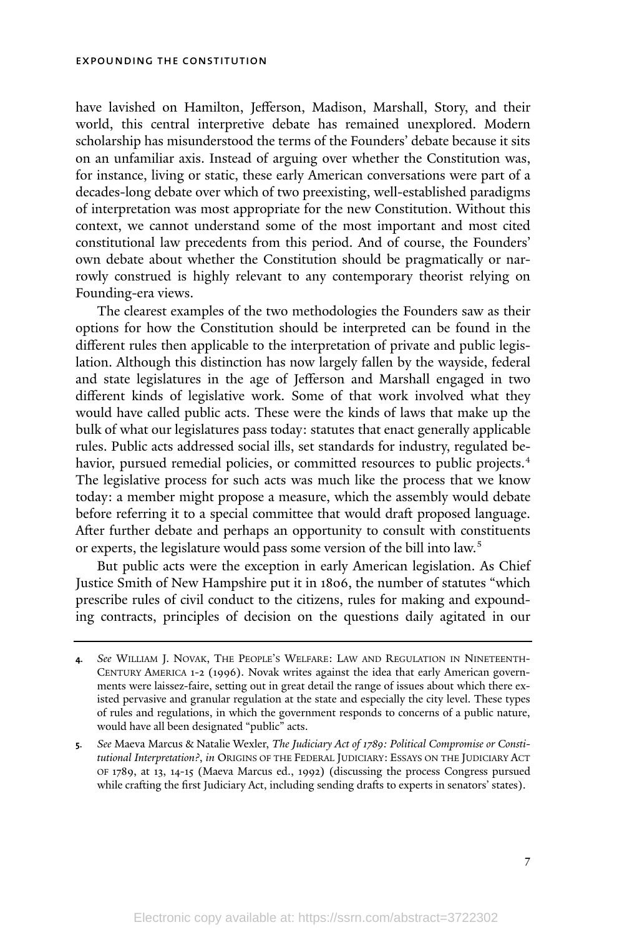have lavished on Hamilton, Jefferson, Madison, Marshall, Story, and their world, this central interpretive debate has remained unexplored. Modern scholarship has misunderstood the terms of the Founders' debate because it sits on an unfamiliar axis. Instead of arguing over whether the Constitution was, for instance, living or static, these early American conversations were part of a decades-long debate over which of two preexisting, well-established paradigms of interpretation was most appropriate for the new Constitution. Without this context, we cannot understand some of the most important and most cited constitutional law precedents from this period. And of course, the Founders' own debate about whether the Constitution should be pragmatically or narrowly construed is highly relevant to any contemporary theorist relying on Founding-era views.

The clearest examples of the two methodologies the Founders saw as their options for how the Constitution should be interpreted can be found in the different rules then applicable to the interpretation of private and public legislation. Although this distinction has now largely fallen by the wayside, federal and state legislatures in the age of Jefferson and Marshall engaged in two different kinds of legislative work. Some of that work involved what they would have called public acts. These were the kinds of laws that make up the bulk of what our legislatures pass today: statutes that enact generally applicable rules. Public acts addressed social ills, set standards for industry, regulated behavior, pursued remedial policies, or committed resources to public projects. 4 The legislative process for such acts was much like the process that we know today: a member might propose a measure, which the assembly would debate before referring it to a special committee that would draft proposed language. After further debate and perhaps an opportunity to consult with constituents or experts, the legislature would pass some version of the bill into law.<sup>5</sup>

But public acts were the exception in early American legislation. As Chief Justice Smith of New Hampshire put it in 1806, the number of statutes "which prescribe rules of civil conduct to the citizens, rules for making and expounding contracts, principles of decision on the questions daily agitated in our

**<sup>4</sup>***. See* WILLIAM J. NOVAK, THE PEOPLE'S WELFARE: LAW AND REGULATION IN NINETEENTH-CENTURY AMERICA 1-2 (1996). Novak writes against the idea that early American governments were laissez-faire, setting out in great detail the range of issues about which there existed pervasive and granular regulation at the state and especially the city level. These types of rules and regulations, in which the government responds to concerns of a public nature, would have all been designated "public" acts.

**<sup>5</sup>***. See* Maeva Marcus & Natalie Wexler, *The Judiciary Act of 1789: Political Compromise or Constitutional Interpretation?*, *in* ORIGINS OF THE FEDERAL JUDICIARY: ESSAYS ON THE JUDICIARY ACT OF 1789, at 13, 14-15 (Maeva Marcus ed., 1992) (discussing the process Congress pursued while crafting the first Judiciary Act, including sending drafts to experts in senators' states).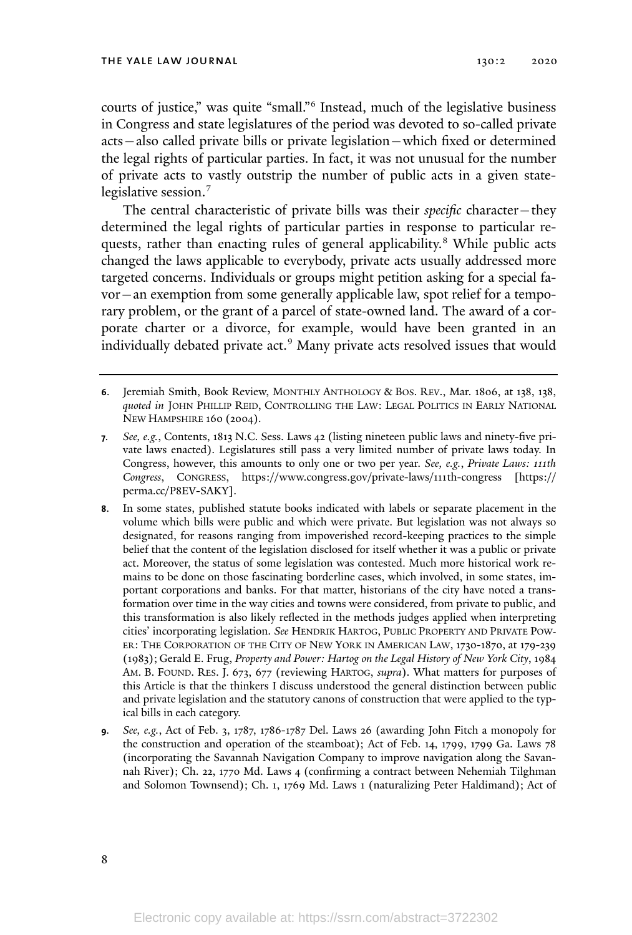courts of justice," was quite "small." 6 Instead, much of the legislative business in Congress and state legislatures of the period was devoted to so-called private acts—also called private bills or private legislation—which fixed or determined the legal rights of particular parties. In fact, it was not unusual for the number of private acts to vastly outstrip the number of public acts in a given statelegislative session.<sup>7</sup>

The central characteristic of private bills was their *specific* character—they determined the legal rights of particular parties in response to particular requests, rather than enacting rules of general applicability. <sup>8</sup> While public acts changed the laws applicable to everybody, private acts usually addressed more targeted concerns. Individuals or groups might petition asking for a special favor—an exemption from some generally applicable law, spot relief for a temporary problem, or the grant of a parcel of state-owned land. The award of a corporate charter or a divorce, for example, would have been granted in an individually debated private act.<sup>9</sup> Many private acts resolved issues that would

**<sup>6</sup>**. Jeremiah Smith, Book Review, MONTHLY ANTHOLOGY & BOS. REV., Mar. 1806, at 138, 138, *quoted in* JOHN PHILLIP REID, CONTROLLING THE LAW: LEGAL POLITICS IN EARLY NATIONAL NEW HAMPSHIRE 160 (2004).

**<sup>7</sup>***. See, e.g.*, Contents, 1813 N.C. Sess. Laws 42 (listing nineteen public laws and ninety-five private laws enacted). Legislatures still pass a very limited number of private laws today. In Congress, however, this amounts to only one or two per year. *See, e.g.*, *Private Laws: 111th Congress*, CONGRESS, https://www.congress.gov/private-laws/111th-congress [https:// perma.cc/P8EV-SAKY].

**<sup>8</sup>**. In some states, published statute books indicated with labels or separate placement in the volume which bills were public and which were private. But legislation was not always so designated, for reasons ranging from impoverished record-keeping practices to the simple belief that the content of the legislation disclosed for itself whether it was a public or private act. Moreover, the status of some legislation was contested. Much more historical work remains to be done on those fascinating borderline cases, which involved, in some states, important corporations and banks. For that matter, historians of the city have noted a transformation over time in the way cities and towns were considered, from private to public, and this transformation is also likely reflected in the methods judges applied when interpreting cities' incorporating legislation. *See* HENDRIK HARTOG, PUBLIC PROPERTY AND PRIVATE POW-ER: THE CORPORATION OF THE CITY OF NEW YORK IN AMERICAN LAW, 1730-1870, at 179-239 (1983); Gerald E. Frug, *Property and Power: Hartog on the Legal History of New York City*, 1984 AM. B. FOUND. RES. J. 673, 677 (reviewing HARTOG, *supra*). What matters for purposes of this Article is that the thinkers I discuss understood the general distinction between public and private legislation and the statutory canons of construction that were applied to the typical bills in each category.

**<sup>9</sup>***. See, e.g.*, Act of Feb. 3, 1787, 1786-1787 Del. Laws 26 (awarding John Fitch a monopoly for the construction and operation of the steamboat); Act of Feb. 14, 1799, 1799 Ga. Laws 78 (incorporating the Savannah Navigation Company to improve navigation along the Savannah River); Ch. 22, 1770 Md. Laws 4 (confirming a contract between Nehemiah Tilghman and Solomon Townsend); Ch. 1, 1769 Md. Laws 1 (naturalizing Peter Haldimand); Act of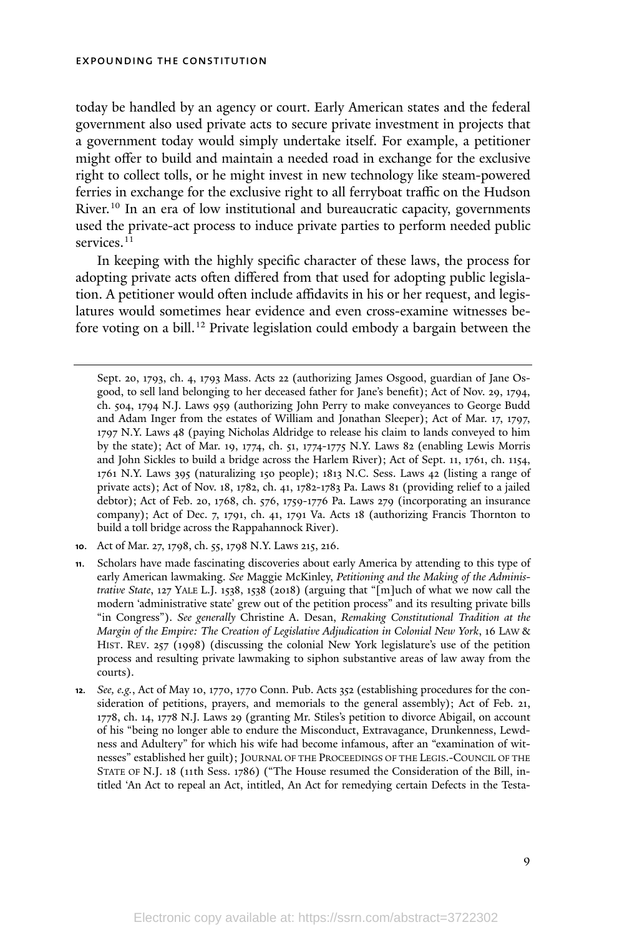today be handled by an agency or court. Early American states and the federal government also used private acts to secure private investment in projects that a government today would simply undertake itself. For example, a petitioner might offer to build and maintain a needed road in exchange for the exclusive right to collect tolls, or he might invest in new technology like steam-powered ferries in exchange for the exclusive right to all ferryboat traffic on the Hudson River.<sup>10</sup> In an era of low institutional and bureaucratic capacity, governments used the private-act process to induce private parties to perform needed public services.<sup>11</sup>

In keeping with the highly specific character of these laws, the process for adopting private acts often differed from that used for adopting public legislation. A petitioner would often include affidavits in his or her request, and legislatures would sometimes hear evidence and even cross-examine witnesses before voting on a bill. <sup>12</sup> Private legislation could embody a bargain between the

Sept. 20, 1793, ch. 4, 1793 Mass. Acts 22 (authorizing James Osgood, guardian of Jane Osgood, to sell land belonging to her deceased father for Jane's benefit); Act of Nov. 29, 1794, ch. 504, 1794 N.J. Laws 959 (authorizing John Perry to make conveyances to George Budd and Adam Inger from the estates of William and Jonathan Sleeper); Act of Mar. 17, 1797, 1797 N.Y. Laws 48 (paying Nicholas Aldridge to release his claim to lands conveyed to him by the state); Act of Mar. 19, 1774, ch. 51, 1774-1775 N.Y. Laws 82 (enabling Lewis Morris and John Sickles to build a bridge across the Harlem River); Act of Sept. 11, 1761, ch. 1154, 1761 N.Y. Laws 395 (naturalizing 150 people); 1813 N.C. Sess. Laws 42 (listing a range of private acts); Act of Nov. 18, 1782, ch. 41, 1782-1783 Pa. Laws 81 (providing relief to a jailed debtor); Act of Feb. 20, 1768, ch. 576, 1759-1776 Pa. Laws 279 (incorporating an insurance company); Act of Dec. 7, 1791, ch. 41, 1791 Va. Acts 18 (authorizing Francis Thornton to build a toll bridge across the Rappahannock River).

**<sup>10</sup>**. Act of Mar. 27, 1798, ch. 55, 1798 N.Y. Laws 215, 216.

**<sup>11</sup>**. Scholars have made fascinating discoveries about early America by attending to this type of early American lawmaking. *See* Maggie McKinley, *Petitioning and the Making of the Administrative State*, 127 YALE L.J. 1538, 1538 (2018) (arguing that "[m]uch of what we now call the modern 'administrative state' grew out of the petition process" and its resulting private bills "in Congress"). *See generally* Christine A. Desan, *Remaking Constitutional Tradition at the Margin of the Empire: The Creation of Legislative Adjudication in Colonial New York*, 16 LAW & HIST. REV. 257 (1998) (discussing the colonial New York legislature's use of the petition process and resulting private lawmaking to siphon substantive areas of law away from the courts).

**<sup>12</sup>***. See, e.g.*, Act of May 10, 1770, 1770 Conn. Pub. Acts 352 (establishing procedures for the consideration of petitions, prayers, and memorials to the general assembly); Act of Feb. 21, 1778, ch. 14, 1778 N.J. Laws 29 (granting Mr. Stiles's petition to divorce Abigail, on account of his "being no longer able to endure the Misconduct, Extravagance, Drunkenness, Lewdness and Adultery" for which his wife had become infamous, after an "examination of witnesses" established her guilt); JOURNAL OF THE PROCEEDINGS OF THE LEGIS.-COUNCIL OF THE STATE OF N.J. 18 (11th Sess. 1786) ("The House resumed the Consideration of the Bill, intitled 'An Act to repeal an Act, intitled, An Act for remedying certain Defects in the Testa-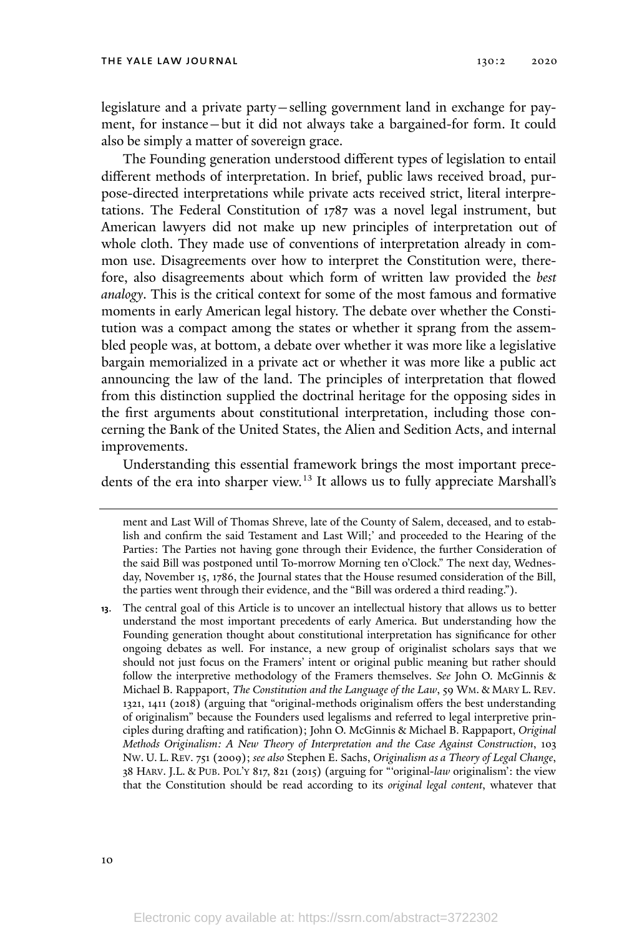legislature and a private party—selling government land in exchange for payment, for instance—but it did not always take a bargained-for form. It could also be simply a matter of sovereign grace.

The Founding generation understood different types of legislation to entail different methods of interpretation. In brief, public laws received broad, purpose-directed interpretations while private acts received strict, literal interpretations. The Federal Constitution of 1787 was a novel legal instrument, but American lawyers did not make up new principles of interpretation out of whole cloth. They made use of conventions of interpretation already in common use. Disagreements over how to interpret the Constitution were, therefore, also disagreements about which form of written law provided the *best analogy*. This is the critical context for some of the most famous and formative moments in early American legal history. The debate over whether the Constitution was a compact among the states or whether it sprang from the assembled people was, at bottom, a debate over whether it was more like a legislative bargain memorialized in a private act or whether it was more like a public act announcing the law of the land. The principles of interpretation that flowed from this distinction supplied the doctrinal heritage for the opposing sides in the first arguments about constitutional interpretation, including those concerning the Bank of the United States, the Alien and Sedition Acts, and internal improvements.

Understanding this essential framework brings the most important precedents of the era into sharper view. <sup>13</sup> It allows us to fully appreciate Marshall's

ment and Last Will of Thomas Shreve, late of the County of Salem, deceased, and to establish and confirm the said Testament and Last Will;' and proceeded to the Hearing of the Parties: The Parties not having gone through their Evidence, the further Consideration of the said Bill was postponed until To-morrow Morning ten o'Clock." The next day, Wednesday, November 15, 1786, the Journal states that the House resumed consideration of the Bill, the parties went through their evidence, and the "Bill was ordered a third reading.").

**13**. The central goal of this Article is to uncover an intellectual history that allows us to better understand the most important precedents of early America. But understanding how the Founding generation thought about constitutional interpretation has significance for other ongoing debates as well. For instance, a new group of originalist scholars says that we should not just focus on the Framers' intent or original public meaning but rather should follow the interpretive methodology of the Framers themselves. *See* John O. McGinnis & Michael B. Rappaport, *The Constitution and the Language of the Law*, 59 WM. & MARY L. REV. 1321, 1411 (2018) (arguing that "original-methods originalism offers the best understanding of originalism" because the Founders used legalisms and referred to legal interpretive principles during drafting and ratification); John O. McGinnis & Michael B. Rappaport, *Original Methods Originalism: A New Theory of Interpretation and the Case Against Construction*, 103 NW. U. L. REV. 751 (2009); *see also* Stephen E. Sachs, *Originalism as a Theory of Legal Change*, 38 HARV. J.L. & PUB. POL'<sup>Y</sup> 817, 821 (2015) (arguing for "'original-*law* originalism': the view that the Constitution should be read according to its *original legal content*, whatever that

10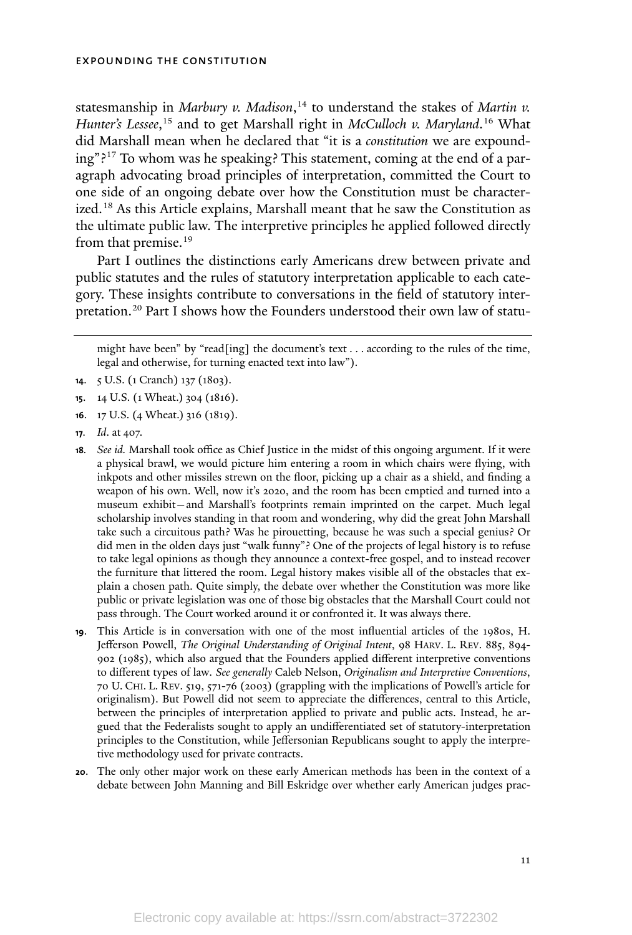statesmanship in *Marbury v. Madison*, <sup>14</sup> to understand the stakes of *Martin v. Hunter's Lessee*, <sup>15</sup> and to get Marshall right in *McCulloch v. Maryland*. <sup>16</sup> What did Marshall mean when he declared that "it is a *constitution* we are expounding"? <sup>17</sup> To whom was he speaking? This statement, coming at the end of a paragraph advocating broad principles of interpretation, committed the Court to one side of an ongoing debate over how the Constitution must be characterized. <sup>18</sup> As this Article explains, Marshall meant that he saw the Constitution as the ultimate public law. The interpretive principles he applied followed directly from that premise.<sup>19</sup>

Part I outlines the distinctions early Americans drew between private and public statutes and the rules of statutory interpretation applicable to each category. These insights contribute to conversations in the field of statutory interpretation.<sup>20</sup> Part I shows how the Founders understood their own law of statu-

might have been" by "read[ing] the document's text . . . according to the rules of the time, legal and otherwise, for turning enacted text into law").

- **<sup>16</sup>**. 17 U.S. (4 Wheat.) 316 (1819).
- **<sup>17</sup>***. Id*. at 407.
- **<sup>18</sup>***. See id.* Marshall took office as Chief Justice in the midst of this ongoing argument. If it were a physical brawl, we would picture him entering a room in which chairs were flying, with inkpots and other missiles strewn on the floor, picking up a chair as a shield, and finding a weapon of his own. Well, now it's 2020, and the room has been emptied and turned into a museum exhibit—and Marshall's footprints remain imprinted on the carpet. Much legal scholarship involves standing in that room and wondering, why did the great John Marshall take such a circuitous path? Was he pirouetting, because he was such a special genius? Or did men in the olden days just "walk funny"? One of the projects of legal history is to refuse to take legal opinions as though they announce a context-free gospel, and to instead recover the furniture that littered the room. Legal history makes visible all of the obstacles that explain a chosen path. Quite simply, the debate over whether the Constitution was more like public or private legislation was one of those big obstacles that the Marshall Court could not pass through. The Court worked around it or confronted it. It was always there.
- **<sup>19</sup>**. This Article is in conversation with one of the most influential articles of the 1980s, H. Jefferson Powell, *The Original Understanding of Original Intent*, 98 HARV. L. REV. 885, 894- 902 (1985), which also argued that the Founders applied different interpretive conventions to different types of law*. See generally* Caleb Nelson, *Originalism and Interpretive Conventions*, 70 U. CHI. L. REV. 519, 571-76 (2003) (grappling with the implications of Powell's article for originalism). But Powell did not seem to appreciate the differences, central to this Article, between the principles of interpretation applied to private and public acts. Instead, he argued that the Federalists sought to apply an undifferentiated set of statutory-interpretation principles to the Constitution, while Jeffersonian Republicans sought to apply the interpretive methodology used for private contracts.
- **20**. The only other major work on these early American methods has been in the context of a debate between John Manning and Bill Eskridge over whether early American judges prac-

**<sup>14</sup>**. 5 U.S. (1 Cranch) 137 (1803).

**<sup>15</sup>**. 14 U.S. (1 Wheat.) 304 (1816).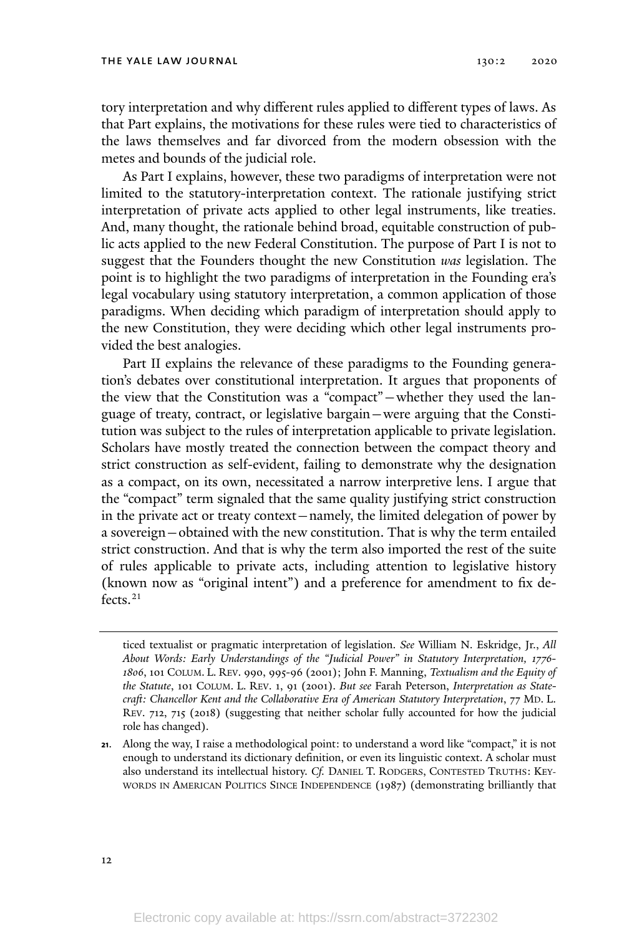tory interpretation and why different rules applied to different types of laws. As that Part explains, the motivations for these rules were tied to characteristics of the laws themselves and far divorced from the modern obsession with the metes and bounds of the judicial role.

As Part I explains, however, these two paradigms of interpretation were not limited to the statutory-interpretation context. The rationale justifying strict interpretation of private acts applied to other legal instruments, like treaties. And, many thought, the rationale behind broad, equitable construction of public acts applied to the new Federal Constitution. The purpose of Part I is not to suggest that the Founders thought the new Constitution *was* legislation. The point is to highlight the two paradigms of interpretation in the Founding era's legal vocabulary using statutory interpretation, a common application of those paradigms. When deciding which paradigm of interpretation should apply to the new Constitution, they were deciding which other legal instruments provided the best analogies.

Part II explains the relevance of these paradigms to the Founding generation's debates over constitutional interpretation. It argues that proponents of the view that the Constitution was a "compact"—whether they used the language of treaty, contract, or legislative bargain—were arguing that the Constitution was subject to the rules of interpretation applicable to private legislation. Scholars have mostly treated the connection between the compact theory and strict construction as self-evident, failing to demonstrate why the designation as a compact, on its own, necessitated a narrow interpretive lens. I argue that the "compact" term signaled that the same quality justifying strict construction in the private act or treaty context—namely, the limited delegation of power by a sovereign—obtained with the new constitution. That is why the term entailed strict construction. And that is why the term also imported the rest of the suite of rules applicable to private acts, including attention to legislative history (known now as "original intent") and a preference for amendment to fix defects.<sup>21</sup>

ticed textualist or pragmatic interpretation of legislation. *See* William N. Eskridge, Jr., *All About Words: Early Understandings of the "Judicial Power" in Statutory Interpretation, 1776- 1806*, 101 COLUM. L. REV. 990, 995-96 (2001); John F. Manning, *Textualism and the Equity of the Statute*, 101 COLUM. L. REV. 1, 91 (2001). *But see* Farah Peterson, *Interpretation as Statecraft: Chancellor Kent and the Collaborative Era of American Statutory Interpretation*, 77 MD. L. REV. 712, 715 (2018) (suggesting that neither scholar fully accounted for how the judicial role has changed).

**<sup>21</sup>**. Along the way, I raise a methodological point: to understand a word like "compact," it is not enough to understand its dictionary definition, or even its linguistic context. A scholar must also understand its intellectual history. *Cf.* DANIEL T. RODGERS, CONTESTED TRUTHS: KEY-WORDS IN AMERICAN POLITICS SINCE INDEPENDENCE (1987) (demonstrating brilliantly that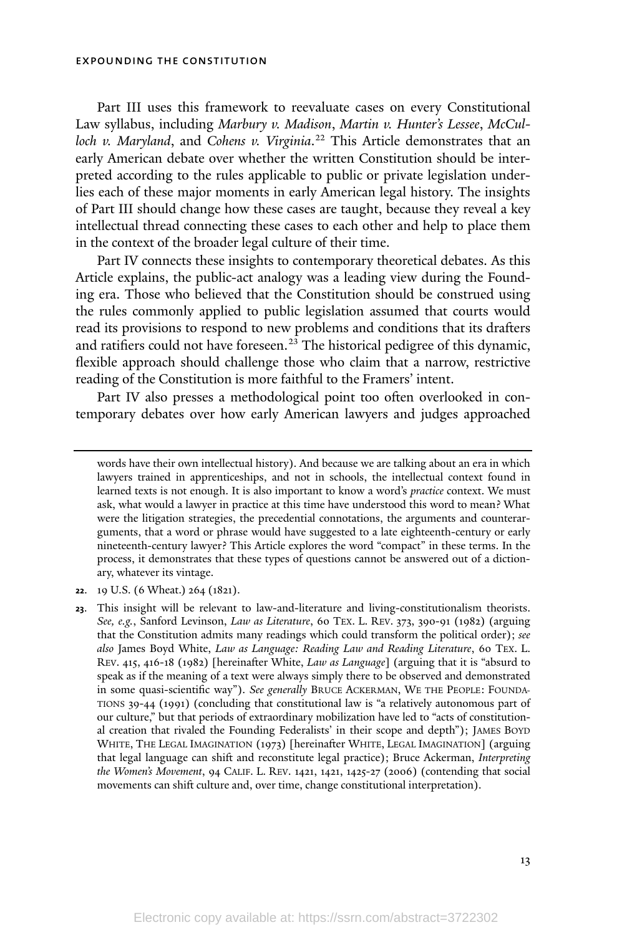Part III uses this framework to reevaluate cases on every Constitutional Law syllabus, including *Marbury v. Madison*, *Martin v. Hunter's Lessee*, *McCulloch v. Maryland*, and *Cohens v. Virginia*. <sup>22</sup> This Article demonstrates that an early American debate over whether the written Constitution should be interpreted according to the rules applicable to public or private legislation underlies each of these major moments in early American legal history. The insights of Part III should change how these cases are taught, because they reveal a key intellectual thread connecting these cases to each other and help to place them in the context of the broader legal culture of their time.

Part IV connects these insights to contemporary theoretical debates. As this Article explains, the public-act analogy was a leading view during the Founding era. Those who believed that the Constitution should be construed using the rules commonly applied to public legislation assumed that courts would read its provisions to respond to new problems and conditions that its drafters and ratifiers could not have foreseen.<sup>23</sup> The historical pedigree of this dynamic, flexible approach should challenge those who claim that a narrow, restrictive reading of the Constitution is more faithful to the Framers' intent.

Part IV also presses a methodological point too often overlooked in contemporary debates over how early American lawyers and judges approached

**<sup>22</sup>**. 19 U.S. (6 Wheat.) 264 (1821).

words have their own intellectual history). And because we are talking about an era in which lawyers trained in apprenticeships, and not in schools, the intellectual context found in learned texts is not enough. It is also important to know a word's *practice* context. We must ask, what would a lawyer in practice at this time have understood this word to mean? What were the litigation strategies, the precedential connotations, the arguments and counterarguments, that a word or phrase would have suggested to a late eighteenth-century or early nineteenth-century lawyer? This Article explores the word "compact" in these terms. In the process, it demonstrates that these types of questions cannot be answered out of a dictionary, whatever its vintage.

**<sup>23</sup>**. This insight will be relevant to law-and-literature and living-constitutionalism theorists. *See, e.g.*, Sanford Levinson, *Law as Literature*, 60 TEX. L. REV. 373, 390-91 (1982) (arguing that the Constitution admits many readings which could transform the political order); *see also* James Boyd White, *Law as Language: Reading Law and Reading Literature*, 60 TEX. L. REV. 415, 416-18 (1982) [hereinafter White, *Law as Language*] (arguing that it is "absurd to speak as if the meaning of a text were always simply there to be observed and demonstrated in some quasi-scientific way"). *See generally* BRUCE ACKERMAN, W<sup>E</sup> THE PEOPLE: FOUNDA-TIONS 39-44 (1991) (concluding that constitutional law is "a relatively autonomous part of our culture," but that periods of extraordinary mobilization have led to "acts of constitutional creation that rivaled the Founding Federalists' in their scope and depth"); JAMES BOYD WHITE, THE LEGAL IMAGINATION (1973) [hereinafter WHITE, LEGAL IMAGINATION] (arguing that legal language can shift and reconstitute legal practice); Bruce Ackerman, *Interpreting the Women's Movement*, 94 CALIF. L. REV. 1421, 1421, 1425-27 (2006) (contending that social movements can shift culture and, over time, change constitutional interpretation).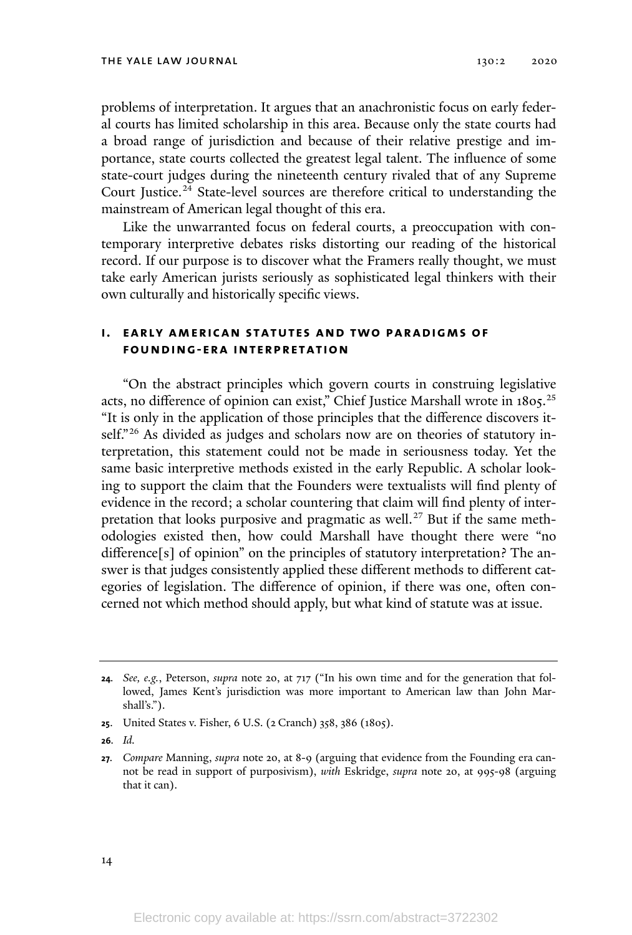problems of interpretation. It argues that an anachronistic focus on early federal courts has limited scholarship in this area. Because only the state courts had a broad range of jurisdiction and because of their relative prestige and importance, state courts collected the greatest legal talent. The influence of some state-court judges during the nineteenth century rivaled that of any Supreme Court Justice. <sup>24</sup> State-level sources are therefore critical to understanding the mainstream of American legal thought of this era.

Like the unwarranted focus on federal courts, a preoccupation with contemporary interpretive debates risks distorting our reading of the historical record. If our purpose is to discover what the Framers really thought, we must take early American jurists seriously as sophisticated legal thinkers with their own culturally and historically specific views.

### **i. early american statutes and two paradigms of founding-era interpretation**

"On the abstract principles which govern courts in construing legislative acts, no difference of opinion can exist," Chief Justice Marshall wrote in 1805.<sup>25</sup> "It is only in the application of those principles that the difference discovers itself."<sup>26</sup> As divided as judges and scholars now are on theories of statutory interpretation, this statement could not be made in seriousness today. Yet the same basic interpretive methods existed in the early Republic. A scholar looking to support the claim that the Founders were textualists will find plenty of evidence in the record; a scholar countering that claim will find plenty of interpretation that looks purposive and pragmatic as well. <sup>27</sup> But if the same methodologies existed then, how could Marshall have thought there were "no difference[s] of opinion" on the principles of statutory interpretation? The answer is that judges consistently applied these different methods to different categories of legislation. The difference of opinion, if there was one, often concerned not which method should apply, but what kind of statute was at issue.

**<sup>24</sup>***. See, e.g.*, Peterson, *supra* note 20, at 717 ("In his own time and for the generation that followed, James Kent's jurisdiction was more important to American law than John Marshall's.").

**<sup>25</sup>**. United States v. Fisher, 6 U.S. (2 Cranch) 358, 386 (1805).

**<sup>26</sup>***. Id.*

**<sup>27</sup>***. Compare* Manning, *supra* note 20, at 8-9 (arguing that evidence from the Founding era cannot be read in support of purposivism), *with* Eskridge, *supra* note 20, at 995-98 (arguing that it can).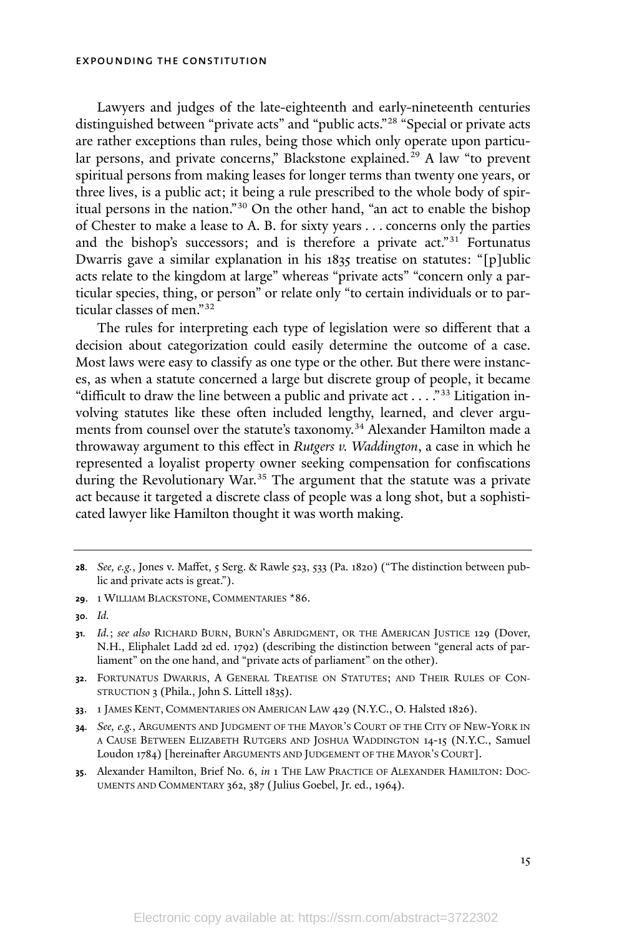Lawyers and judges of the late-eighteenth and early-nineteenth centuries distinguished between "private acts" and "public acts."<sup>28</sup> "Special or private acts are rather exceptions than rules, being those which only operate upon particular persons, and private concerns," Blackstone explained.<sup>29</sup> A law "to prevent spiritual persons from making leases for longer terms than twenty one years, or three lives, is a public act; it being a rule prescribed to the whole body of spiritual persons in the nation."<sup>30</sup> On the other hand, "an act to enable the bishop of Chester to make a lease to A. B. for sixty years . . . concerns only the parties and the bishop's successors; and is therefore a private act."<sup>31</sup> Fortunatus Dwarris gave a similar explanation in his 1835 treatise on statutes: "[p]ublic acts relate to the kingdom at large" whereas "private acts" "concern only a particular species, thing, or person" or relate only "to certain individuals or to particular classes of men." 32

The rules for interpreting each type of legislation were so different that a decision about categorization could easily determine the outcome of a case. Most laws were easy to classify as one type or the other. But there were instances, as when a statute concerned a large but discrete group of people, it became "difficult to draw the line between a public and private act . . . . "33 Litigation involving statutes like these often included lengthy, learned, and clever arguments from counsel over the statute's taxonomy. <sup>34</sup> Alexander Hamilton made a throwaway argument to this effect in *Rutgers v. Waddington*, a case in which he represented a loyalist property owner seeking compensation for confiscations during the Revolutionary War.<sup>35</sup> The argument that the statute was a private act because it targeted a discrete class of people was a long shot, but a sophisticated lawyer like Hamilton thought it was worth making.

**<sup>35</sup>**. Alexander Hamilton, Brief No. 6, *in* 1 THE LAW PRACTICE OF ALEXANDER HAMILTON: DOC-UMENTS AND COMMENTARY 362, 387 (Julius Goebel, Jr. ed., 1964).

**<sup>28</sup>***. See, e.g.*, Jones v. Maffet, 5 Serg. & Rawle 523, 533 (Pa. 1820) ("The distinction between public and private acts is great.").

**<sup>29</sup>**. 1 WILLIAM BLACKSTONE, COMMENTARIES \*86.

**<sup>30</sup>***. Id.*

**<sup>31</sup>***. Id.*; *see also* RICHARD BURN, BURN'<sup>S</sup> ABRIDGMENT, OR THE AMERICAN JUSTICE 129 (Dover, N.H., Eliphalet Ladd 2d ed. 1792) (describing the distinction between "general acts of parliament" on the one hand, and "private acts of parliament" on the other).

**<sup>32</sup>**. FORTUNATUS DWARRIS, A GENERAL TREATISE ON STATUTES; AND THEIR RULES OF CON-STRUCTION 3 (Phila., John S. Littell 1835).

**<sup>33</sup>**. 1 JAMES KENT, COMMENTARIES ON AMERICAN LAW 429 (N.Y.C., O. Halsted 1826).

**<sup>34</sup>***. See, e.g.*, ARGUMENTS AND JUDGMENT OF THE MAYOR'S COURT OF THE CITY OF NEW-YORK IN <sup>A</sup> CAUSE BETWEEN ELIZABETH RUTGERS AND JOSHUA WADDINGTON 14-15 (N.Y.C., Samuel Loudon 1784) [hereinafter ARGUMENTS AND JUDGEMENT OF THE MAYOR'<sup>S</sup> COURT].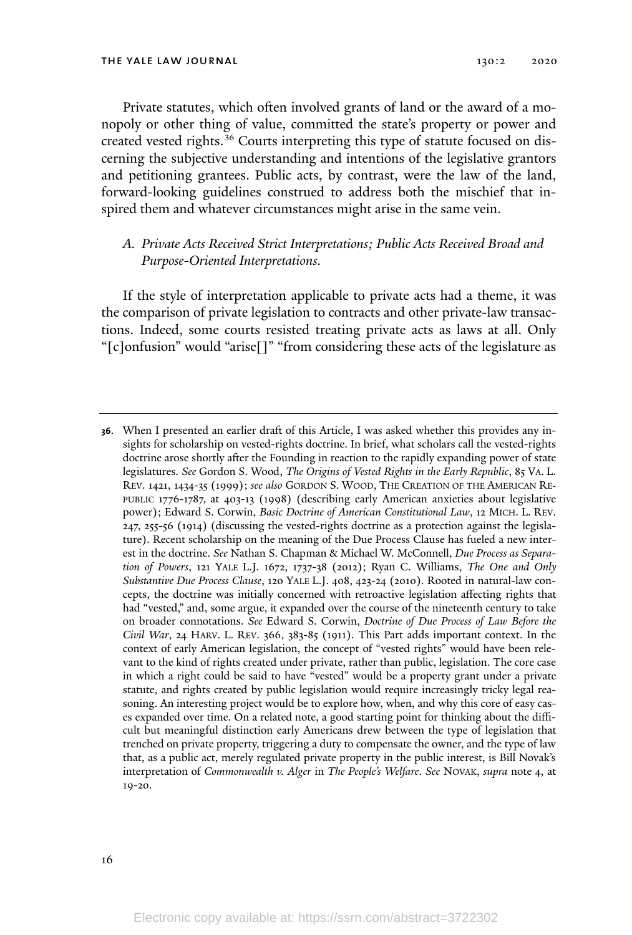THE YALE LAW JOURNAL 130:2 2020

Private statutes, which often involved grants of land or the award of a monopoly or other thing of value, committed the state's property or power and created vested rights. <sup>36</sup> Courts interpreting this type of statute focused on discerning the subjective understanding and intentions of the legislative grantors and petitioning grantees. Public acts, by contrast, were the law of the land, forward-looking guidelines construed to address both the mischief that inspired them and whatever circumstances might arise in the same vein.

### *A. Private Acts Received Strict Interpretations; Public Acts Received Broad and Purpose-Oriented Interpretations.*

If the style of interpretation applicable to private acts had a theme, it was the comparison of private legislation to contracts and other private-law transactions. Indeed, some courts resisted treating private acts as laws at all. Only "[c]onfusion" would "arise[]" "from considering these acts of the legislature as

**<sup>36</sup>**. When I presented an earlier draft of this Article, I was asked whether this provides any insights for scholarship on vested-rights doctrine. In brief, what scholars call the vested-rights doctrine arose shortly after the Founding in reaction to the rapidly expanding power of state legislatures. *See* Gordon S. Wood, *The Origins of Vested Rights in the Early Republic*, 85 VA. L. REV. 1421, 1434-35 (1999); *see also* GORDON S. WOOD, THE CREATION OF THE AMERICAN RE-PUBLIC 1776-1787, at 403-13 (1998) (describing early American anxieties about legislative power); Edward S. Corwin, *Basic Doctrine of American Constitutional Law*, 12 MICH. L. REV. 247, 255-56 (1914) (discussing the vested-rights doctrine as a protection against the legislature). Recent scholarship on the meaning of the Due Process Clause has fueled a new interest in the doctrine. *See* Nathan S. Chapman & Michael W. McConnell, *Due Process as Separation of Powers*, 121 YALE L.J. 1672, 1737-38 (2012); Ryan C. Williams, *The One and Only Substantive Due Process Clause*, 120 YALE L.J. 408, 423-24 (2010). Rooted in natural-law concepts, the doctrine was initially concerned with retroactive legislation affecting rights that had "vested," and, some argue, it expanded over the course of the nineteenth century to take on broader connotations. *See* Edward S. Corwin, *Doctrine of Due Process of Law Before the Civil War*, 24 HARV. L. REV. 366, 383-85 (1911). This Part adds important context. In the context of early American legislation, the concept of "vested rights" would have been relevant to the kind of rights created under private, rather than public, legislation. The core case in which a right could be said to have "vested" would be a property grant under a private statute, and rights created by public legislation would require increasingly tricky legal reasoning. An interesting project would be to explore how, when, and why this core of easy cases expanded over time. On a related note, a good starting point for thinking about the difficult but meaningful distinction early Americans drew between the type of legislation that trenched on private property, triggering a duty to compensate the owner, and the type of law that, as a public act, merely regulated private property in the public interest, is Bill Novak's interpretation of *Commonwealth v. Alger* in *The People's Welfare*. *See* NOVAK, *supra* note 4, at 19-20.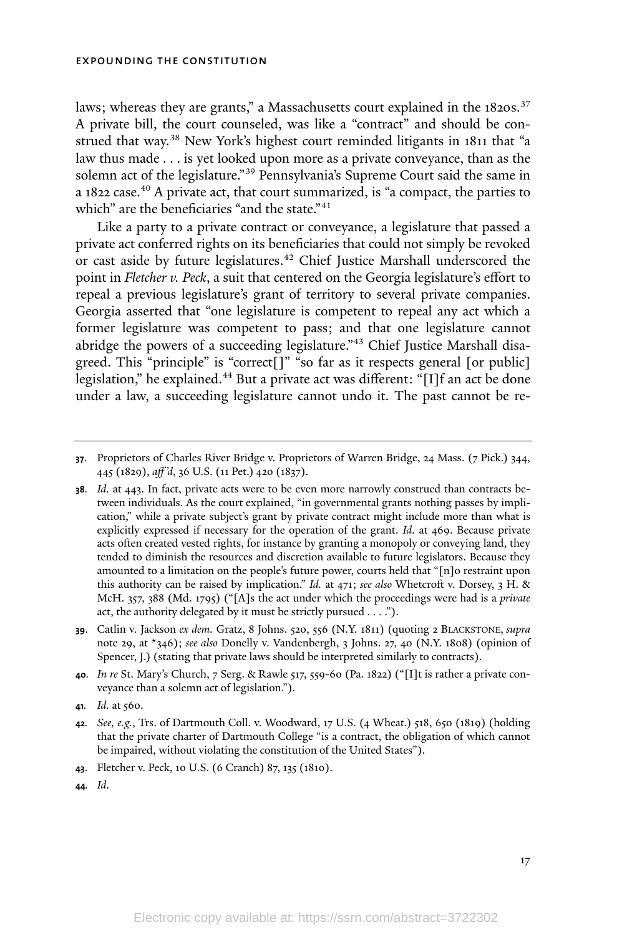laws; whereas they are grants," a Massachusetts court explained in the 1820s.<sup>37</sup> A private bill, the court counseled, was like a "contract" and should be construed that way.<sup>38</sup> New York's highest court reminded litigants in 1811 that "a law thus made . . . is yet looked upon more as a private conveyance, than as the solemn act of the legislature." <sup>39</sup> Pennsylvania's Supreme Court said the same in a 1822 case. <sup>40</sup> A private act, that court summarized, is "a compact, the parties to which" are the beneficiaries "and the state."<sup>41</sup>

Like a party to a private contract or conveyance, a legislature that passed a private act conferred rights on its beneficiaries that could not simply be revoked or cast aside by future legislatures. <sup>42</sup> Chief Justice Marshall underscored the point in *Fletcher v. Peck*, a suit that centered on the Georgia legislature's effort to repeal a previous legislature's grant of territory to several private companies. Georgia asserted that "one legislature is competent to repeal any act which a former legislature was competent to pass; and that one legislature cannot abridge the powers of a succeeding legislature." <sup>43</sup> Chief Justice Marshall disagreed. This "principle" is "correct[]" "so far as it respects general [or public] legislation," he explained.<sup>44</sup> But a private act was different: "[I]f an act be done under a law, a succeeding legislature cannot undo it. The past cannot be re-

**<sup>39</sup>**. Catlin v. Jackson *ex dem.* Gratz, 8 Johns. 520, 556 (N.Y. 1811) (quoting 2 BLACKSTONE, *supra* note 29, at \*346); *see also* Donelly v. Vandenbergh, 3 Johns. 27, 40 (N.Y. 1808) (opinion of Spencer, J.) (stating that private laws should be interpreted similarly to contracts).

**<sup>40</sup>***. In re* St. Mary's Church, 7 Serg. & Rawle 517, 559-60 (Pa. 1822) ("[I]t is rather a private conveyance than a solemn act of legislation.").

**<sup>41</sup>***. Id.* at 560.

**<sup>43</sup>**. Fletcher v. Peck, 10 U.S. (6 Cranch) 87, 135 (1810).

**44***. Id*.

**<sup>37</sup>**. Proprietors of Charles River Bridge v. Proprietors of Warren Bridge, 24 Mass. (7 Pick.) 344, 445 (1829), *aff 'd*, 36 U.S. (11 Pet.) 420 (1837).

**<sup>38</sup>***. Id.* at 443. In fact, private acts were to be even more narrowly construed than contracts between individuals. As the court explained, "in governmental grants nothing passes by implication," while a private subject's grant by private contract might include more than what is explicitly expressed if necessary for the operation of the grant. *Id*. at 469. Because private acts often created vested rights, for instance by granting a monopoly or conveying land, they tended to diminish the resources and discretion available to future legislators. Because they amounted to a limitation on the people's future power, courts held that "[n]o restraint upon this authority can be raised by implication." *Id.* at 471; *see also* Whetcroft v. Dorsey, 3 H. & McH. 357, 388 (Md. 1795) ("[A]s the act under which the proceedings were had is a *private* act, the authority delegated by it must be strictly pursued . . . .").

**<sup>42</sup>***. See, e.g.*, Trs. of Dartmouth Coll. v. Woodward, 17 U.S. (4 Wheat.) 518, 650 (1819) (holding that the private charter of Dartmouth College "is a contract, the obligation of which cannot be impaired, without violating the constitution of the United States").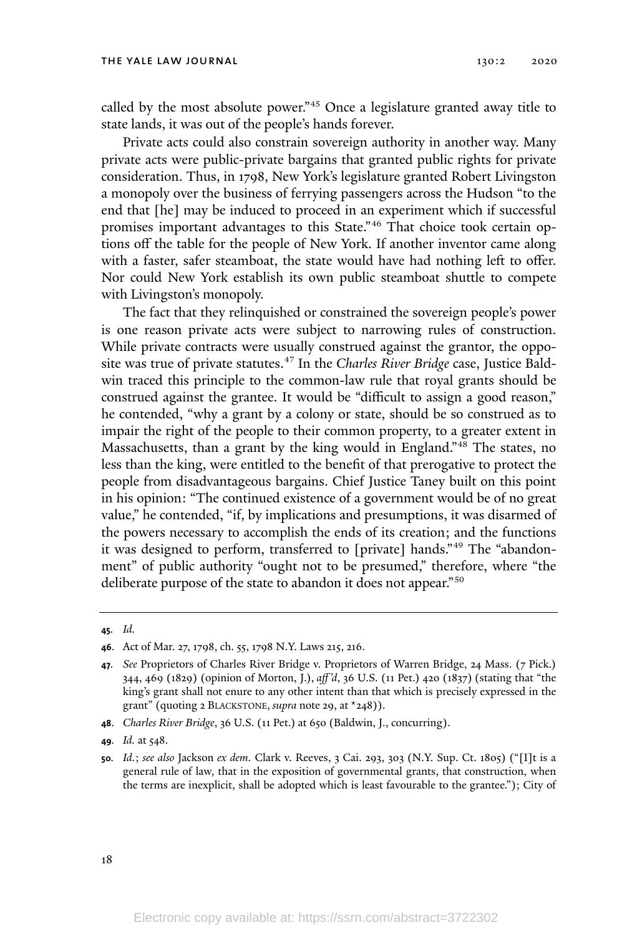called by the most absolute power." <sup>45</sup> Once a legislature granted away title to state lands, it was out of the people's hands forever.

Private acts could also constrain sovereign authority in another way. Many private acts were public-private bargains that granted public rights for private consideration. Thus, in 1798, New York's legislature granted Robert Livingston a monopoly over the business of ferrying passengers across the Hudson "to the end that [he] may be induced to proceed in an experiment which if successful promises important advantages to this State." <sup>46</sup> That choice took certain options off the table for the people of New York. If another inventor came along with a faster, safer steamboat, the state would have had nothing left to offer. Nor could New York establish its own public steamboat shuttle to compete with Livingston's monopoly.

The fact that they relinquished or constrained the sovereign people's power is one reason private acts were subject to narrowing rules of construction. While private contracts were usually construed against the grantor, the opposite was true of private statutes. <sup>47</sup> In the *Charles River Bridge* case, Justice Baldwin traced this principle to the common-law rule that royal grants should be construed against the grantee. It would be "difficult to assign a good reason," he contended, "why a grant by a colony or state, should be so construed as to impair the right of the people to their common property, to a greater extent in Massachusetts, than a grant by the king would in England."<sup>48</sup> The states, no less than the king, were entitled to the benefit of that prerogative to protect the people from disadvantageous bargains. Chief Justice Taney built on this point in his opinion: "The continued existence of a government would be of no great value," he contended, "if, by implications and presumptions, it was disarmed of the powers necessary to accomplish the ends of its creation; and the functions it was designed to perform, transferred to [private] hands." <sup>49</sup> The "abandonment" of public authority "ought not to be presumed," therefore, where "the deliberate purpose of the state to abandon it does not appear."<sup>50</sup>

**<sup>48</sup>**. *Charles River Bridge*, 36 U.S. (11 Pet.) at 650 (Baldwin, J., concurring).

**<sup>45</sup>***. Id.*

**<sup>46</sup>**. Act of Mar. 27, 1798, ch. 55, 1798 N.Y. Laws 215, 216.

**<sup>47</sup>***. See* Proprietors of Charles River Bridge v. Proprietors of Warren Bridge, 24 Mass. (7 Pick.) 344, 469 (1829) (opinion of Morton, J.), *aff 'd*, 36 U.S. (11 Pet.) 420 (1837) (stating that "the king's grant shall not enure to any other intent than that which is precisely expressed in the grant" (quoting 2 BLACKSTONE, *supra* note 29, at \*248)).

**<sup>49</sup>***. Id.* at 548.

**<sup>50</sup>***. Id.*; *see also* Jackson *ex dem.* Clark v. Reeves, 3 Cai. 293, 303 (N.Y. Sup. Ct. 1805) ("[I]t is a general rule of law, that in the exposition of governmental grants, that construction, when the terms are inexplicit, shall be adopted which is least favourable to the grantee."); City of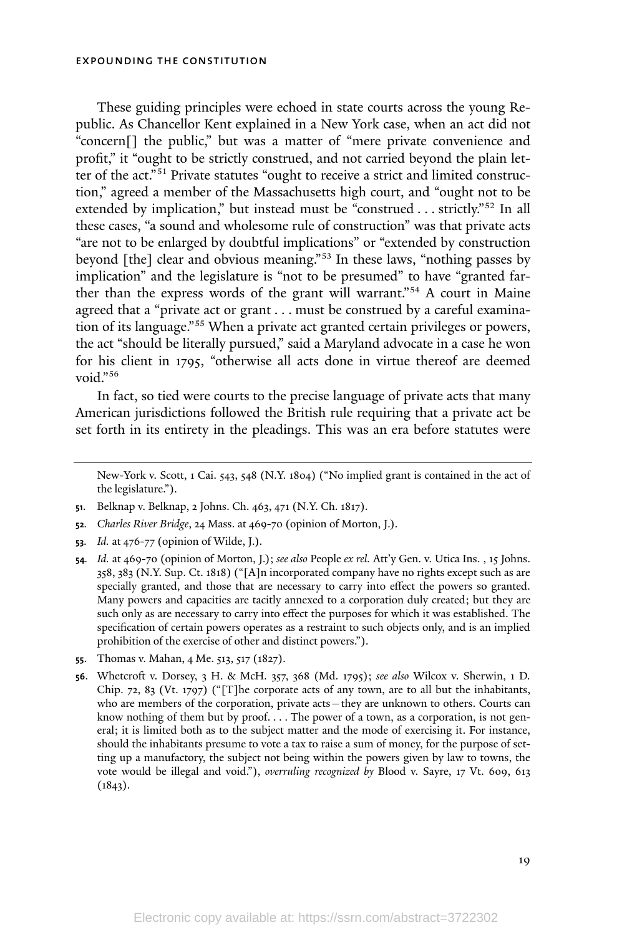These guiding principles were echoed in state courts across the young Republic. As Chancellor Kent explained in a New York case, when an act did not "concern[] the public," but was a matter of "mere private convenience and profit," it "ought to be strictly construed, and not carried beyond the plain letter of the act." <sup>51</sup> Private statutes "ought to receive a strict and limited construction," agreed a member of the Massachusetts high court, and "ought not to be extended by implication," but instead must be "construed . . . strictly." <sup>52</sup> In all these cases, "a sound and wholesome rule of construction" was that private acts "are not to be enlarged by doubtful implications" or "extended by construction beyond [the] clear and obvious meaning." <sup>53</sup> In these laws, "nothing passes by implication" and the legislature is "not to be presumed" to have "granted farther than the express words of the grant will warrant." <sup>54</sup> A court in Maine agreed that a "private act or grant . . . must be construed by a careful examination of its language."<sup>55</sup> When a private act granted certain privileges or powers, the act "should be literally pursued," said a Maryland advocate in a case he won for his client in 1795, "otherwise all acts done in virtue thereof are deemed void." 56

In fact, so tied were courts to the precise language of private acts that many American jurisdictions followed the British rule requiring that a private act be set forth in its entirety in the pleadings. This was an era before statutes were

- **<sup>52</sup>***. Charles River Bridge*, 24 Mass. at 469-70 (opinion of Morton, J.).
- **<sup>53</sup>***. Id.* at 476-77 (opinion of Wilde, J.).
- **<sup>54</sup>***. Id.* at 469-70 (opinion of Morton, J.); *see also* People *ex rel.* Att'y Gen. v. Utica Ins. , 15 Johns. 358, 383 (N.Y. Sup. Ct. 1818) ("[A]n incorporated company have no rights except such as are specially granted, and those that are necessary to carry into effect the powers so granted. Many powers and capacities are tacitly annexed to a corporation duly created; but they are such only as are necessary to carry into effect the purposes for which it was established. The specification of certain powers operates as a restraint to such objects only, and is an implied prohibition of the exercise of other and distinct powers.").
- **<sup>55</sup>**. Thomas v. Mahan, 4 Me. 513, 517 (1827).
- **<sup>56</sup>**. Whetcroft v. Dorsey, 3 H. & McH. 357, 368 (Md. 1795); *see also* Wilcox v. Sherwin, 1 D. Chip. 72, 83 (Vt. 1797) ("[T]he corporate acts of any town, are to all but the inhabitants, who are members of the corporation, private acts—they are unknown to others. Courts can know nothing of them but by proof. . . . The power of a town, as a corporation, is not general; it is limited both as to the subject matter and the mode of exercising it. For instance, should the inhabitants presume to vote a tax to raise a sum of money, for the purpose of setting up a manufactory, the subject not being within the powers given by law to towns, the vote would be illegal and void."), *overruling recognized by* Blood v. Sayre, 17 Vt. 609, 613  $(1843).$

New-York v. Scott, 1 Cai. 543, 548 (N.Y. 1804) ("No implied grant is contained in the act of the legislature.").

**<sup>51</sup>**. Belknap v. Belknap, 2 Johns. Ch. 463, 471 (N.Y. Ch. 1817).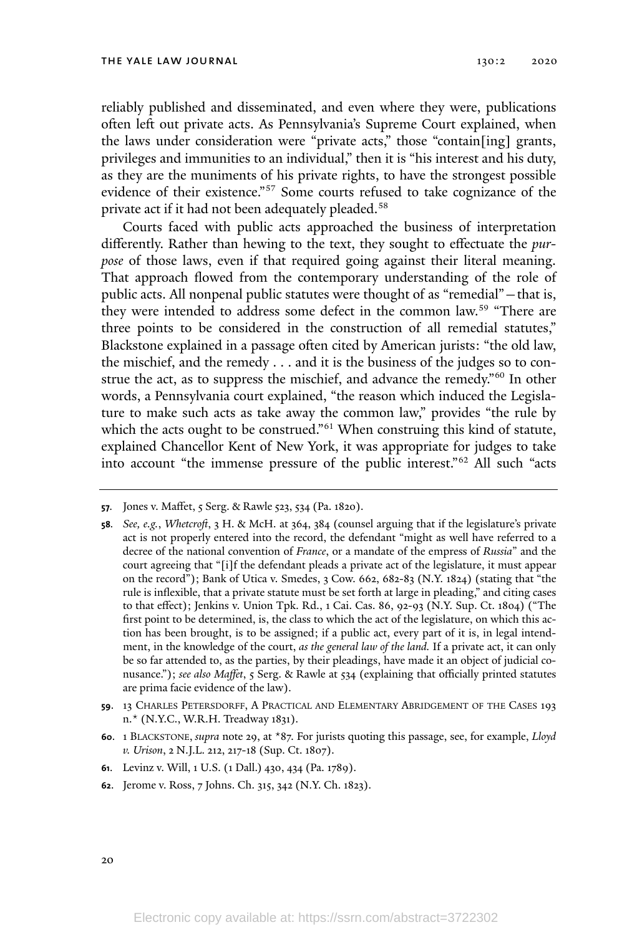reliably published and disseminated, and even where they were, publications often left out private acts. As Pennsylvania's Supreme Court explained, when the laws under consideration were "private acts," those "contain[ing] grants, privileges and immunities to an individual," then it is "his interest and his duty, as they are the muniments of his private rights, to have the strongest possible evidence of their existence."<sup>57</sup> Some courts refused to take cognizance of the private act if it had not been adequately pleaded.<sup>58</sup>

Courts faced with public acts approached the business of interpretation differently. Rather than hewing to the text, they sought to effectuate the *purpose* of those laws, even if that required going against their literal meaning. That approach flowed from the contemporary understanding of the role of public acts. All nonpenal public statutes were thought of as "remedial"—that is, they were intended to address some defect in the common law.<sup>59</sup> "There are three points to be considered in the construction of all remedial statutes," Blackstone explained in a passage often cited by American jurists: "the old law, the mischief, and the remedy . . . and it is the business of the judges so to construe the act, as to suppress the mischief, and advance the remedy."<sup>60</sup> In other words, a Pennsylvania court explained, "the reason which induced the Legislature to make such acts as take away the common law," provides "the rule by which the acts ought to be construed." <sup>61</sup> When construing this kind of statute, explained Chancellor Kent of New York, it was appropriate for judges to take into account "the immense pressure of the public interest."<sup>62</sup> All such "acts

**<sup>57</sup>***.* Jones v. Maffet, 5 Serg. & Rawle 523, 534 (Pa. 1820).

**<sup>58</sup>***. See, e.g.*, *Whetcroft*, 3 H. & McH. at 364, 384 (counsel arguing that if the legislature's private act is not properly entered into the record, the defendant "might as well have referred to a decree of the national convention of *France*, or a mandate of the empress of *Russia*" and the court agreeing that "[i]f the defendant pleads a private act of the legislature, it must appear on the record"); Bank of Utica v. Smedes, 3 Cow. 662, 682-83 (N.Y. 1824) (stating that "the rule is inflexible, that a private statute must be set forth at large in pleading," and citing cases to that effect); Jenkins v. Union Tpk. Rd., 1 Cai. Cas. 86, 92-93 (N.Y. Sup. Ct. 1804) ("The first point to be determined, is, the class to which the act of the legislature, on which this action has been brought, is to be assigned; if a public act, every part of it is, in legal intendment, in the knowledge of the court, *as the general law of the land.* If a private act, it can only be so far attended to, as the parties, by their pleadings, have made it an object of judicial conusance."); *see also Maffet*, 5 Serg. & Rawle at 534 (explaining that officially printed statutes are prima facie evidence of the law).

**<sup>59</sup>**. 13 CHARLES PETERSDORFF, A PRACTICAL AND ELEMENTARY ABRIDGEMENT OF THE CASES 193 n.\* (N.Y.C., W.R.H. Treadway 1831).

**<sup>60</sup>**. 1 BLACKSTONE, *supra* note 29, at \*87. For jurists quoting this passage, see, for example, *Lloyd v. Urison*, 2 N.J.L. 212, 217-18 (Sup. Ct. 1807).

**<sup>61</sup>**. Levinz v. Will, 1 U.S. (1 Dall.) 430, 434 (Pa. 1789).

**<sup>62</sup>**. Jerome v. Ross, 7 Johns. Ch. 315, 342 (N.Y. Ch. 1823).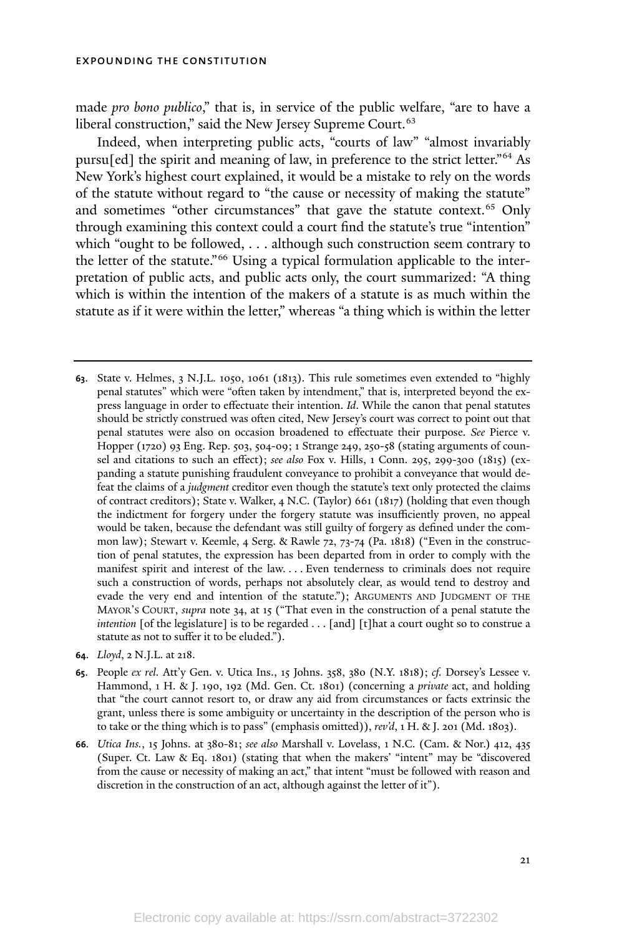made *pro bono publico*," that is, in service of the public welfare, "are to have a liberal construction," said the New Jersey Supreme Court.<sup>63</sup>

Indeed, when interpreting public acts, "courts of law" "almost invariably pursu[ed] the spirit and meaning of law, in preference to the strict letter."<sup>64</sup> As New York's highest court explained, it would be a mistake to rely on the words of the statute without regard to "the cause or necessity of making the statute" and sometimes "other circumstances" that gave the statute context.<sup>65</sup> Only through examining this context could a court find the statute's true "intention" which "ought to be followed, . . . although such construction seem contrary to the letter of the statute."<sup>66</sup> Using a typical formulation applicable to the interpretation of public acts, and public acts only, the court summarized: "A thing which is within the intention of the makers of a statute is as much within the statute as if it were within the letter," whereas "a thing which is within the letter

**<sup>63</sup>**. State v. Helmes, 3 N.J.L. 1050, 1061 (1813). This rule sometimes even extended to "highly penal statutes" which were "often taken by intendment," that is, interpreted beyond the express language in order to effectuate their intention. *Id*. While the canon that penal statutes should be strictly construed was often cited, New Jersey's court was correct to point out that penal statutes were also on occasion broadened to effectuate their purpose. *See* Pierce v. Hopper (1720) 93 Eng. Rep. 503, 504-09; 1 Strange 249, 250-58 (stating arguments of counsel and citations to such an effect); *see also* Fox v. Hills, 1 Conn. 295, 299-300 (1815) (expanding a statute punishing fraudulent conveyance to prohibit a conveyance that would defeat the claims of a *judgment* creditor even though the statute's text only protected the claims of contract creditors); State v. Walker, 4 N.C. (Taylor) 661 (1817) (holding that even though the indictment for forgery under the forgery statute was insufficiently proven, no appeal would be taken, because the defendant was still guilty of forgery as defined under the common law); Stewart v. Keemle, 4 Serg. & Rawle 72, 73-74 (Pa. 1818) ("Even in the construction of penal statutes, the expression has been departed from in order to comply with the manifest spirit and interest of the law. . . . Even tenderness to criminals does not require such a construction of words, perhaps not absolutely clear, as would tend to destroy and evade the very end and intention of the statute."); ARGUMENTS AND JUDGMENT OF THE MAYOR'<sup>S</sup> COURT, *supra* note 34, at 15 ("That even in the construction of a penal statute the *intention* [of the legislature] is to be regarded . . . [and] [t]hat a court ought so to construe a statute as not to suffer it to be eluded.").

**<sup>64</sup>**. *Lloyd*, 2 N.J.L. at 218.

**<sup>65</sup>**. People *ex rel.* Att'y Gen. v. Utica Ins., 15 Johns. 358, 380 (N.Y. 1818); *cf.* Dorsey's Lessee v. Hammond, 1 H. & J. 190, 192 (Md. Gen. Ct. 1801) (concerning a *private* act, and holding that "the court cannot resort to, or draw any aid from circumstances or facts extrinsic the grant, unless there is some ambiguity or uncertainty in the description of the person who is to take or the thing which is to pass" (emphasis omitted)), *rev'd*, 1 H. & J. 201 (Md. 1803).

**<sup>66</sup>***. Utica Ins.*, 15 Johns. at 380-81; *see also* Marshall v. Lovelass, 1 N.C. (Cam. & Nor.) 412, 435 (Super. Ct. Law & Eq. 1801) (stating that when the makers' "intent" may be "discovered from the cause or necessity of making an act," that intent "must be followed with reason and discretion in the construction of an act, although against the letter of it").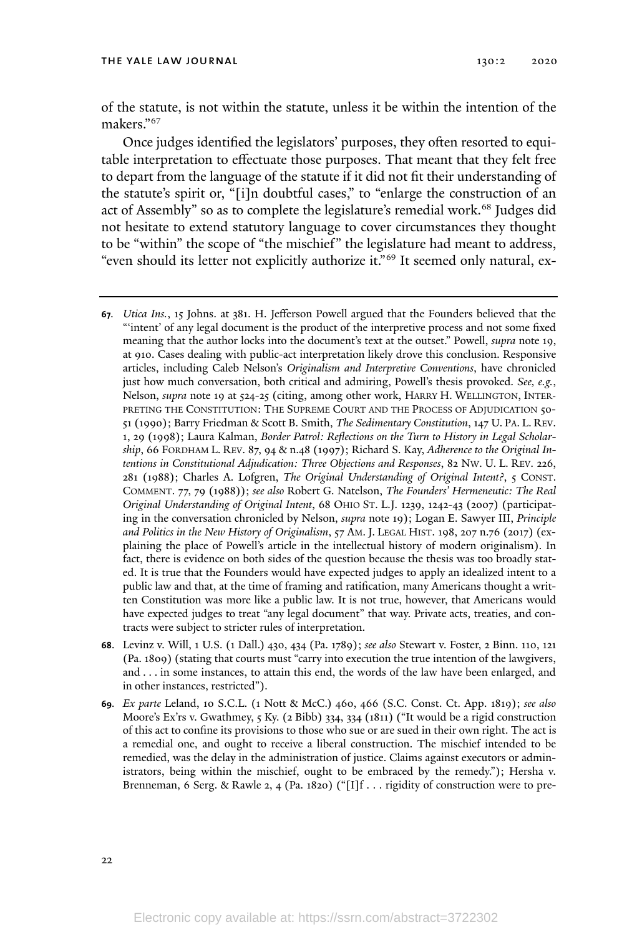of the statute, is not within the statute, unless it be within the intention of the makers." 67

Once judges identified the legislators' purposes, they often resorted to equitable interpretation to effectuate those purposes. That meant that they felt free to depart from the language of the statute if it did not fit their understanding of the statute's spirit or, "[i]n doubtful cases," to "enlarge the construction of an act of Assembly" so as to complete the legislature's remedial work.<sup>68</sup> Judges did not hesitate to extend statutory language to cover circumstances they thought to be "within" the scope of "the mischief" the legislature had meant to address, "even should its letter not explicitly authorize it." <sup>69</sup> It seemed only natural, ex-

- **<sup>67</sup>***. Utica Ins.*, 15 Johns. at 381. H. Jefferson Powell argued that the Founders believed that the "'intent' of any legal document is the product of the interpretive process and not some fixed meaning that the author locks into the document's text at the outset." Powell, *supra* note 19, at 910. Cases dealing with public-act interpretation likely drove this conclusion. Responsive articles, including Caleb Nelson's *Originalism and Interpretive Conventions*, have chronicled just how much conversation, both critical and admiring, Powell's thesis provoked. *See, e.g.*, Nelson, *supra* note 19 at 524-25 (citing, among other work, HARRY H. WELLINGTON, INTER-PRETING THE CONSTITUTION: THE SUPREME COURT AND THE PROCESS OF ADJUDICATION 50-51 (1990); Barry Friedman & Scott B. Smith, *The Sedimentary Constitution*, 147 U. PA. L. REV. 1, 29 (1998); Laura Kalman, *Border Patrol: Reflections on the Turn to History in Legal Scholarship*, 66 FORDHAM L. REV. 87, 94 & n.48 (1997); Richard S. Kay, *Adherence to the Original Intentions in Constitutional Adjudication: Three Objections and Responses*, 82 NW. U. L. REV. 226, 281 (1988); Charles A. Lofgren, *The Original Understanding of Original Intent?*, 5 CONST. COMMENT. 77, 79 (1988)); *see also* Robert G. Natelson, *The Founders' Hermeneutic: The Real Original Understanding of Original Intent*, 68 OHIO ST. L.J. 1239, 1242-43 (2007) (participating in the conversation chronicled by Nelson, *supra* note 19); Logan E. Sawyer III, *Principle and Politics in the New History of Originalism*, 57 AM. J. LEGAL HIST. 198, 207 n.76 (2017) (explaining the place of Powell's article in the intellectual history of modern originalism). In fact, there is evidence on both sides of the question because the thesis was too broadly stated. It is true that the Founders would have expected judges to apply an idealized intent to a public law and that, at the time of framing and ratification, many Americans thought a written Constitution was more like a public law. It is not true, however, that Americans would have expected judges to treat "any legal document" that way. Private acts, treaties, and contracts were subject to stricter rules of interpretation.
- **<sup>68</sup>**. Levinz v. Will, 1 U.S. (1 Dall.) 430, 434 (Pa. 1789); *see also* Stewart v. Foster, 2 Binn. 110, 121 (Pa. 1809) (stating that courts must "carry into execution the true intention of the lawgivers, and . . . in some instances, to attain this end, the words of the law have been enlarged, and in other instances, restricted").
- **<sup>69</sup>***. Ex parte* Leland, 10 S.C.L. (1 Nott & McC.) 460, 466 (S.C. Const. Ct. App. 1819); *see also* Moore's Ex'rs v. Gwathmey, 5 Ky. (2 Bibb) 334, 334 (1811) ("It would be a rigid construction of this act to confine its provisions to those who sue or are sued in their own right. The act is a remedial one, and ought to receive a liberal construction. The mischief intended to be remedied, was the delay in the administration of justice. Claims against executors or administrators, being within the mischief, ought to be embraced by the remedy."); Hersha v. Brenneman, 6 Serg. & Rawle 2, 4 (Pa. 1820) (" $[I]$ f . . . rigidity of construction were to pre-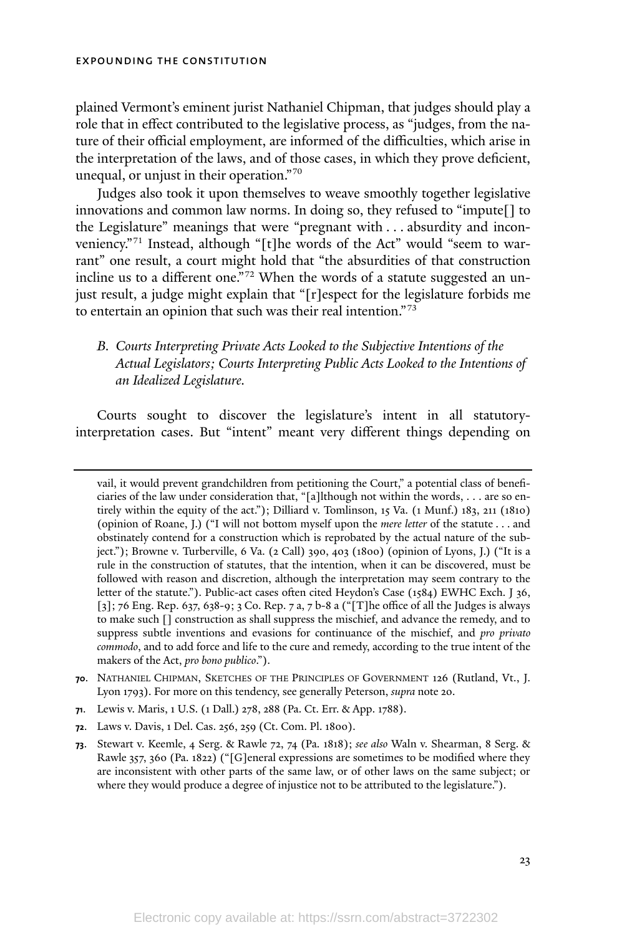plained Vermont's eminent jurist Nathaniel Chipman, that judges should play a role that in effect contributed to the legislative process, as "judges, from the nature of their official employment, are informed of the difficulties, which arise in the interpretation of the laws, and of those cases, in which they prove deficient, unequal, or unjust in their operation." 70

Judges also took it upon themselves to weave smoothly together legislative innovations and common law norms. In doing so, they refused to "impute[] to the Legislature" meanings that were "pregnant with . . . absurdity and inconveniency."<sup>71</sup> Instead, although "[t]he words of the Act" would "seem to warrant" one result, a court might hold that "the absurdities of that construction incline us to a different one."<sup>72</sup> When the words of a statute suggested an unjust result, a judge might explain that "[r]espect for the legislature forbids me to entertain an opinion that such was their real intention."<sup>73</sup>

## *B. Courts Interpreting Private Acts Looked to the Subjective Intentions of the Actual Legislators; Courts Interpreting Public Acts Looked to the Intentions of an Idealized Legislature.*

Courts sought to discover the legislature's intent in all statutoryinterpretation cases. But "intent" meant very different things depending on

vail, it would prevent grandchildren from petitioning the Court," a potential class of beneficiaries of the law under consideration that, "[a]lthough not within the words, . . . are so entirely within the equity of the act."); Dilliard v. Tomlinson, 15 Va. (1 Munf.) 183, 211 (1810) (opinion of Roane, J.) ("I will not bottom myself upon the *mere letter* of the statute . . . and obstinately contend for a construction which is reprobated by the actual nature of the subject."); Browne v. Turberville, 6 Va. (2 Call) 390, 403 (1800) (opinion of Lyons, J.) ("It is a rule in the construction of statutes, that the intention, when it can be discovered, must be followed with reason and discretion, although the interpretation may seem contrary to the letter of the statute."). Public-act cases often cited Heydon's Case (1584) EWHC Exch. J 36, [3]; 76 Eng. Rep. 637, 638-9; 3 Co. Rep. 7 a, 7 b-8 a ("[T]he office of all the Judges is always to make such [] construction as shall suppress the mischief, and advance the remedy, and to suppress subtle inventions and evasions for continuance of the mischief, and *pro privato commodo*, and to add force and life to the cure and remedy, according to the true intent of the makers of the Act, *pro bono publico*.").

**<sup>70</sup>**. NATHANIEL CHIPMAN, SKETCHES OF THE PRINCIPLES OF GOVERNMENT 126 (Rutland, Vt., J. Lyon 1793). For more on this tendency, see generally Peterson, *supra* note 20.

**<sup>71</sup>**. Lewis v. Maris, 1 U.S. (1 Dall.) 278, 288 (Pa. Ct. Err. & App. 1788).

**<sup>72</sup>**. Laws v. Davis, 1 Del. Cas. 256, 259 (Ct. Com. Pl. 1800).

**<sup>73</sup>**. Stewart v. Keemle, 4 Serg. & Rawle 72, 74 (Pa. 1818); *see also* Waln v. Shearman, 8 Serg. & Rawle 357, 360 (Pa. 1822) ("[G]eneral expressions are sometimes to be modified where they are inconsistent with other parts of the same law, or of other laws on the same subject; or where they would produce a degree of injustice not to be attributed to the legislature.").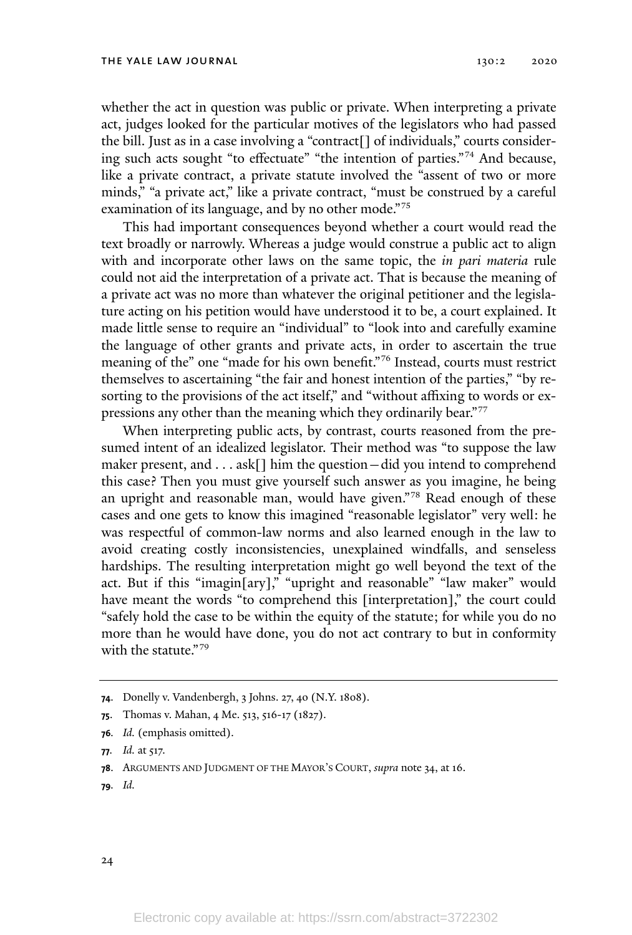whether the act in question was public or private. When interpreting a private act, judges looked for the particular motives of the legislators who had passed the bill. Just as in a case involving a "contract[] of individuals," courts considering such acts sought "to effectuate" "the intention of parties."<sup>74</sup> And because, like a private contract, a private statute involved the "assent of two or more minds," "a private act," like a private contract, "must be construed by a careful examination of its language, and by no other mode."<sup>75</sup>

This had important consequences beyond whether a court would read the text broadly or narrowly. Whereas a judge would construe a public act to align with and incorporate other laws on the same topic, the *in pari materia* rule could not aid the interpretation of a private act. That is because the meaning of a private act was no more than whatever the original petitioner and the legislature acting on his petition would have understood it to be, a court explained. It made little sense to require an "individual" to "look into and carefully examine the language of other grants and private acts, in order to ascertain the true meaning of the" one "made for his own benefit." <sup>76</sup> Instead, courts must restrict themselves to ascertaining "the fair and honest intention of the parties," "by resorting to the provisions of the act itself," and "without affixing to words or expressions any other than the meaning which they ordinarily bear."<sup>77</sup>

When interpreting public acts, by contrast, courts reasoned from the presumed intent of an idealized legislator. Their method was "to suppose the law maker present, and . . . ask[] him the question—did you intend to comprehend this case? Then you must give yourself such answer as you imagine, he being an upright and reasonable man, would have given." <sup>78</sup> Read enough of these cases and one gets to know this imagined "reasonable legislator" very well: he was respectful of common-law norms and also learned enough in the law to avoid creating costly inconsistencies, unexplained windfalls, and senseless hardships. The resulting interpretation might go well beyond the text of the act. But if this "imagin[ary]," "upright and reasonable" "law maker" would have meant the words "to comprehend this [interpretation]," the court could "safely hold the case to be within the equity of the statute; for while you do no more than he would have done, you do not act contrary to but in conformity with the statute."<sup>79</sup>

**76***. Id.* (emphasis omitted).

**79***. Id.*

**<sup>74</sup>**. Donelly v. Vandenbergh, 3 Johns. 27, 40 (N.Y. 1808).

**<sup>75</sup>**. Thomas v. Mahan, 4 Me. 513, 516-17 (1827).

**<sup>77</sup>***. Id.* at 517.

**<sup>78</sup>**. ARGUMENTS AND JUDGMENT OF THE MAYOR'<sup>S</sup> COURT, *supra* note 34, at 16.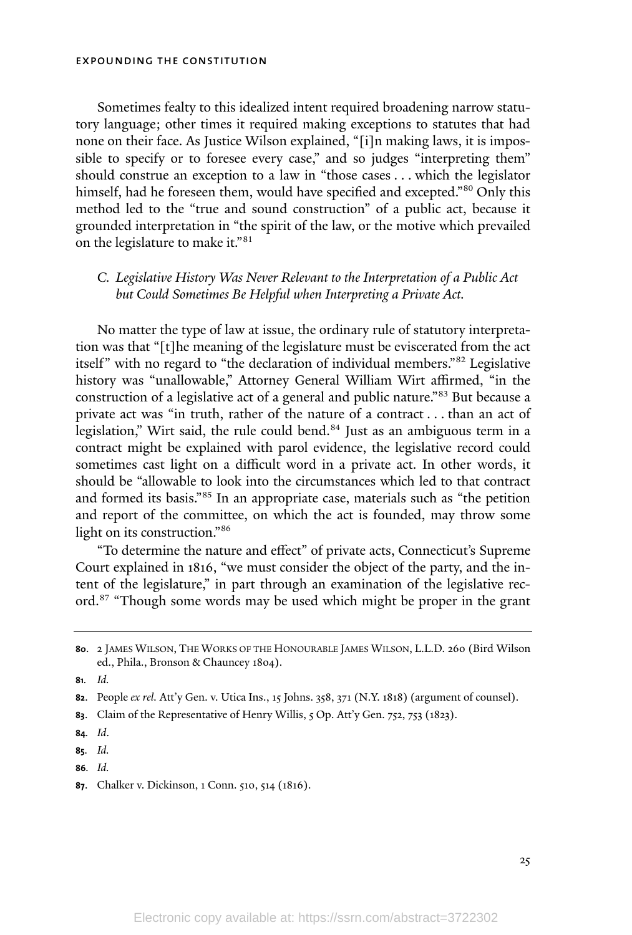Sometimes fealty to this idealized intent required broadening narrow statutory language; other times it required making exceptions to statutes that had none on their face. As Justice Wilson explained, "[i]n making laws, it is impossible to specify or to foresee every case," and so judges "interpreting them" should construe an exception to a law in "those cases . . . which the legislator himself, had he foreseen them, would have specified and excepted."<sup>80</sup> Only this method led to the "true and sound construction" of a public act, because it grounded interpretation in "the spirit of the law, or the motive which prevailed on the legislature to make it."<sup>81</sup>

## *C. Legislative History Was Never Relevant to the Interpretation of a Public Act but Could Sometimes Be Helpful when Interpreting a Private Act.*

No matter the type of law at issue, the ordinary rule of statutory interpretation was that "[t]he meaning of the legislature must be eviscerated from the act itself" with no regard to "the declaration of individual members." <sup>82</sup> Legislative history was "unallowable," Attorney General William Wirt affirmed, "in the construction of a legislative act of a general and public nature."<sup>83</sup> But because a private act was "in truth, rather of the nature of a contract . . . than an act of legislation," Wirt said, the rule could bend. <sup>84</sup> Just as an ambiguous term in a contract might be explained with parol evidence, the legislative record could sometimes cast light on a difficult word in a private act. In other words, it should be "allowable to look into the circumstances which led to that contract and formed its basis." <sup>85</sup> In an appropriate case, materials such as "the petition and report of the committee, on which the act is founded, may throw some light on its construction."<sup>86</sup>

"To determine the nature and effect" of private acts, Connecticut's Supreme Court explained in 1816, "we must consider the object of the party, and the intent of the legislature," in part through an examination of the legislative record. <sup>87</sup> "Though some words may be used which might be proper in the grant

**81***. Id.*

**<sup>80</sup>**. 2 JAMES WILSON, THE WORKS OF THE HONOURABLE JAMES WILSON, L.L.D. 260 (Bird Wilson ed., Phila., Bronson & Chauncey 1804).

**<sup>82</sup>**. People *ex rel.* Att'y Gen. v. Utica Ins., 15 Johns. 358, 371 (N.Y. 1818) (argument of counsel).

**<sup>83</sup>**. Claim of the Representative of Henry Willis, 5 Op. Att'y Gen. 752, 753 (1823).

**<sup>84</sup>***. Id*.

**<sup>85</sup>***. Id.*

**<sup>86</sup>***. Id.*

**<sup>87</sup>**. Chalker v. Dickinson, 1 Conn. 510, 514 (1816).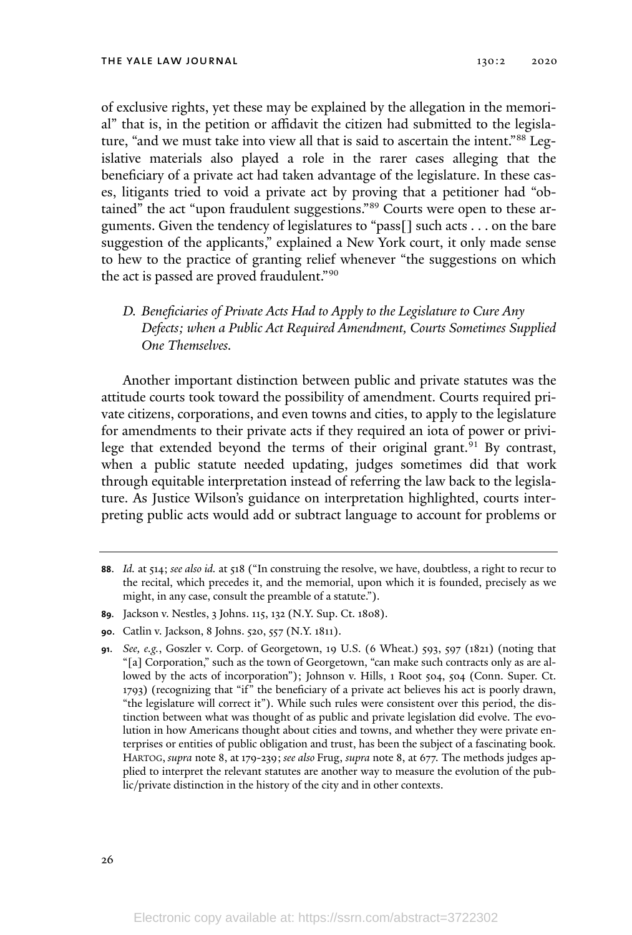of exclusive rights, yet these may be explained by the allegation in the memorial" that is, in the petition or affidavit the citizen had submitted to the legislature, "and we must take into view all that is said to ascertain the intent."<sup>88</sup> Legislative materials also played a role in the rarer cases alleging that the beneficiary of a private act had taken advantage of the legislature. In these cases, litigants tried to void a private act by proving that a petitioner had "obtained" the act "upon fraudulent suggestions." <sup>89</sup> Courts were open to these arguments. Given the tendency of legislatures to "pass[] such acts . . . on the bare suggestion of the applicants," explained a New York court, it only made sense to hew to the practice of granting relief whenever "the suggestions on which the act is passed are proved fraudulent." 90

*D. Beneficiaries of Private Acts Had to Apply to the Legislature to Cure Any Defects; when a Public Act Required Amendment, Courts Sometimes Supplied One Themselves.*

Another important distinction between public and private statutes was the attitude courts took toward the possibility of amendment. Courts required private citizens, corporations, and even towns and cities, to apply to the legislature for amendments to their private acts if they required an iota of power or privilege that extended beyond the terms of their original grant.<sup>91</sup> By contrast, when a public statute needed updating, judges sometimes did that work through equitable interpretation instead of referring the law back to the legislature. As Justice Wilson's guidance on interpretation highlighted, courts interpreting public acts would add or subtract language to account for problems or

**<sup>88</sup>**. *Id.* at 514; *see also id.* at 518 ("In construing the resolve, we have, doubtless, a right to recur to the recital, which precedes it, and the memorial, upon which it is founded, precisely as we might, in any case, consult the preamble of a statute.").

**<sup>89</sup>***.* Jackson v. Nestles, 3 Johns. 115, 132 (N.Y. Sup. Ct. 1808).

**<sup>90</sup>**. Catlin v. Jackson, 8 Johns. 520, 557 (N.Y. 1811).

**<sup>91</sup>**. *See, e.g.*, Goszler v. Corp. of Georgetown, 19 U.S. (6 Wheat.) 593, 597 (1821) (noting that "[a] Corporation," such as the town of Georgetown, "can make such contracts only as are allowed by the acts of incorporation"); Johnson v. Hills, 1 Root 504, 504 (Conn. Super. Ct. 1793) (recognizing that "if" the beneficiary of a private act believes his act is poorly drawn, "the legislature will correct it"). While such rules were consistent over this period, the distinction between what was thought of as public and private legislation did evolve. The evolution in how Americans thought about cities and towns, and whether they were private enterprises or entities of public obligation and trust, has been the subject of a fascinating book. HARTOG, *supra* note 8, at 179-239; *see also* Frug, *supra* note 8, at 677. The methods judges applied to interpret the relevant statutes are another way to measure the evolution of the public/private distinction in the history of the city and in other contexts.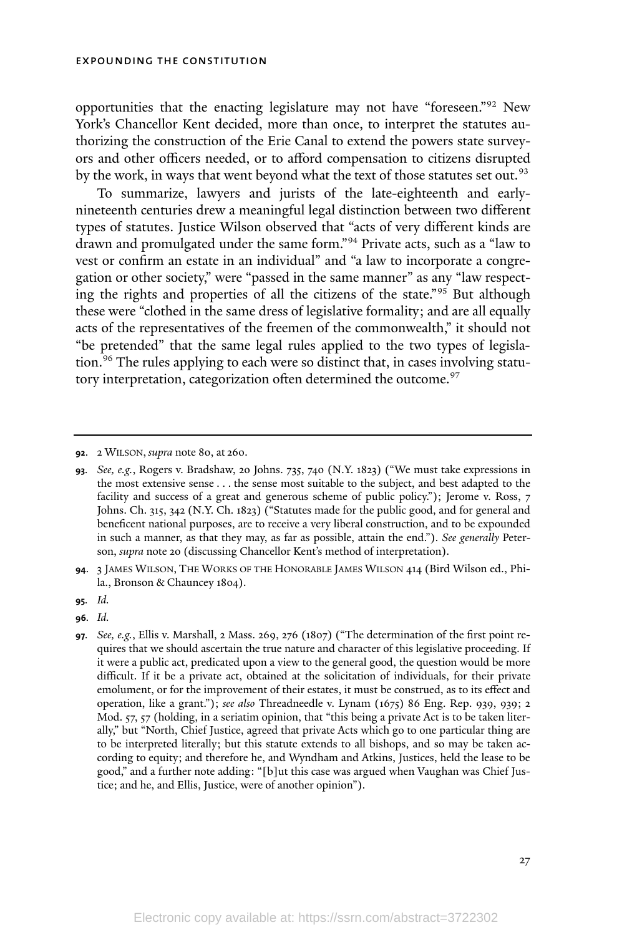opportunities that the enacting legislature may not have "foreseen." <sup>92</sup> New York's Chancellor Kent decided, more than once, to interpret the statutes authorizing the construction of the Erie Canal to extend the powers state surveyors and other officers needed, or to afford compensation to citizens disrupted by the work, in ways that went beyond what the text of those statutes set out.<sup>93</sup>

To summarize, lawyers and jurists of the late-eighteenth and earlynineteenth centuries drew a meaningful legal distinction between two different types of statutes. Justice Wilson observed that "acts of very different kinds are drawn and promulgated under the same form."<sup>94</sup> Private acts, such as a "law to vest or confirm an estate in an individual" and "a law to incorporate a congregation or other society," were "passed in the same manner" as any "law respecting the rights and properties of all the citizens of the state."<sup>95</sup> But although these were "clothed in the same dress of legislative formality; and are all equally acts of the representatives of the freemen of the commonwealth," it should not "be pretended" that the same legal rules applied to the two types of legislation. <sup>96</sup> The rules applying to each were so distinct that, in cases involving statutory interpretation, categorization often determined the outcome. 97

**<sup>92</sup>**. 2 WILSON, *supra* note 80, at 260.

**<sup>93</sup>***. See, e.g.*, Rogers v. Bradshaw, 20 Johns. 735, 740 (N.Y. 1823) ("We must take expressions in the most extensive sense . . . the sense most suitable to the subject, and best adapted to the facility and success of a great and generous scheme of public policy."); Jerome v. Ross, 7 Johns. Ch. 315, 342 (N.Y. Ch. 1823) ("Statutes made for the public good, and for general and beneficent national purposes, are to receive a very liberal construction, and to be expounded in such a manner, as that they may, as far as possible, attain the end."). *See generally* Peterson, *supra* note 20 (discussing Chancellor Kent's method of interpretation).

**<sup>94</sup>**. 3 JAMES WILSON, THE WORKS OF THE HONORABLE JAMES WILSON 414 (Bird Wilson ed., Phila., Bronson & Chauncey 1804).

**<sup>95</sup>***. Id.*

**<sup>96</sup>***. Id.*

**<sup>97</sup>***. See, e.g.*, Ellis v. Marshall, 2 Mass. 269, 276 (1807) ("The determination of the first point requires that we should ascertain the true nature and character of this legislative proceeding. If it were a public act, predicated upon a view to the general good, the question would be more difficult. If it be a private act, obtained at the solicitation of individuals, for their private emolument, or for the improvement of their estates, it must be construed, as to its effect and operation, like a grant."); *see also* Threadneedle v. Lynam (1675) 86 Eng. Rep. 939, 939; 2 Mod. 57, 57 (holding, in a seriatim opinion, that "this being a private Act is to be taken literally," but "North, Chief Justice, agreed that private Acts which go to one particular thing are to be interpreted literally; but this statute extends to all bishops, and so may be taken according to equity; and therefore he, and Wyndham and Atkins, Justices, held the lease to be good," and a further note adding: "[b]ut this case was argued when Vaughan was Chief Justice; and he, and Ellis, Justice, were of another opinion").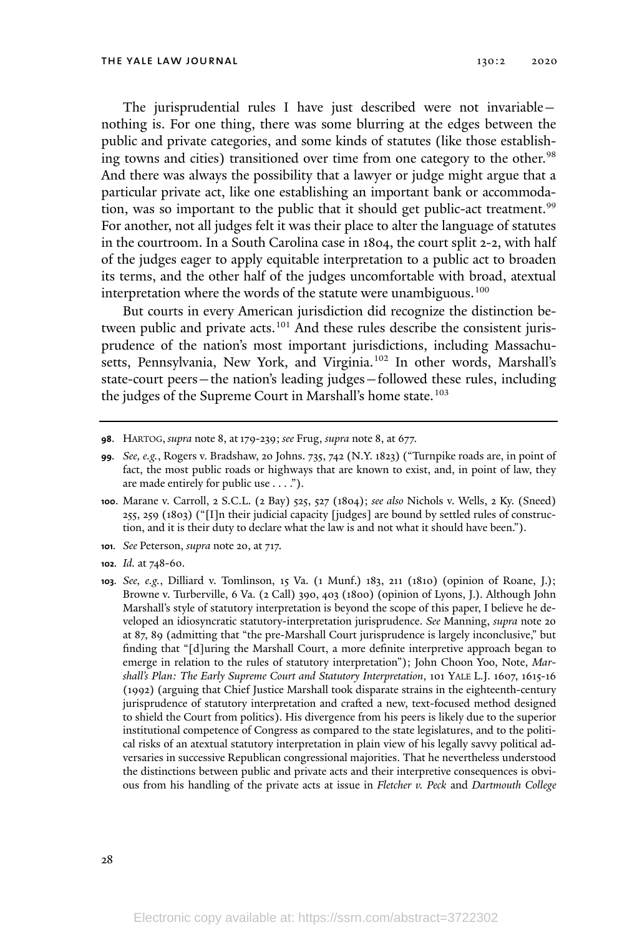The jurisprudential rules I have just described were not invariable nothing is. For one thing, there was some blurring at the edges between the public and private categories, and some kinds of statutes (like those establishing towns and cities) transitioned over time from one category to the other.<sup>98</sup> And there was always the possibility that a lawyer or judge might argue that a particular private act, like one establishing an important bank or accommodation, was so important to the public that it should get public-act treatment. 99 For another, not all judges felt it was their place to alter the language of statutes in the courtroom. In a South Carolina case in 1804, the court split 2-2, with half of the judges eager to apply equitable interpretation to a public act to broaden its terms, and the other half of the judges uncomfortable with broad, atextual interpretation where the words of the statute were unambiguous.<sup>100</sup>

But courts in every American jurisdiction did recognize the distinction between public and private acts.<sup>101</sup> And these rules describe the consistent jurisprudence of the nation's most important jurisdictions, including Massachusetts, Pennsylvania, New York, and Virginia. <sup>102</sup> In other words, Marshall's state-court peers—the nation's leading judges—followed these rules, including the judges of the Supreme Court in Marshall's home state.<sup>103</sup>

**<sup>98</sup>**. HARTOG, *supra* note 8, at179-239; *see* Frug, *supra* note 8, at 677.

- **<sup>101</sup>***. See* Peterson, *supra* note 20, at 717.
- **<sup>102</sup>***. Id.* at 748-60.
- **<sup>103</sup>***. See, e.g.*, Dilliard v. Tomlinson, 15 Va. (1 Munf.) 183, 211 (1810) (opinion of Roane, J.); Browne v. Turberville, 6 Va. (2 Call) 390, 403 (1800) (opinion of Lyons, J.). Although John Marshall's style of statutory interpretation is beyond the scope of this paper, I believe he developed an idiosyncratic statutory-interpretation jurisprudence. *See* Manning, *supra* note 20 at 87, 89 (admitting that "the pre-Marshall Court jurisprudence is largely inconclusive," but finding that "[d]uring the Marshall Court, a more definite interpretive approach began to emerge in relation to the rules of statutory interpretation"); John Choon Yoo, Note, *Marshall's Plan: The Early Supreme Court and Statutory Interpretation*, 101 YALE L.J. 1607, 1615-16 (1992) (arguing that Chief Justice Marshall took disparate strains in the eighteenth-century jurisprudence of statutory interpretation and crafted a new, text-focused method designed to shield the Court from politics). His divergence from his peers is likely due to the superior institutional competence of Congress as compared to the state legislatures, and to the political risks of an atextual statutory interpretation in plain view of his legally savvy political adversaries in successive Republican congressional majorities. That he nevertheless understood the distinctions between public and private acts and their interpretive consequences is obvious from his handling of the private acts at issue in *Fletcher v. Peck* and *Dartmouth College*

**<sup>99</sup>***. See, e.g.*, Rogers v. Bradshaw, 20 Johns. 735, 742 (N.Y. 1823) ("Turnpike roads are, in point of fact, the most public roads or highways that are known to exist, and, in point of law, they are made entirely for public use . . . .").

**<sup>100</sup>**. Marane v. Carroll, 2 S.C.L. (2 Bay) 525, 527 (1804); *see also* Nichols v. Wells, 2 Ky. (Sneed) 255, 259 (1803) ("[I]n their judicial capacity [judges] are bound by settled rules of construction, and it is their duty to declare what the law is and not what it should have been.").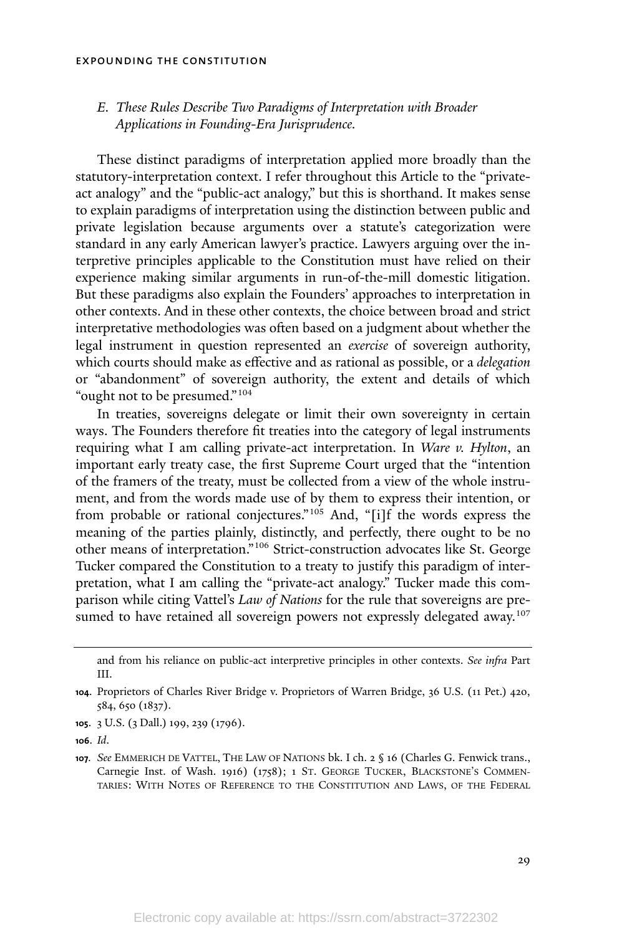## *E. These Rules Describe Two Paradigms of Interpretation with Broader Applications in Founding-Era Jurisprudence.*

These distinct paradigms of interpretation applied more broadly than the statutory-interpretation context. I refer throughout this Article to the "privateact analogy" and the "public-act analogy," but this is shorthand. It makes sense to explain paradigms of interpretation using the distinction between public and private legislation because arguments over a statute's categorization were standard in any early American lawyer's practice. Lawyers arguing over the interpretive principles applicable to the Constitution must have relied on their experience making similar arguments in run-of-the-mill domestic litigation. But these paradigms also explain the Founders' approaches to interpretation in other contexts. And in these other contexts, the choice between broad and strict interpretative methodologies was often based on a judgment about whether the legal instrument in question represented an *exercise* of sovereign authority, which courts should make as effective and as rational as possible, or a *delegation* or "abandonment" of sovereign authority, the extent and details of which "ought not to be presumed."<sup>104</sup>

In treaties, sovereigns delegate or limit their own sovereignty in certain ways. The Founders therefore fit treaties into the category of legal instruments requiring what I am calling private-act interpretation. In *Ware v. Hylton*, an important early treaty case, the first Supreme Court urged that the "intention of the framers of the treaty, must be collected from a view of the whole instrument, and from the words made use of by them to express their intention, or from probable or rational conjectures." <sup>105</sup> And, "[i]f the words express the meaning of the parties plainly, distinctly, and perfectly, there ought to be no other means of interpretation."<sup>106</sup> Strict-construction advocates like St. George Tucker compared the Constitution to a treaty to justify this paradigm of interpretation, what I am calling the "private-act analogy." Tucker made this comparison while citing Vattel's *Law of Nations* for the rule that sovereigns are presumed to have retained all sovereign powers not expressly delegated away. 107

and from his reliance on public-act interpretive principles in other contexts. *See infra* Part III.

**<sup>104</sup>**. Proprietors of Charles River Bridge v. Proprietors of Warren Bridge, 36 U.S. (11 Pet.) 420, 584, 650 (1837).

**<sup>105</sup>**. 3 U.S. (3 Dall.) 199, 239 (1796).

**<sup>106</sup>**. *Id*.

**<sup>107</sup>***. See* EMMERICH DE VATTEL, THE LAW OF NATIONS bk. I ch. 2 § 16 (Charles G. Fenwick trans., Carnegie Inst. of Wash. 1916) (1758); 1 ST. GEORGE TUCKER, BLACKSTONE'<sup>S</sup> COMMEN-TARIES: WITH NOTES OF REFERENCE TO THE CONSTITUTION AND LAWS, OF THE FEDERAL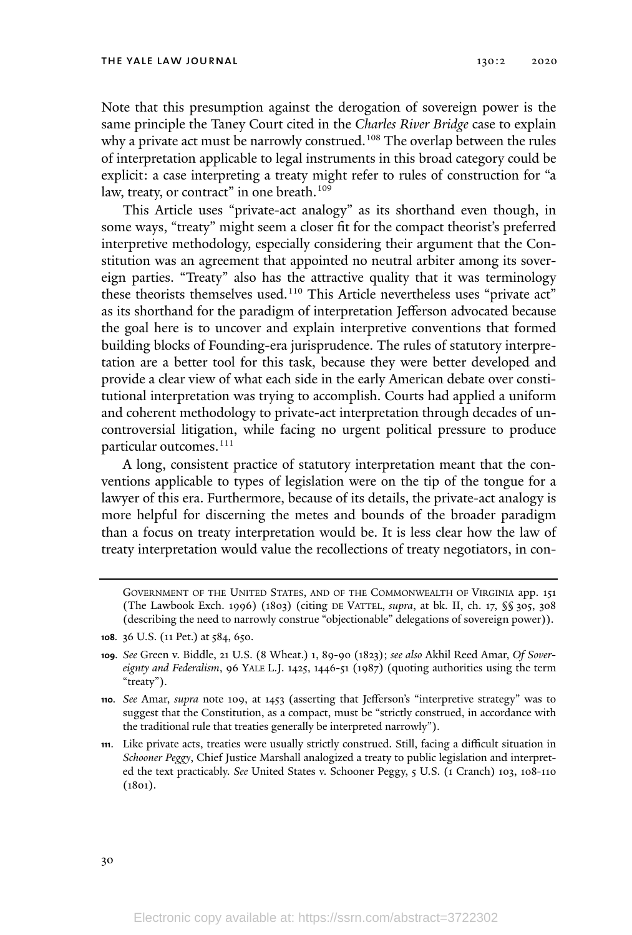Note that this presumption against the derogation of sovereign power is the same principle the Taney Court cited in the *Charles River Bridge* case to explain why a private act must be narrowly construed. <sup>108</sup> The overlap between the rules of interpretation applicable to legal instruments in this broad category could be explicit: a case interpreting a treaty might refer to rules of construction for "a law, treaty, or contract" in one breath. 109

This Article uses "private-act analogy" as its shorthand even though, in some ways, "treaty" might seem a closer fit for the compact theorist's preferred interpretive methodology, especially considering their argument that the Constitution was an agreement that appointed no neutral arbiter among its sovereign parties. "Treaty" also has the attractive quality that it was terminology these theorists themselves used. <sup>110</sup> This Article nevertheless uses "private act" as its shorthand for the paradigm of interpretation Jefferson advocated because the goal here is to uncover and explain interpretive conventions that formed building blocks of Founding-era jurisprudence. The rules of statutory interpretation are a better tool for this task, because they were better developed and provide a clear view of what each side in the early American debate over constitutional interpretation was trying to accomplish. Courts had applied a uniform and coherent methodology to private-act interpretation through decades of uncontroversial litigation, while facing no urgent political pressure to produce particular outcomes. 111

A long, consistent practice of statutory interpretation meant that the conventions applicable to types of legislation were on the tip of the tongue for a lawyer of this era. Furthermore, because of its details, the private-act analogy is more helpful for discerning the metes and bounds of the broader paradigm than a focus on treaty interpretation would be. It is less clear how the law of treaty interpretation would value the recollections of treaty negotiators, in con-

GOVERNMENT OF THE UNITED STATES, AND OF THE COMMONWEALTH OF VIRGINIA app. 151 (The Lawbook Exch. 1996) (1803) (citing DE VATTEL, *supra*, at bk. II, ch. 17, §§ 305, 308 (describing the need to narrowly construe "objectionable" delegations of sovereign power)).

- **<sup>108</sup>***.* 36 U.S. (11 Pet.) at 584, 650.
- **<sup>109</sup>***. See* Green v. Biddle, 21 U.S. (8 Wheat.) 1, 89-90 (1823); *see also* Akhil Reed Amar, *Of Sovereignty and Federalism*, 96 YALE L.J. 1425, 1446-51 (1987) (quoting authorities using the term "treaty").
- **<sup>110</sup>***. See* Amar, *supra* note 109, at 1453 (asserting that Jefferson's "interpretive strategy" was to suggest that the Constitution, as a compact, must be "strictly construed, in accordance with the traditional rule that treaties generally be interpreted narrowly").
- **<sup>111</sup>**. Like private acts, treaties were usually strictly construed. Still, facing a difficult situation in *Schooner Peggy*, Chief Justice Marshall analogized a treaty to public legislation and interpreted the text practicably. *See* United States v. Schooner Peggy, 5 U.S. (1 Cranch) 103, 108-110 (1801).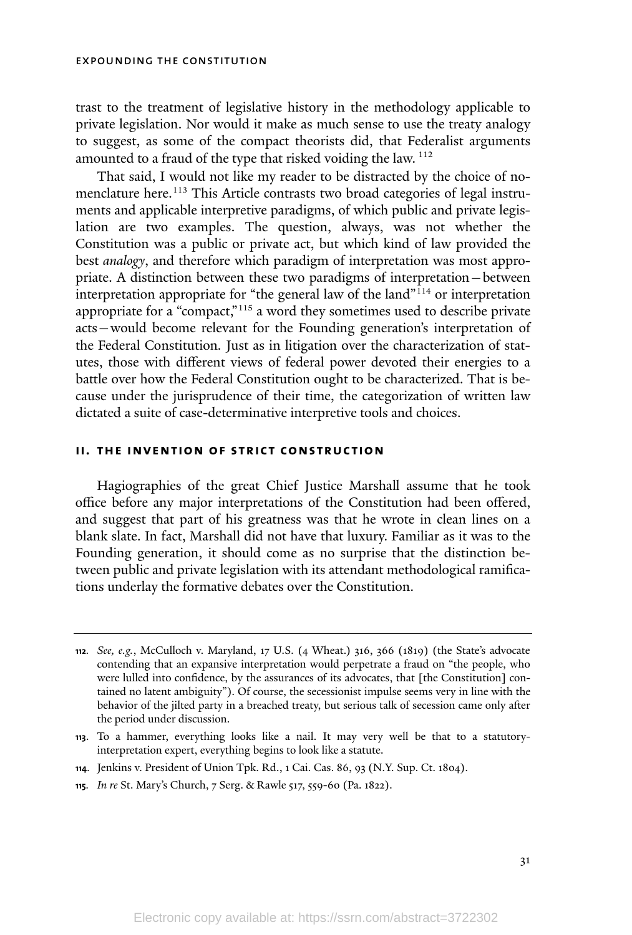trast to the treatment of legislative history in the methodology applicable to private legislation. Nor would it make as much sense to use the treaty analogy to suggest, as some of the compact theorists did, that Federalist arguments amounted to a fraud of the type that risked voiding the law. <sup>112</sup>

That said, I would not like my reader to be distracted by the choice of nomenclature here. <sup>113</sup> This Article contrasts two broad categories of legal instruments and applicable interpretive paradigms, of which public and private legislation are two examples. The question, always, was not whether the Constitution was a public or private act, but which kind of law provided the best *analogy*, and therefore which paradigm of interpretation was most appropriate. A distinction between these two paradigms of interpretation—between interpretation appropriate for "the general law of the land" <sup>114</sup> or interpretation appropriate for a "compact,"<sup>115</sup> a word they sometimes used to describe private acts—would become relevant for the Founding generation's interpretation of the Federal Constitution*.* Just as in litigation over the characterization of statutes, those with different views of federal power devoted their energies to a battle over how the Federal Constitution ought to be characterized. That is because under the jurisprudence of their time, the categorization of written law dictated a suite of case-determinative interpretive tools and choices.

#### **ii. the invention of strict construction**

Hagiographies of the great Chief Justice Marshall assume that he took office before any major interpretations of the Constitution had been offered, and suggest that part of his greatness was that he wrote in clean lines on a blank slate. In fact, Marshall did not have that luxury. Familiar as it was to the Founding generation, it should come as no surprise that the distinction between public and private legislation with its attendant methodological ramifications underlay the formative debates over the Constitution.

**<sup>112</sup>***. See, e.g.*, McCulloch v. Maryland, 17 U.S. (4 Wheat.) 316, 366 (1819) (the State's advocate contending that an expansive interpretation would perpetrate a fraud on "the people, who were lulled into confidence, by the assurances of its advocates, that [the Constitution] contained no latent ambiguity"). Of course, the secessionist impulse seems very in line with the behavior of the jilted party in a breached treaty, but serious talk of secession came only after the period under discussion.

**<sup>113</sup>**. To a hammer, everything looks like a nail. It may very well be that to a statutoryinterpretation expert, everything begins to look like a statute.

**<sup>114</sup>**. Jenkins v. President of Union Tpk. Rd., 1 Cai. Cas. 86, 93 (N.Y. Sup. Ct. 1804).

**<sup>115</sup>***. In re* St. Mary's Church, 7 Serg. & Rawle 517, 559-60 (Pa. 1822).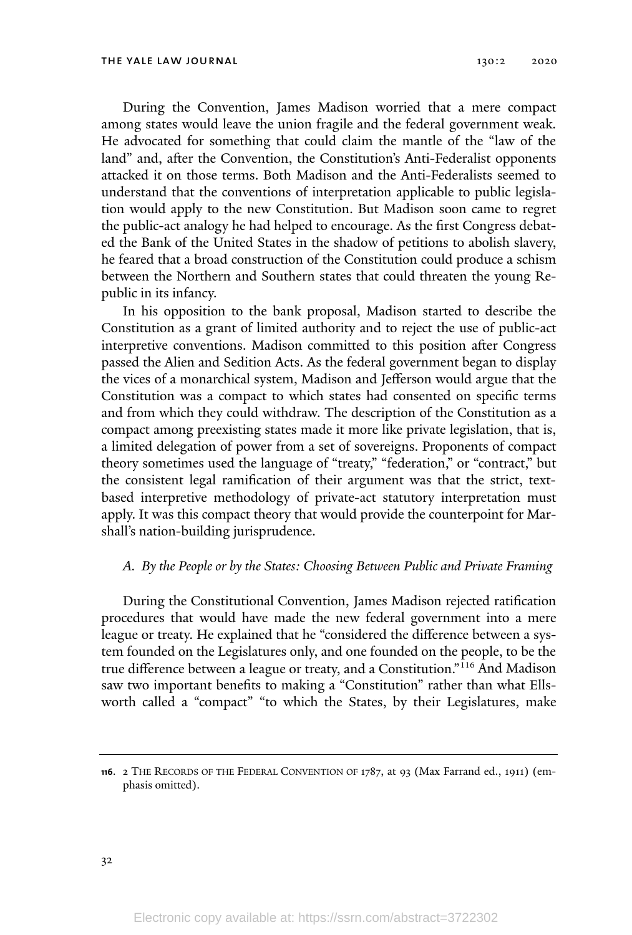During the Convention, James Madison worried that a mere compact among states would leave the union fragile and the federal government weak. He advocated for something that could claim the mantle of the "law of the land" and, after the Convention, the Constitution's Anti-Federalist opponents attacked it on those terms. Both Madison and the Anti-Federalists seemed to understand that the conventions of interpretation applicable to public legislation would apply to the new Constitution. But Madison soon came to regret the public-act analogy he had helped to encourage. As the first Congress debated the Bank of the United States in the shadow of petitions to abolish slavery, he feared that a broad construction of the Constitution could produce a schism between the Northern and Southern states that could threaten the young Republic in its infancy.

In his opposition to the bank proposal, Madison started to describe the Constitution as a grant of limited authority and to reject the use of public-act interpretive conventions. Madison committed to this position after Congress passed the Alien and Sedition Acts. As the federal government began to display the vices of a monarchical system, Madison and Jefferson would argue that the Constitution was a compact to which states had consented on specific terms and from which they could withdraw. The description of the Constitution as a compact among preexisting states made it more like private legislation, that is, a limited delegation of power from a set of sovereigns. Proponents of compact theory sometimes used the language of "treaty," "federation," or "contract," but the consistent legal ramification of their argument was that the strict, textbased interpretive methodology of private-act statutory interpretation must apply. It was this compact theory that would provide the counterpoint for Marshall's nation-building jurisprudence.

#### *A. By the People or by the States: Choosing Between Public and Private Framing*

During the Constitutional Convention, James Madison rejected ratification procedures that would have made the new federal government into a mere league or treaty. He explained that he "considered the difference between a system founded on the Legislatures only, and one founded on the people, to be the true difference between a league or treaty, and a Constitution."<sup>116</sup> And Madison saw two important benefits to making a "Constitution" rather than what Ellsworth called a "compact" "to which the States, by their Legislatures, make

**<sup>116</sup>**. 2 THE RECORDS OF THE FEDERAL CONVENTION OF 1787, at 93 (Max Farrand ed., 1911) (emphasis omitted).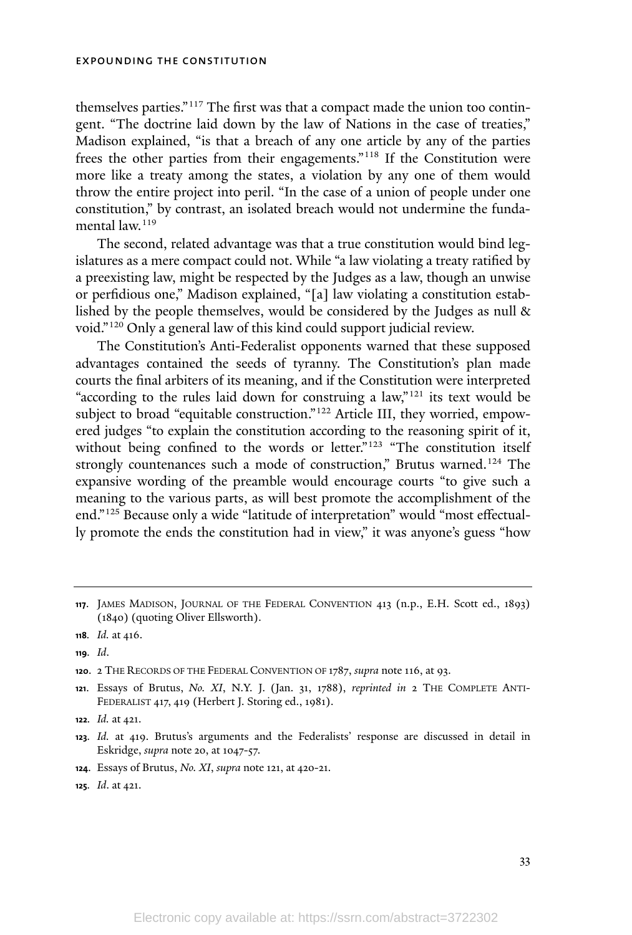themselves parties."<sup>117</sup> The first was that a compact made the union too contingent. "The doctrine laid down by the law of Nations in the case of treaties," Madison explained, "is that a breach of any one article by any of the parties frees the other parties from their engagements."<sup>118</sup> If the Constitution were more like a treaty among the states, a violation by any one of them would throw the entire project into peril. "In the case of a union of people under one constitution," by contrast, an isolated breach would not undermine the fundamental law.<sup>119</sup>

The second, related advantage was that a true constitution would bind legislatures as a mere compact could not. While "a law violating a treaty ratified by a preexisting law, might be respected by the Judges as a law, though an unwise or perfidious one," Madison explained, "[a] law violating a constitution established by the people themselves, would be considered by the Judges as null & void."<sup>120</sup> Only a general law of this kind could support judicial review.

The Constitution's Anti-Federalist opponents warned that these supposed advantages contained the seeds of tyranny. The Constitution's plan made courts the final arbiters of its meaning, and if the Constitution were interpreted "according to the rules laid down for construing a law,"<sup>121</sup> its text would be subject to broad "equitable construction."<sup>122</sup> Article III, they worried, empowered judges "to explain the constitution according to the reasoning spirit of it, without being confined to the words or letter."<sup>123</sup> "The constitution itself strongly countenances such a mode of construction," Brutus warned.<sup>124</sup> The expansive wording of the preamble would encourage courts "to give such a meaning to the various parts, as will best promote the accomplishment of the end." <sup>125</sup> Because only a wide "latitude of interpretation" would "most effectually promote the ends the constitution had in view," it was anyone's guess "how

**<sup>121</sup>**. Essays of Brutus, *No. XI*, N.Y. J. (Jan. 31, 1788), *reprinted in* 2 THE COMPLETE ANTI-FEDERALIST 417, 419 (Herbert J. Storing ed., 1981).

- **<sup>124</sup>**. Essays of Brutus, *No. XI*, *supra* note 121, at 420-21.
- **<sup>125</sup>***. Id*. at 421.

**<sup>117</sup>**. JAMES MADISON, JOURNAL OF THE FEDERAL CONVENTION 413 (n.p., E.H. Scott ed., 1893) (1840) (quoting Oliver Ellsworth).

**<sup>118</sup>***. Id.* at 416.

**<sup>119</sup>***. Id*.

**<sup>120</sup>**. 2 THE RECORDS OF THE FEDERAL CONVENTION OF 1787, *supra* note 116, at 93.

**<sup>122</sup>***. Id.* at 421.

**<sup>123</sup>***. Id.* at 419. Brutus's arguments and the Federalists' response are discussed in detail in Eskridge, *supra* note 20, at 1047-57.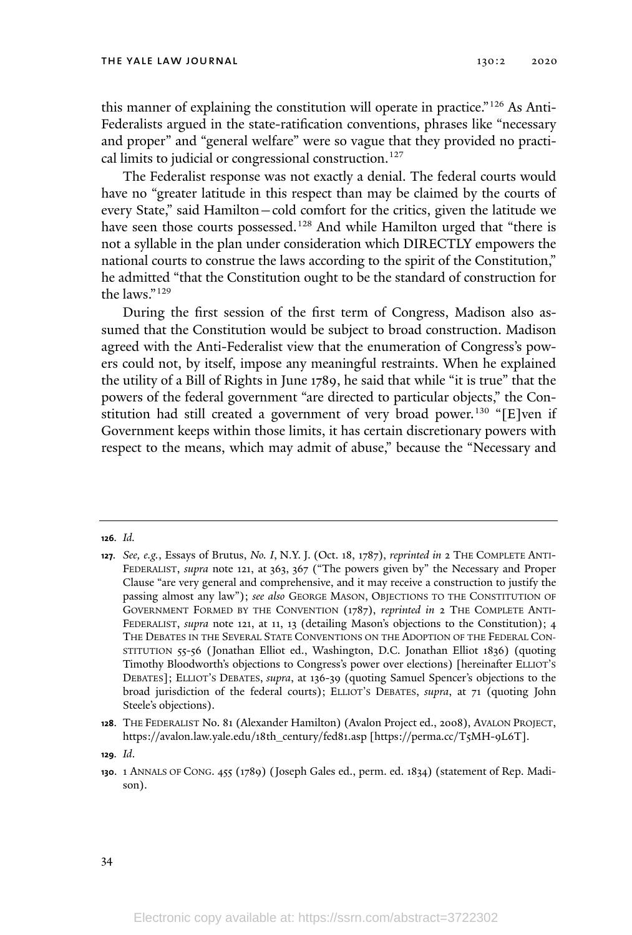this manner of explaining the constitution will operate in practice." <sup>126</sup> As Anti-Federalists argued in the state-ratification conventions, phrases like "necessary and proper" and "general welfare" were so vague that they provided no practical limits to judicial or congressional construction.<sup>127</sup>

The Federalist response was not exactly a denial. The federal courts would have no "greater latitude in this respect than may be claimed by the courts of every State," said Hamilton—cold comfort for the critics, given the latitude we have seen those courts possessed.<sup>128</sup> And while Hamilton urged that "there is not a syllable in the plan under consideration which DIRECTLY empowers the national courts to construe the laws according to the spirit of the Constitution," he admitted "that the Constitution ought to be the standard of construction for the laws."<sup>129</sup>

During the first session of the first term of Congress, Madison also assumed that the Constitution would be subject to broad construction. Madison agreed with the Anti-Federalist view that the enumeration of Congress's powers could not, by itself, impose any meaningful restraints. When he explained the utility of a Bill of Rights in June 1789, he said that while "it is true" that the powers of the federal government "are directed to particular objects," the Constitution had still created a government of very broad power.<sup>130</sup> "[E]ven if Government keeps within those limits, it has certain discretionary powers with respect to the means, which may admit of abuse," because the "Necessary and

**<sup>126</sup>***. Id.*

**<sup>127</sup>***. See, e.g.*, Essays of Brutus, *No. I*, N.Y. J. (Oct. 18, 1787), *reprinted in* 2 THE COMPLETE ANTI-FEDERALIST, *supra* note 121, at 363, 367 ("The powers given by" the Necessary and Proper Clause "are very general and comprehensive, and it may receive a construction to justify the passing almost any law"); *see also* GEORGE MASON, OBJECTIONS TO THE CONSTITUTION OF GOVERNMENT FORMED BY THE CONVENTION (1787), *reprinted in* 2 THE COMPLETE ANTI-FEDERALIST, *supra* note 121, at 11, 13 (detailing Mason's objections to the Constitution); 4 THE DEBATES IN THE SEVERAL STATE CONVENTIONS ON THE ADOPTION OF THE FEDERAL CON-STITUTION 55-56 (Jonathan Elliot ed., Washington, D.C. Jonathan Elliot 1836) (quoting Timothy Bloodworth's objections to Congress's power over elections) [hereinafter ELLIOT'<sup>S</sup> DEBATES]; ELLIOT'<sup>S</sup> DEBATES, *supra*, at 136-39 (quoting Samuel Spencer's objections to the broad jurisdiction of the federal courts); ELLIOT'<sup>S</sup> DEBATES, *supra*, at 71 (quoting John Steele's objections).

**<sup>128</sup>**. THE FEDERALIST No. 81 (Alexander Hamilton) (Avalon Project ed., 2008), AVALON PROJECT, https://avalon.law.yale.edu/18th\_century/fed81.asp [https://perma.cc/T5MH-9L6T].

**<sup>129</sup>***. Id*.

**<sup>130</sup>**. 1 ANNALS OF CONG. 455 (1789) (Joseph Gales ed., perm. ed. 1834) (statement of Rep. Madison).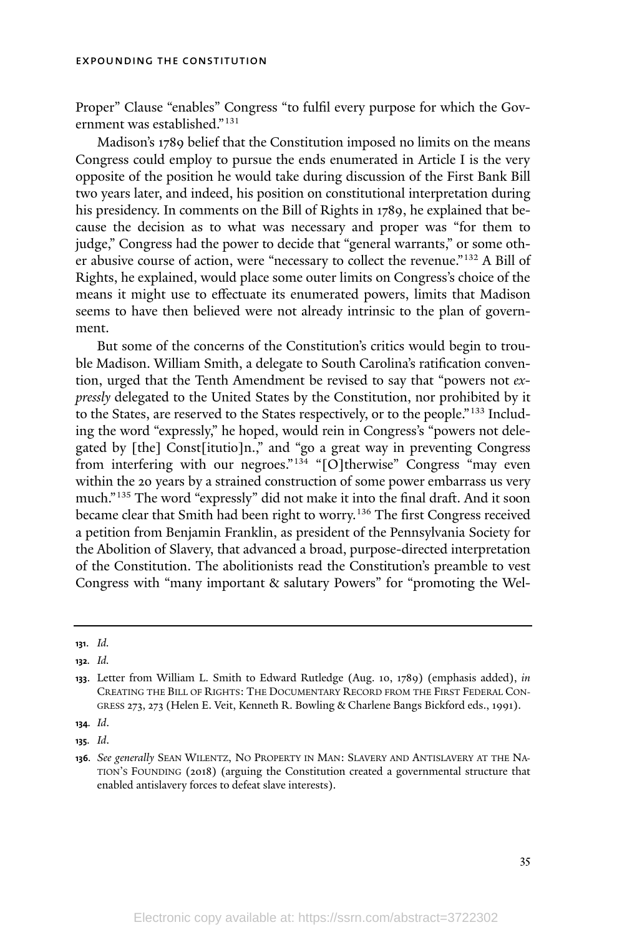Proper" Clause "enables" Congress "to fulfil every purpose for which the Government was established."<sup>131</sup>

Madison's 1789 belief that the Constitution imposed no limits on the means Congress could employ to pursue the ends enumerated in Article I is the very opposite of the position he would take during discussion of the First Bank Bill two years later, and indeed, his position on constitutional interpretation during his presidency. In comments on the Bill of Rights in 1789, he explained that because the decision as to what was necessary and proper was "for them to judge," Congress had the power to decide that "general warrants," or some other abusive course of action, were "necessary to collect the revenue."<sup>132</sup> A Bill of Rights, he explained, would place some outer limits on Congress's choice of the means it might use to effectuate its enumerated powers, limits that Madison seems to have then believed were not already intrinsic to the plan of government.

But some of the concerns of the Constitution's critics would begin to trouble Madison. William Smith, a delegate to South Carolina's ratification convention, urged that the Tenth Amendment be revised to say that "powers not *expressly* delegated to the United States by the Constitution, nor prohibited by it to the States, are reserved to the States respectively, or to the people."<sup>133</sup> Including the word "expressly," he hoped, would rein in Congress's "powers not delegated by [the] Const[itutio]n.," and "go a great way in preventing Congress from interfering with our negroes." <sup>134</sup> "[O]therwise" Congress "may even within the 20 years by a strained construction of some power embarrass us very much." <sup>135</sup> The word "expressly" did not make it into the final draft. And it soon became clear that Smith had been right to worry.<sup>136</sup> The first Congress received a petition from Benjamin Franklin, as president of the Pennsylvania Society for the Abolition of Slavery, that advanced a broad, purpose-directed interpretation of the Constitution. The abolitionists read the Constitution's preamble to vest Congress with "many important & salutary Powers" for "promoting the Wel-

**<sup>131</sup>**. *Id.*

**<sup>132</sup>***. Id.*

**<sup>133</sup>**. Letter from William L. Smith to Edward Rutledge (Aug. 10, 1789) (emphasis added), *in* CREATING THE BILL OF RIGHTS: THE DOCUMENTARY RECORD FROM THE FIRST FEDERAL CON-GRESS 273, 273 (Helen E. Veit, Kenneth R. Bowling & Charlene Bangs Bickford eds., 1991).

**<sup>134</sup>***. Id*.

**<sup>135</sup>***. Id*.

**<sup>136</sup>***. See generally* SEAN WILENTZ, NO PROPERTY IN MAN: SLAVERY AND ANTISLAVERY AT THE NA-TION'<sup>S</sup> FOUNDING (2018) (arguing the Constitution created a governmental structure that enabled antislavery forces to defeat slave interests).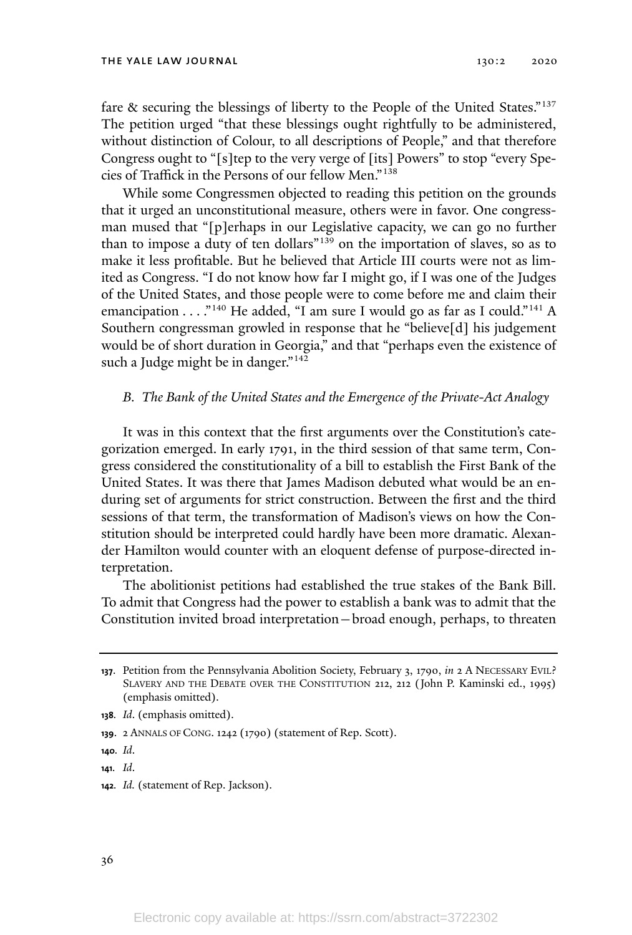fare & securing the blessings of liberty to the People of the United States."<sup>137</sup> The petition urged "that these blessings ought rightfully to be administered, without distinction of Colour, to all descriptions of People," and that therefore Congress ought to "[s]tep to the very verge of [its] Powers" to stop "every Species of Traffick in the Persons of our fellow Men." 138

While some Congressmen objected to reading this petition on the grounds that it urged an unconstitutional measure, others were in favor. One congressman mused that "[p]erhaps in our Legislative capacity, we can go no further than to impose a duty of ten dollars"<sup>139</sup> on the importation of slaves, so as to make it less profitable. But he believed that Article III courts were not as limited as Congress. "I do not know how far I might go, if I was one of the Judges of the United States, and those people were to come before me and claim their emancipation . . . ."<sup>140</sup> He added, "I am sure I would go as far as I could."<sup>141</sup> A Southern congressman growled in response that he "believe[d] his judgement would be of short duration in Georgia," and that "perhaps even the existence of such a Judge might be in danger." $142$ 

#### *B. The Bank of the United States and the Emergence of the Private-Act Analogy*

It was in this context that the first arguments over the Constitution's categorization emerged. In early 1791, in the third session of that same term, Congress considered the constitutionality of a bill to establish the First Bank of the United States. It was there that James Madison debuted what would be an enduring set of arguments for strict construction. Between the first and the third sessions of that term, the transformation of Madison's views on how the Constitution should be interpreted could hardly have been more dramatic. Alexander Hamilton would counter with an eloquent defense of purpose-directed interpretation.

The abolitionist petitions had established the true stakes of the Bank Bill. To admit that Congress had the power to establish a bank was to admit that the Constitution invited broad interpretation—broad enough, perhaps, to threaten

**<sup>137</sup>**. Petition from the Pennsylvania Abolition Society, February 3, 1790, *in* 2 A NECESSARY EVIL? SLAVERY AND THE DEBATE OVER THE CONSTITUTION 212, 212 (John P. Kaminski ed., 1995) (emphasis omitted).

**<sup>138</sup>***. Id*. (emphasis omitted).

**<sup>139</sup>**. 2 ANNALS OF CONG. 1242 (1790) (statement of Rep. Scott).

**<sup>140</sup>***. Id*.

**<sup>141</sup>***. Id*.

**<sup>142</sup>***. Id.* (statement of Rep. Jackson).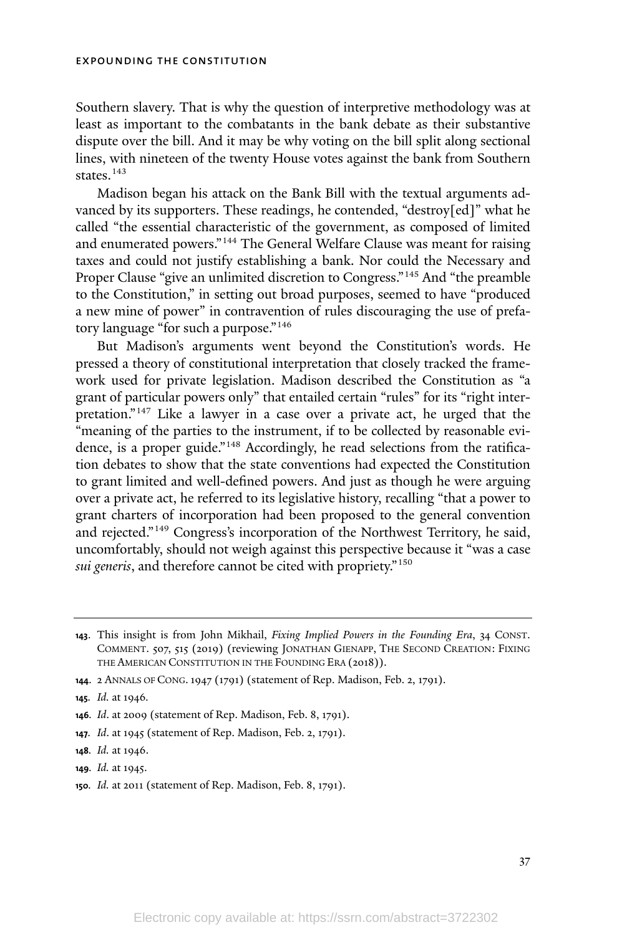Southern slavery. That is why the question of interpretive methodology was at least as important to the combatants in the bank debate as their substantive dispute over the bill. And it may be why voting on the bill split along sectional lines, with nineteen of the twenty House votes against the bank from Southern states. 143

Madison began his attack on the Bank Bill with the textual arguments advanced by its supporters. These readings, he contended, "destroy[ed]" what he called "the essential characteristic of the government, as composed of limited and enumerated powers."<sup>144</sup> The General Welfare Clause was meant for raising taxes and could not justify establishing a bank. Nor could the Necessary and Proper Clause "give an unlimited discretion to Congress."<sup>145</sup> And "the preamble to the Constitution," in setting out broad purposes, seemed to have "produced a new mine of power" in contravention of rules discouraging the use of prefatory language "for such a purpose." 146

But Madison's arguments went beyond the Constitution's words. He pressed a theory of constitutional interpretation that closely tracked the framework used for private legislation. Madison described the Constitution as "a grant of particular powers only" that entailed certain "rules" for its "right interpretation." <sup>147</sup> Like a lawyer in a case over a private act, he urged that the "meaning of the parties to the instrument, if to be collected by reasonable evidence, is a proper guide." <sup>148</sup> Accordingly, he read selections from the ratification debates to show that the state conventions had expected the Constitution to grant limited and well-defined powers. And just as though he were arguing over a private act, he referred to its legislative history, recalling "that a power to grant charters of incorporation had been proposed to the general convention and rejected."<sup>149</sup> Congress's incorporation of the Northwest Territory, he said, uncomfortably, should not weigh against this perspective because it "was a case *sui generis*, and therefore cannot be cited with propriety." 150

**<sup>144</sup>**. 2 ANNALS OF CONG.1947 (1791) (statement of Rep. Madison, Feb. 2, 1791).

**<sup>150</sup>***. Id.* at 2011 (statement of Rep. Madison, Feb. 8, 1791).

**<sup>143</sup>**. This insight is from John Mikhail, *Fixing Implied Powers in the Founding Era*, 34 CONST. COMMENT. 507, 515 (2019) (reviewing JONATHAN GIENAPP, THE SECOND CREATION: FIXING THE AMERICAN CONSTITUTION IN THE FOUNDING ERA (2018)).

**<sup>145</sup>***. Id.* at 1946*.*

**<sup>146</sup>***. Id*. at 2009 (statement of Rep. Madison, Feb. 8, 1791).

**<sup>147</sup>***. Id*. at 1945 (statement of Rep. Madison, Feb. 2, 1791).

**<sup>148</sup>***. Id.* at 1946.

**<sup>149</sup>***. Id.* at 1945.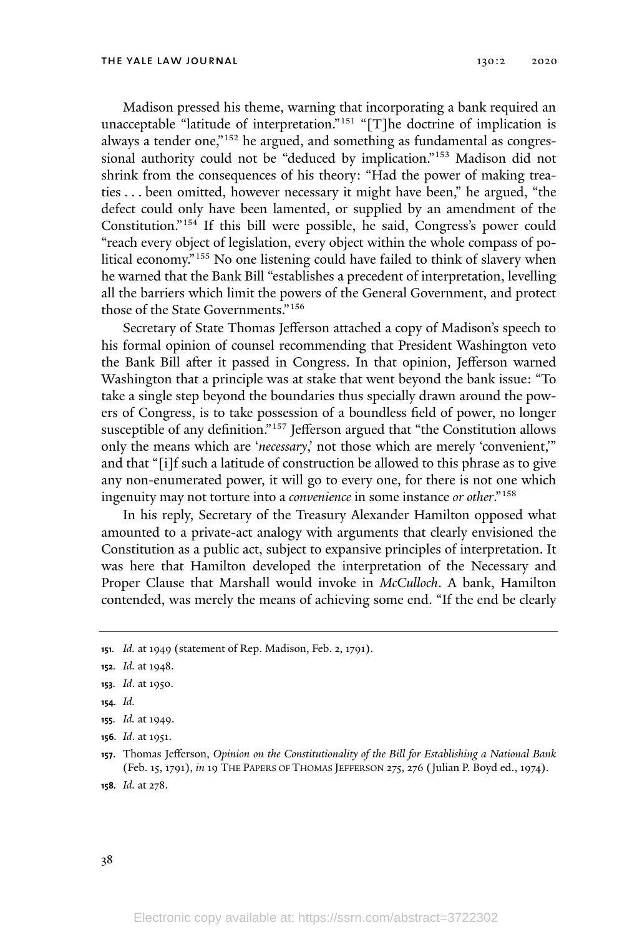Madison pressed his theme, warning that incorporating a bank required an unacceptable "latitude of interpretation."<sup>151</sup> "[T]he doctrine of implication is always a tender one,"<sup>152</sup> he argued, and something as fundamental as congressional authority could not be "deduced by implication." <sup>153</sup> Madison did not shrink from the consequences of his theory: "Had the power of making treaties . . . been omitted, however necessary it might have been," he argued, "the defect could only have been lamented, or supplied by an amendment of the Constitution." <sup>154</sup> If this bill were possible, he said, Congress's power could "reach every object of legislation, every object within the whole compass of political economy." <sup>155</sup> No one listening could have failed to think of slavery when he warned that the Bank Bill "establishes a precedent of interpretation, levelling all the barriers which limit the powers of the General Government, and protect those of the State Governments." 156

Secretary of State Thomas Jefferson attached a copy of Madison's speech to his formal opinion of counsel recommending that President Washington veto the Bank Bill after it passed in Congress. In that opinion, Jefferson warned Washington that a principle was at stake that went beyond the bank issue: "To take a single step beyond the boundaries thus specially drawn around the powers of Congress, is to take possession of a boundless field of power, no longer susceptible of any definition."<sup>157</sup> Jefferson argued that "the Constitution allows only the means which are '*necessary*,' not those which are merely 'convenient,'" and that "[i]f such a latitude of construction be allowed to this phrase as to give any non-enumerated power, it will go to every one, for there is not one which ingenuity may not torture into a *convenience* in some instance *or other*."<sup>158</sup>

In his reply, Secretary of the Treasury Alexander Hamilton opposed what amounted to a private-act analogy with arguments that clearly envisioned the Constitution as a public act, subject to expansive principles of interpretation. It was here that Hamilton developed the interpretation of the Necessary and Proper Clause that Marshall would invoke in *McCulloch*. A bank, Hamilton contended, was merely the means of achieving some end. "If the end be clearly

**<sup>151</sup>***. Id.* at 1949 (statement of Rep. Madison, Feb. 2, 1791).

**<sup>152</sup>***. Id.* at 1948.

**<sup>153</sup>***. Id*. at 1950.

**<sup>154</sup>***. Id.*

**<sup>155</sup>***. Id.* at 1949.

**<sup>156</sup>***. Id*. at 1951.

**<sup>157</sup>**. Thomas Jefferson, *Opinion on the Constitutionality of the Bill for Establishing a National Bank* (Feb. 15, 1791), *in* 19 THE PAPERS OF THOMAS JEFFERSON 275, 276 (Julian P. Boyd ed., 1974).

**<sup>158</sup>***. Id.* at 278.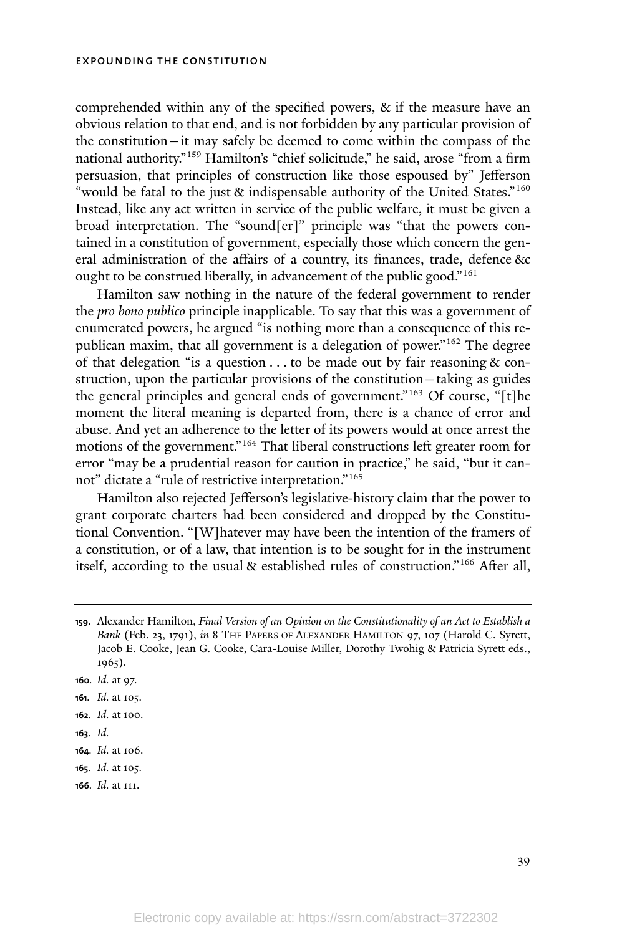comprehended within any of the specified powers, & if the measure have an obvious relation to that end, and is not forbidden by any particular provision of the constitution—it may safely be deemed to come within the compass of the national authority."<sup>159</sup> Hamilton's "chief solicitude," he said, arose "from a firm persuasion, that principles of construction like those espoused by" Jefferson "would be fatal to the just & indispensable authority of the United States."<sup>160</sup> Instead, like any act written in service of the public welfare, it must be given a broad interpretation. The "sound[er]" principle was "that the powers contained in a constitution of government, especially those which concern the general administration of the affairs of a country, its finances, trade, defence &c ought to be construed liberally, in advancement of the public good."<sup>161</sup>

Hamilton saw nothing in the nature of the federal government to render the *pro bono publico* principle inapplicable. To say that this was a government of enumerated powers, he argued "is nothing more than a consequence of this republican maxim, that all government is a delegation of power." <sup>162</sup> The degree of that delegation "is a question  $\ldots$  to be made out by fair reasoning  $\&$  construction, upon the particular provisions of the constitution—taking as guides the general principles and general ends of government."<sup>163</sup> Of course, "[t]he moment the literal meaning is departed from, there is a chance of error and abuse. And yet an adherence to the letter of its powers would at once arrest the motions of the government."<sup>164</sup> That liberal constructions left greater room for error "may be a prudential reason for caution in practice," he said, "but it cannot" dictate a "rule of restrictive interpretation."<sup>165</sup>

Hamilton also rejected Jefferson's legislative-history claim that the power to grant corporate charters had been considered and dropped by the Constitutional Convention. "[W]hatever may have been the intention of the framers of a constitution, or of a law, that intention is to be sought for in the instrument itself, according to the usual & established rules of construction." <sup>166</sup> After all,

- **<sup>160</sup>***. Id.* at 97.
- **<sup>161</sup>***. Id.* at 105.
- **<sup>162</sup>***. Id.* at 100.
- **163***. Id.*
- **<sup>164</sup>***. Id.* at 106.
- **<sup>165</sup>***. Id.* at 105.
- **<sup>166</sup>***. Id.* at 111.

**<sup>159</sup>**. Alexander Hamilton, *Final Version of an Opinion on the Constitutionality of an Act to Establish a Bank* (Feb. 23, 1791), *in* 8 THE PAPERS OF ALEXANDER HAMILTON 97, 107 (Harold C. Syrett, Jacob E. Cooke, Jean G. Cooke, Cara-Louise Miller, Dorothy Twohig & Patricia Syrett eds., 1965).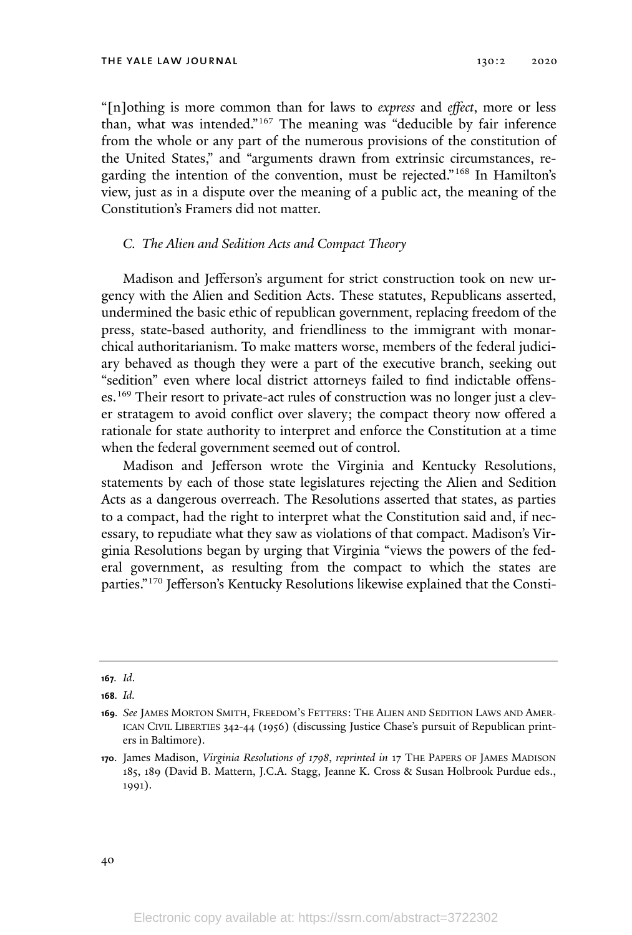"[n]othing is more common than for laws to *express* and *effect*, more or less than, what was intended."<sup>167</sup> The meaning was "deducible by fair inference from the whole or any part of the numerous provisions of the constitution of the United States," and "arguments drawn from extrinsic circumstances, regarding the intention of the convention, must be rejected."<sup>168</sup> In Hamilton's view, just as in a dispute over the meaning of a public act, the meaning of the Constitution's Framers did not matter.

# *C. The Alien and Sedition Acts and Compact Theory*

Madison and Jefferson's argument for strict construction took on new urgency with the Alien and Sedition Acts. These statutes, Republicans asserted, undermined the basic ethic of republican government, replacing freedom of the press, state-based authority, and friendliness to the immigrant with monarchical authoritarianism. To make matters worse, members of the federal judiciary behaved as though they were a part of the executive branch, seeking out "sedition" even where local district attorneys failed to find indictable offenses.<sup>169</sup> Their resort to private-act rules of construction was no longer just a clever stratagem to avoid conflict over slavery; the compact theory now offered a rationale for state authority to interpret and enforce the Constitution at a time when the federal government seemed out of control.

Madison and Jefferson wrote the Virginia and Kentucky Resolutions, statements by each of those state legislatures rejecting the Alien and Sedition Acts as a dangerous overreach. The Resolutions asserted that states, as parties to a compact, had the right to interpret what the Constitution said and, if necessary, to repudiate what they saw as violations of that compact. Madison's Virginia Resolutions began by urging that Virginia "views the powers of the federal government, as resulting from the compact to which the states are parties." <sup>170</sup> Jefferson's Kentucky Resolutions likewise explained that the Consti-

40

**<sup>167</sup>***. Id*.

**<sup>168</sup>***. Id.*

**<sup>169</sup>***. See* JAMES MORTON SMITH, FREEDOM'S FETTERS: THE ALIEN AND SEDITION LAWS AND AMER-ICAN CIVIL LIBERTIES 342-44 (1956) (discussing Justice Chase's pursuit of Republican printers in Baltimore).

**<sup>170</sup>**. James Madison, *Virginia Resolutions of 1798*, *reprinted in* 17 THE PAPERS OF JAMES MADISON 185, 189 (David B. Mattern, J.C.A. Stagg, Jeanne K. Cross & Susan Holbrook Purdue eds., 1991).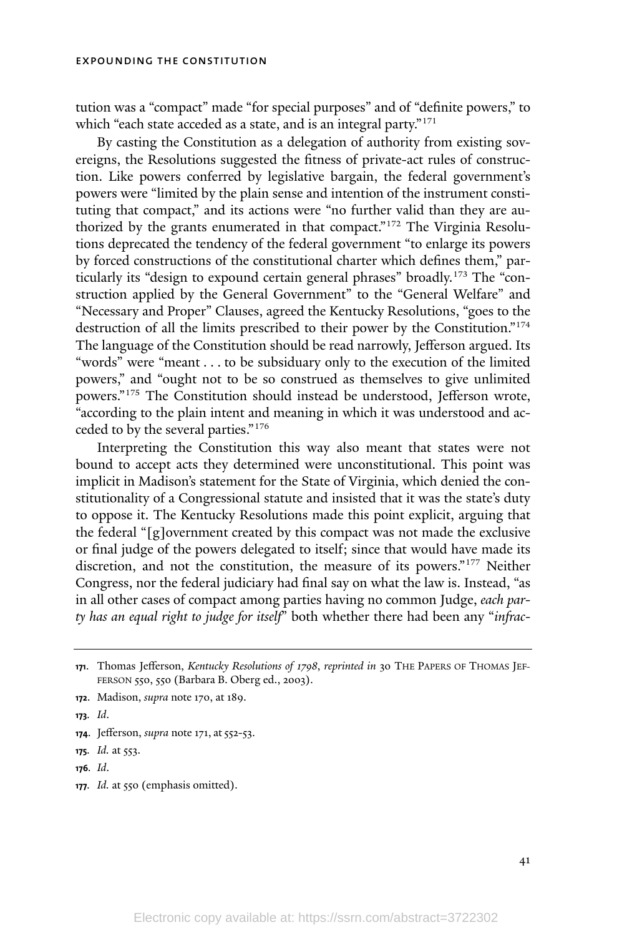tution was a "compact" made "for special purposes" and of "definite powers," to which "each state acceded as a state, and is an integral party."<sup>171</sup>

By casting the Constitution as a delegation of authority from existing sovereigns, the Resolutions suggested the fitness of private-act rules of construction. Like powers conferred by legislative bargain, the federal government's powers were "limited by the plain sense and intention of the instrument constituting that compact," and its actions were "no further valid than they are authorized by the grants enumerated in that compact." <sup>172</sup> The Virginia Resolutions deprecated the tendency of the federal government "to enlarge its powers by forced constructions of the constitutional charter which defines them," particularly its "design to expound certain general phrases" broadly.<sup>173</sup> The "construction applied by the General Government" to the "General Welfare" and "Necessary and Proper" Clauses, agreed the Kentucky Resolutions, "goes to the destruction of all the limits prescribed to their power by the Constitution."<sup>174</sup> The language of the Constitution should be read narrowly, Jefferson argued. Its "words" were "meant . . . to be subsiduary only to the execution of the limited powers," and "ought not to be so construed as themselves to give unlimited powers." <sup>175</sup> The Constitution should instead be understood, Jefferson wrote, "according to the plain intent and meaning in which it was understood and acceded to by the several parties."<sup>176</sup>

Interpreting the Constitution this way also meant that states were not bound to accept acts they determined were unconstitutional. This point was implicit in Madison's statement for the State of Virginia, which denied the constitutionality of a Congressional statute and insisted that it was the state's duty to oppose it. The Kentucky Resolutions made this point explicit, arguing that the federal "[g]overnment created by this compact was not made the exclusive or final judge of the powers delegated to itself; since that would have made its discretion, and not the constitution, the measure of its powers."<sup>177</sup> Neither Congress, nor the federal judiciary had final say on what the law is. Instead, "as in all other cases of compact among parties having no common Judge, *each party has an equal right to judge for itself*" both whether there had been any "*infrac-*

**<sup>177</sup>***. Id.* at 550 (emphasis omitted).

**<sup>171</sup>**. Thomas Jefferson, *Kentucky Resolutions of 1798*, *reprinted in* 30 THE PAPERS OF THOMAS JEF-FERSON 550, 550 (Barbara B. Oberg ed., 2003).

**<sup>172</sup>**. Madison, *supra* note 170, at 189.

**<sup>173</sup>***. Id*.

**<sup>174.</sup>** Jefferson, *supra* note 171, at 552-53.

**<sup>175</sup>***. Id.* at 553.

**<sup>176</sup>***. Id*.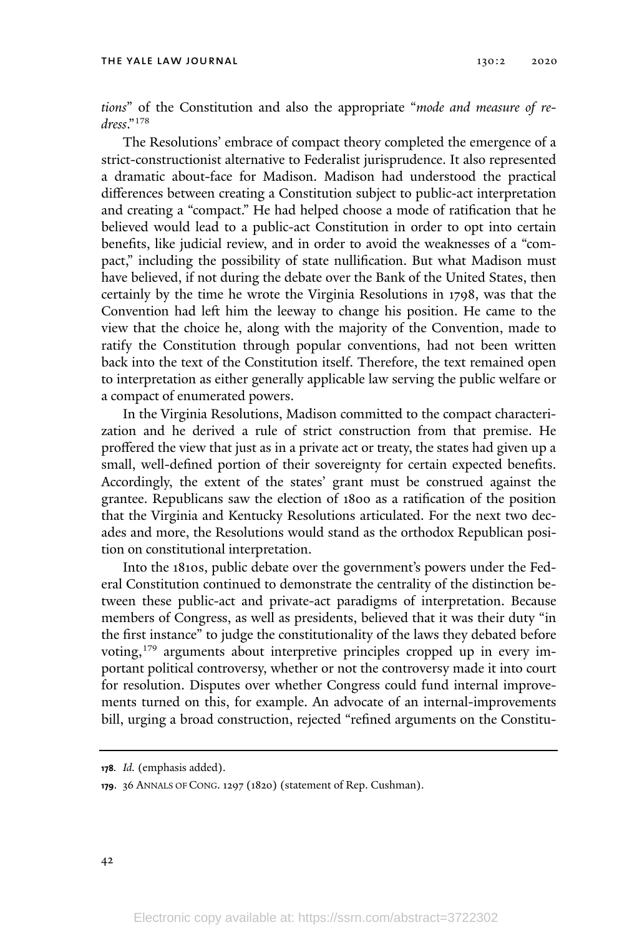*tions*" of the Constitution and also the appropriate "*mode and measure of redress*."<sup>178</sup>

The Resolutions' embrace of compact theory completed the emergence of a strict-constructionist alternative to Federalist jurisprudence. It also represented a dramatic about-face for Madison. Madison had understood the practical differences between creating a Constitution subject to public-act interpretation and creating a "compact." He had helped choose a mode of ratification that he believed would lead to a public-act Constitution in order to opt into certain benefits, like judicial review, and in order to avoid the weaknesses of a "compact," including the possibility of state nullification. But what Madison must have believed, if not during the debate over the Bank of the United States, then certainly by the time he wrote the Virginia Resolutions in 1798, was that the Convention had left him the leeway to change his position. He came to the view that the choice he, along with the majority of the Convention, made to ratify the Constitution through popular conventions, had not been written back into the text of the Constitution itself. Therefore, the text remained open to interpretation as either generally applicable law serving the public welfare or a compact of enumerated powers.

In the Virginia Resolutions, Madison committed to the compact characterization and he derived a rule of strict construction from that premise. He proffered the view that just as in a private act or treaty, the states had given up a small, well-defined portion of their sovereignty for certain expected benefits. Accordingly, the extent of the states' grant must be construed against the grantee. Republicans saw the election of 1800 as a ratification of the position that the Virginia and Kentucky Resolutions articulated. For the next two decades and more, the Resolutions would stand as the orthodox Republican position on constitutional interpretation.

Into the 1810s, public debate over the government's powers under the Federal Constitution continued to demonstrate the centrality of the distinction between these public-act and private-act paradigms of interpretation. Because members of Congress, as well as presidents, believed that it was their duty "in the first instance" to judge the constitutionality of the laws they debated before voting,<sup>179</sup> arguments about interpretive principles cropped up in every important political controversy, whether or not the controversy made it into court for resolution. Disputes over whether Congress could fund internal improvements turned on this, for example. An advocate of an internal-improvements bill, urging a broad construction, rejected "refined arguments on the Constitu-

**<sup>178</sup>***. Id.* (emphasis added).

**<sup>179</sup>**. 36 ANNALS OF CONG. 1297 (1820) (statement of Rep. Cushman).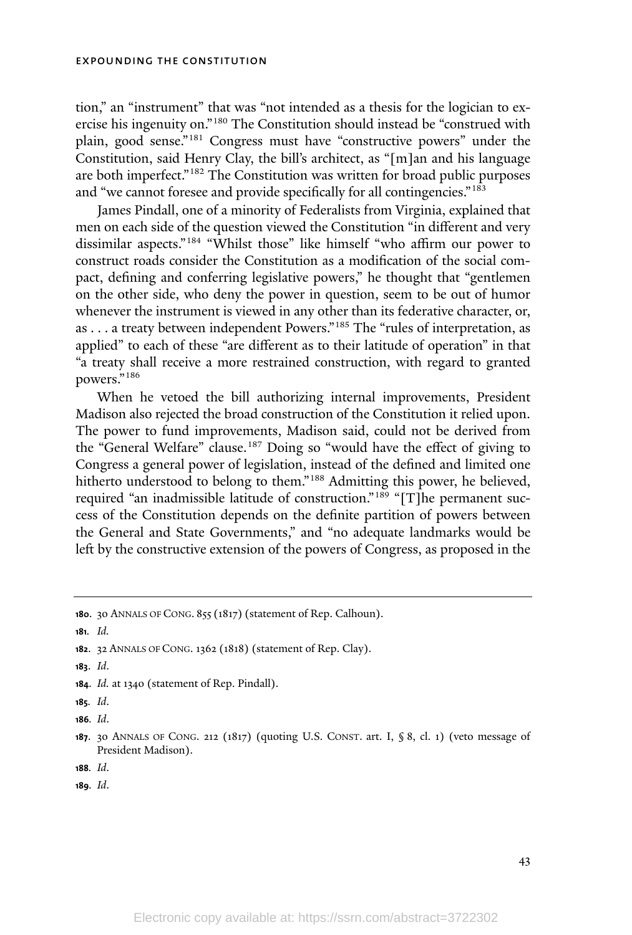tion," an "instrument" that was "not intended as a thesis for the logician to exercise his ingenuity on."<sup>180</sup> The Constitution should instead be "construed with plain, good sense." <sup>181</sup> Congress must have "constructive powers" under the Constitution, said Henry Clay, the bill's architect, as "[m]an and his language are both imperfect."<sup>182</sup> The Constitution was written for broad public purposes and "we cannot foresee and provide specifically for all contingencies."<sup>183</sup>

James Pindall, one of a minority of Federalists from Virginia, explained that men on each side of the question viewed the Constitution "in different and very dissimilar aspects." <sup>184</sup> "Whilst those" like himself "who affirm our power to construct roads consider the Constitution as a modification of the social compact, defining and conferring legislative powers," he thought that "gentlemen on the other side, who deny the power in question, seem to be out of humor whenever the instrument is viewed in any other than its federative character, or, as . . . a treaty between independent Powers."<sup>185</sup> The "rules of interpretation, as applied" to each of these "are different as to their latitude of operation" in that "a treaty shall receive a more restrained construction, with regard to granted powers."<sup>186</sup>

When he vetoed the bill authorizing internal improvements, President Madison also rejected the broad construction of the Constitution it relied upon. The power to fund improvements, Madison said, could not be derived from the "General Welfare" clause. <sup>187</sup> Doing so "would have the effect of giving to Congress a general power of legislation, instead of the defined and limited one hitherto understood to belong to them."<sup>188</sup> Admitting this power, he believed, required "an inadmissible latitude of construction." <sup>189</sup> "[T]he permanent success of the Constitution depends on the definite partition of powers between the General and State Governments," and "no adequate landmarks would be left by the constructive extension of the powers of Congress, as proposed in the

**<sup>180</sup>**. 30 ANNALS OF CONG. 855 (1817) (statement of Rep. Calhoun).

**181***. Id.*

**183**. *Id*.

**<sup>184</sup>**. *Id.* at 1340 (statement of Rep. Pindall).

**185***. Id*.

**186***. Id*.

**<sup>182</sup>**. 32 ANNALS OF CONG. 1362 (1818) (statement of Rep. Clay).

**<sup>187</sup>**. 30 ANNALS OF CONG. 212 (1817) (quoting U.S. CONST. art. I, § 8, cl. 1) (veto message of President Madison).

**<sup>188</sup>***. Id*.

**<sup>189</sup>***. Id*.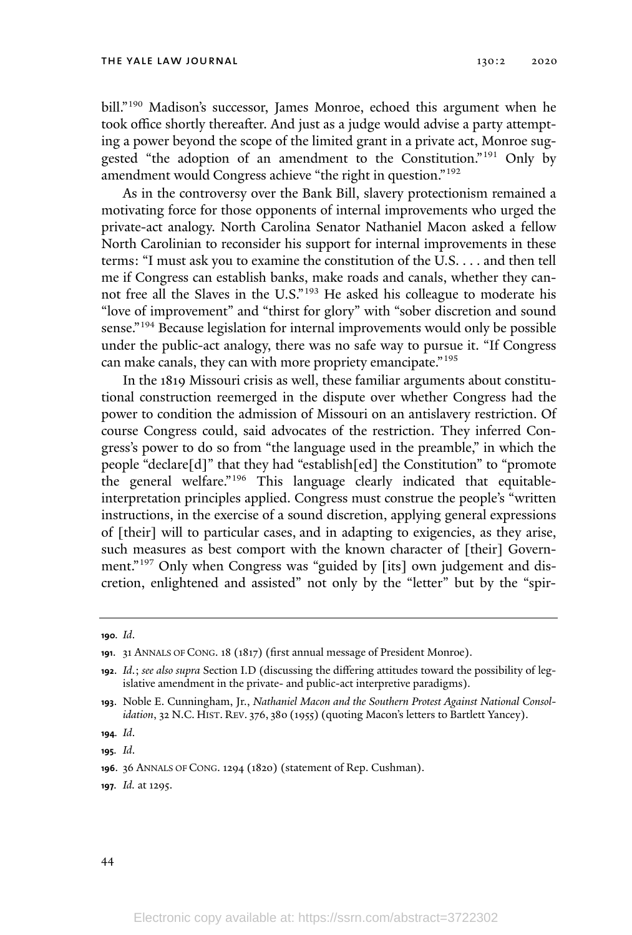bill."<sup>190</sup> Madison's successor, James Monroe, echoed this argument when he took office shortly thereafter. And just as a judge would advise a party attempting a power beyond the scope of the limited grant in a private act, Monroe suggested "the adoption of an amendment to the Constitution."<sup>191</sup> Only by amendment would Congress achieve "the right in question."<sup>192</sup>

As in the controversy over the Bank Bill, slavery protectionism remained a motivating force for those opponents of internal improvements who urged the private-act analogy. North Carolina Senator Nathaniel Macon asked a fellow North Carolinian to reconsider his support for internal improvements in these terms: "I must ask you to examine the constitution of the U.S. . . . and then tell me if Congress can establish banks, make roads and canals, whether they cannot free all the Slaves in the U.S." <sup>193</sup> He asked his colleague to moderate his "love of improvement" and "thirst for glory" with "sober discretion and sound sense." <sup>194</sup> Because legislation for internal improvements would only be possible under the public-act analogy, there was no safe way to pursue it. "If Congress can make canals, they can with more propriety emancipate."<sup>195</sup>

In the 1819 Missouri crisis as well, these familiar arguments about constitutional construction reemerged in the dispute over whether Congress had the power to condition the admission of Missouri on an antislavery restriction. Of course Congress could, said advocates of the restriction. They inferred Congress's power to do so from "the language used in the preamble," in which the people "declare[d]" that they had "establish[ed] the Constitution" to "promote the general welfare." <sup>196</sup> This language clearly indicated that equitableinterpretation principles applied. Congress must construe the people's "written instructions, in the exercise of a sound discretion, applying general expressions of [their] will to particular cases, and in adapting to exigencies, as they arise, such measures as best comport with the known character of [their] Government."<sup>197</sup> Only when Congress was "guided by [its] own judgement and discretion, enlightened and assisted" not only by the "letter" but by the "spir-

**<sup>190</sup>***. Id*.

**<sup>191</sup>**. 31 ANNALS OF CONG. 18 (1817) (first annual message of President Monroe).

**<sup>192</sup>**. *Id*.; *see also supra* Section I.D (discussing the differing attitudes toward the possibility of legislative amendment in the private- and public-act interpretive paradigms).

**<sup>193</sup>**. Noble E. Cunningham, Jr., *Nathaniel Macon and the Southern Protest Against National Consolidation*, 32 N.C. HIST. REV. 376, 380 (1955) (quoting Macon's letters to Bartlett Yancey).

**<sup>194</sup>***. Id*.

**<sup>195</sup>***. Id*.

**<sup>196</sup>**. 36 ANNALS OF CONG. 1294 (1820) (statement of Rep. Cushman).

**<sup>197</sup>***. Id.* at 1295.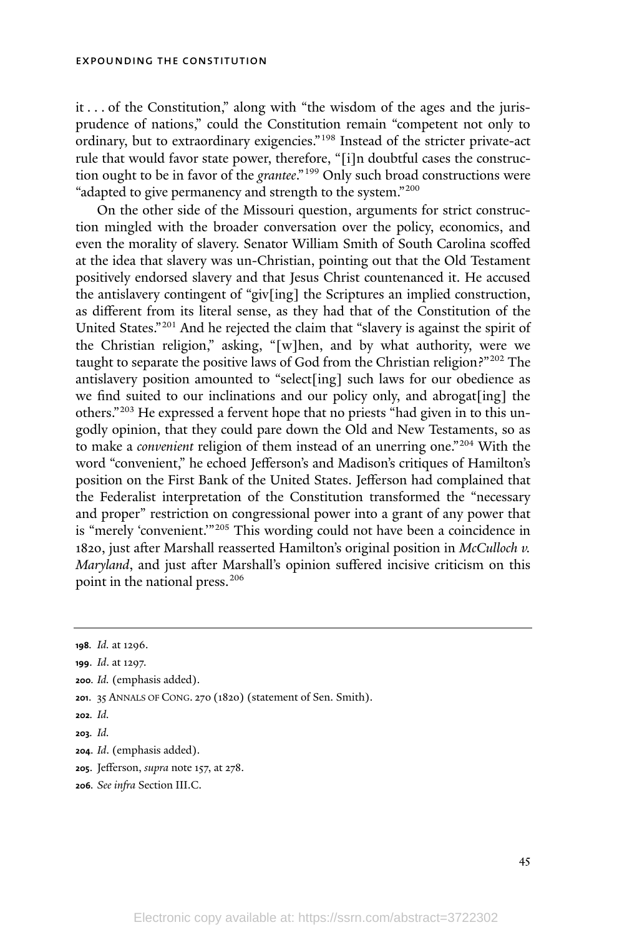it . . . of the Constitution," along with "the wisdom of the ages and the jurisprudence of nations," could the Constitution remain "competent not only to ordinary, but to extraordinary exigencies."<sup>198</sup> Instead of the stricter private-act rule that would favor state power, therefore, "[i]n doubtful cases the construction ought to be in favor of the *grantee*."<sup>199</sup> Only such broad constructions were "adapted to give permanency and strength to the system."<sup>200</sup>

On the other side of the Missouri question, arguments for strict construction mingled with the broader conversation over the policy, economics, and even the morality of slavery. Senator William Smith of South Carolina scoffed at the idea that slavery was un-Christian, pointing out that the Old Testament positively endorsed slavery and that Jesus Christ countenanced it. He accused the antislavery contingent of "giv[ing] the Scriptures an implied construction, as different from its literal sense, as they had that of the Constitution of the United States."<sup>201</sup> And he rejected the claim that "slavery is against the spirit of the Christian religion," asking, "[w]hen, and by what authority, were we taught to separate the positive laws of God from the Christian religion?"<sup>202</sup> The antislavery position amounted to "select[ing] such laws for our obedience as we find suited to our inclinations and our policy only, and abrogat[ing] the others." <sup>203</sup> He expressed a fervent hope that no priests "had given in to this ungodly opinion, that they could pare down the Old and New Testaments, so as to make a *convenient* religion of them instead of an unerring one." <sup>204</sup> With the word "convenient," he echoed Jefferson's and Madison's critiques of Hamilton's position on the First Bank of the United States. Jefferson had complained that the Federalist interpretation of the Constitution transformed the "necessary and proper" restriction on congressional power into a grant of any power that is "merely 'convenient.'" <sup>205</sup> This wording could not have been a coincidence in 1820, just after Marshall reasserted Hamilton's original position in *McCulloch v. Maryland*, and just after Marshall's opinion suffered incisive criticism on this point in the national press.<sup>206</sup>

- **<sup>205</sup>**. Jefferson, *supra* note 157, at 278.
- **206***. See infra* Section III.C.

**<sup>198</sup>***. Id.* at 1296.

**<sup>199</sup>**. *Id*. at 1297.

**<sup>200</sup>***. Id.* (emphasis added).

**<sup>201</sup>**. 35 ANNALS OF CONG. 270 (1820) (statement of Sen. Smith).

**<sup>202</sup>***. Id.*

**<sup>203</sup>***. Id.*

**<sup>204</sup>**. *Id*. (emphasis added).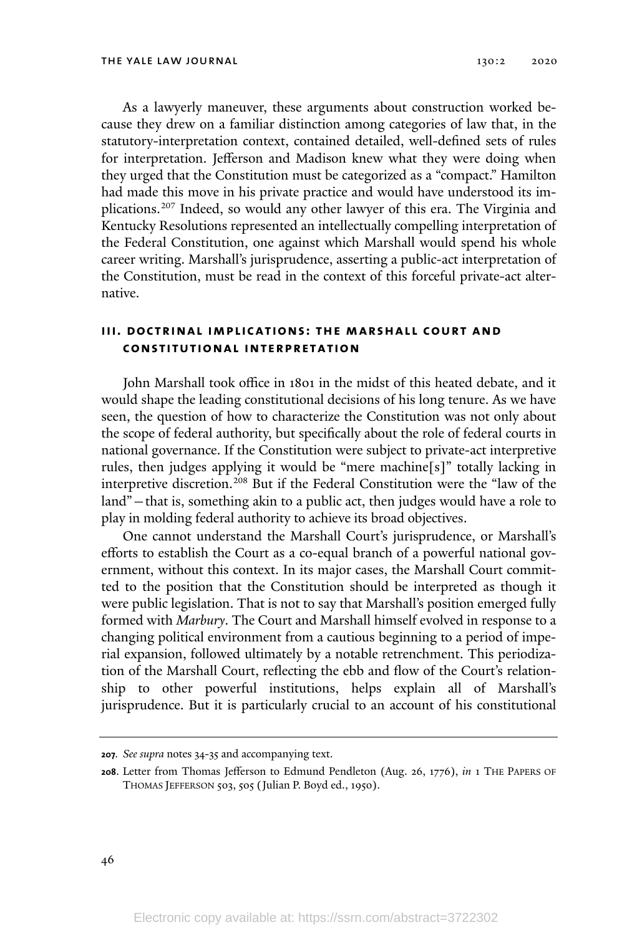As a lawyerly maneuver, these arguments about construction worked because they drew on a familiar distinction among categories of law that, in the statutory-interpretation context, contained detailed, well-defined sets of rules for interpretation. Jefferson and Madison knew what they were doing when they urged that the Constitution must be categorized as a "compact." Hamilton had made this move in his private practice and would have understood its implications. <sup>207</sup> Indeed, so would any other lawyer of this era. The Virginia and Kentucky Resolutions represented an intellectually compelling interpretation of the Federal Constitution, one against which Marshall would spend his whole career writing. Marshall's jurisprudence, asserting a public-act interpretation of the Constitution, must be read in the context of this forceful private-act alternative.

# **iii. doctrinal implications: the marshal l court and constitutional interpretation**

John Marshall took office in 1801 in the midst of this heated debate, and it would shape the leading constitutional decisions of his long tenure. As we have seen, the question of how to characterize the Constitution was not only about the scope of federal authority, but specifically about the role of federal courts in national governance. If the Constitution were subject to private-act interpretive rules, then judges applying it would be "mere machine[s]" totally lacking in interpretive discretion.<sup>208</sup> But if the Federal Constitution were the "law of the land"—that is, something akin to a public act, then judges would have a role to play in molding federal authority to achieve its broad objectives.

One cannot understand the Marshall Court's jurisprudence, or Marshall's efforts to establish the Court as a co-equal branch of a powerful national government, without this context. In its major cases, the Marshall Court committed to the position that the Constitution should be interpreted as though it were public legislation. That is not to say that Marshall's position emerged fully formed with *Marbury*. The Court and Marshall himself evolved in response to a changing political environment from a cautious beginning to a period of imperial expansion, followed ultimately by a notable retrenchment. This periodization of the Marshall Court, reflecting the ebb and flow of the Court's relationship to other powerful institutions, helps explain all of Marshall's jurisprudence. But it is particularly crucial to an account of his constitutional

**<sup>207</sup>***. See supra* notes 34-35 and accompanying text.

**<sup>208</sup>**. Letter from Thomas Jefferson to Edmund Pendleton (Aug. 26, 1776), *in* 1 THE PAPERS OF THOMAS JEFFERSON 503, 505 (Julian P. Boyd ed., 1950).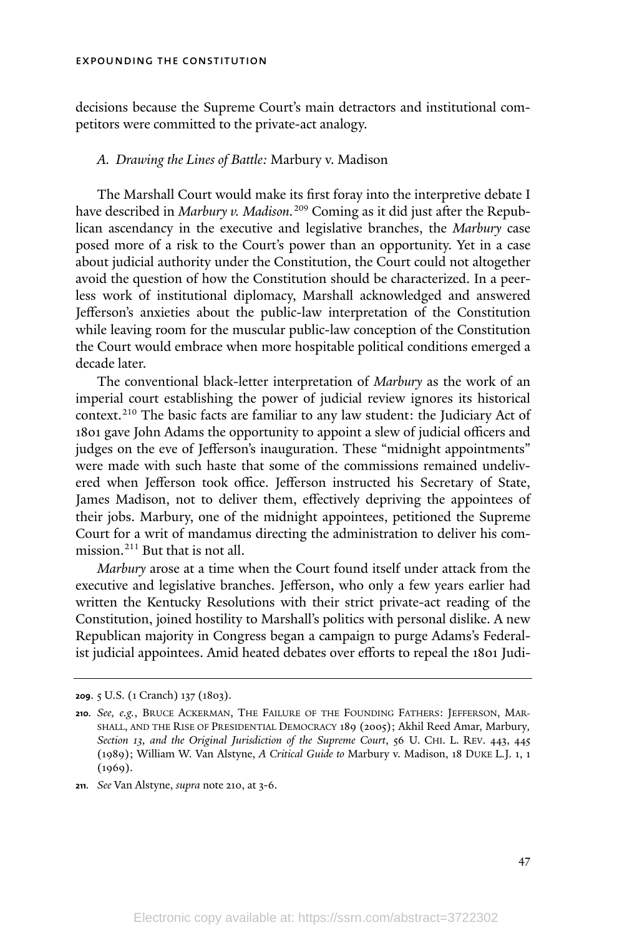decisions because the Supreme Court's main detractors and institutional competitors were committed to the private-act analogy.

# *A. Drawing the Lines of Battle:* Marbury v. Madison

The Marshall Court would make its first foray into the interpretive debate I have described in *Marbury v. Madison.*<sup>209</sup> Coming as it did just after the Republican ascendancy in the executive and legislative branches, the *Marbury* case posed more of a risk to the Court's power than an opportunity. Yet in a case about judicial authority under the Constitution, the Court could not altogether avoid the question of how the Constitution should be characterized. In a peerless work of institutional diplomacy, Marshall acknowledged and answered Jefferson's anxieties about the public-law interpretation of the Constitution while leaving room for the muscular public-law conception of the Constitution the Court would embrace when more hospitable political conditions emerged a decade later.

The conventional black-letter interpretation of *Marbury* as the work of an imperial court establishing the power of judicial review ignores its historical context.<sup>210</sup> The basic facts are familiar to any law student: the Judiciary Act of 1801 gave John Adams the opportunity to appoint a slew of judicial officers and judges on the eve of Jefferson's inauguration. These "midnight appointments" were made with such haste that some of the commissions remained undelivered when Jefferson took office. Jefferson instructed his Secretary of State, James Madison, not to deliver them, effectively depriving the appointees of their jobs. Marbury, one of the midnight appointees, petitioned the Supreme Court for a writ of mandamus directing the administration to deliver his commission.<sup>211</sup> But that is not all.

*Marbury* arose at a time when the Court found itself under attack from the executive and legislative branches. Jefferson, who only a few years earlier had written the Kentucky Resolutions with their strict private-act reading of the Constitution, joined hostility to Marshall's politics with personal dislike. A new Republican majority in Congress began a campaign to purge Adams's Federalist judicial appointees. Amid heated debates over efforts to repeal the 1801 Judi-

**<sup>209</sup>**. 5 U.S. (1 Cranch) 137 (1803).

**<sup>210</sup>***. See, e.g.*, BRUCE ACKERMAN, THE FAILURE OF THE FOUNDING FATHERS: JEFFERSON, MAR-SHALL, AND THE RISE OF PRESIDENTIAL DEMOCRACY 189 (2005); Akhil Reed Amar, Marbury*, Section 13, and the Original Jurisdiction of the Supreme Court*, 56 U. CHI. L. REV. 443, 445 (1989); William W. Van Alstyne, *A Critical Guide to* Marbury v. Madison, 18 DUKE L.J. 1, 1  $(1969).$ 

**<sup>211</sup>***. See* Van Alstyne, *supra* note 210, at 3-6.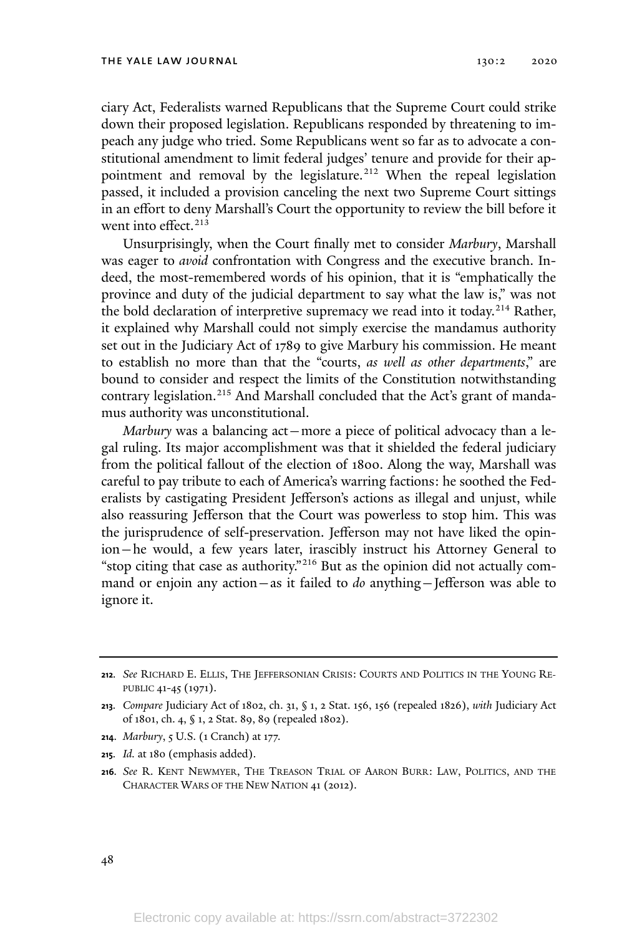ciary Act, Federalists warned Republicans that the Supreme Court could strike down their proposed legislation. Republicans responded by threatening to impeach any judge who tried. Some Republicans went so far as to advocate a constitutional amendment to limit federal judges' tenure and provide for their appointment and removal by the legislature.<sup>212</sup> When the repeal legislation passed, it included a provision canceling the next two Supreme Court sittings in an effort to deny Marshall's Court the opportunity to review the bill before it went into effect.<sup>213</sup>

Unsurprisingly, when the Court finally met to consider *Marbury*, Marshall was eager to *avoid* confrontation with Congress and the executive branch. Indeed, the most-remembered words of his opinion, that it is "emphatically the province and duty of the judicial department to say what the law is," was not the bold declaration of interpretive supremacy we read into it today.<sup>214</sup> Rather, it explained why Marshall could not simply exercise the mandamus authority set out in the Judiciary Act of 1789 to give Marbury his commission. He meant to establish no more than that the "courts, *as well as other departments*," are bound to consider and respect the limits of the Constitution notwithstanding contrary legislation. <sup>215</sup> And Marshall concluded that the Act's grant of mandamus authority was unconstitutional.

*Marbury* was a balancing act—more a piece of political advocacy than a legal ruling. Its major accomplishment was that it shielded the federal judiciary from the political fallout of the election of 1800. Along the way, Marshall was careful to pay tribute to each of America's warring factions: he soothed the Federalists by castigating President Jefferson's actions as illegal and unjust, while also reassuring Jefferson that the Court was powerless to stop him. This was the jurisprudence of self-preservation. Jefferson may not have liked the opinion—he would, a few years later, irascibly instruct his Attorney General to "stop citing that case as authority."<sup>216</sup> But as the opinion did not actually command or enjoin any action—as it failed to *do* anything—Jefferson was able to ignore it.

**<sup>215</sup>***. Id.* at 180 (emphasis added).

**<sup>212</sup>***. See* RICHARD E. ELLIS, THE JEFFERSONIAN CRISIS: COURTS AND POLITICS IN THE YOUNG RE-PUBLIC 41-45 (1971).

**<sup>213</sup>***. Compare* Judiciary Act of 1802, ch. 31, § 1, 2 Stat. 156, 156 (repealed 1826), *with* Judiciary Act of 1801, ch. 4, § 1, 2 Stat. 89, 89 (repealed 1802).

**<sup>214</sup>**. *Marbury*, 5 U.S. (1 Cranch) at 177.

**<sup>216</sup>***. See* R. KENT NEWMYER, THE TREASON TRIAL OF AARON BURR: LAW, POLITICS, AND THE CHARACTER WARS OF THE NEW NATION 41 (2012).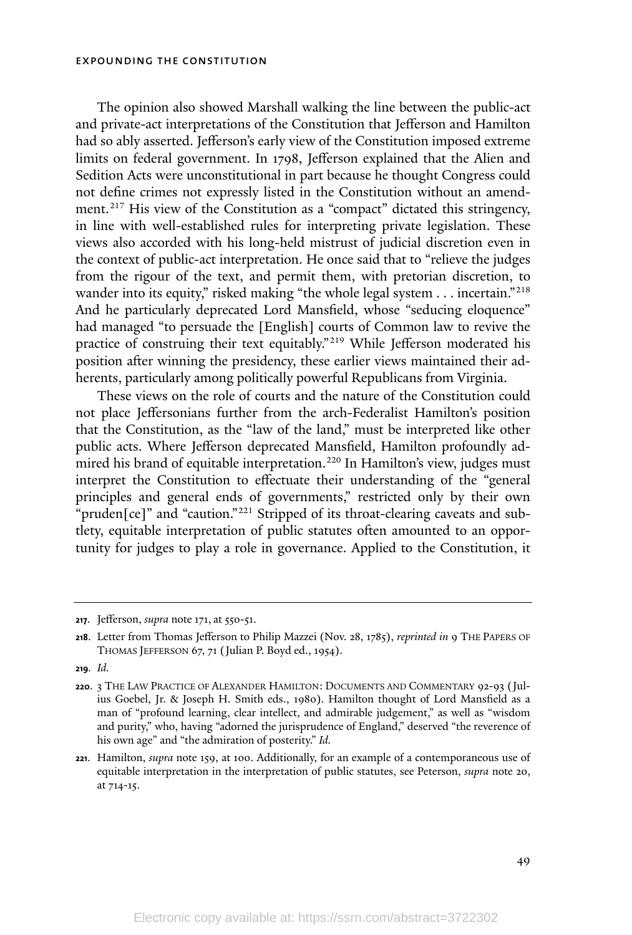The opinion also showed Marshall walking the line between the public-act and private-act interpretations of the Constitution that Jefferson and Hamilton had so ably asserted. Jefferson's early view of the Constitution imposed extreme limits on federal government. In 1798, Jefferson explained that the Alien and Sedition Acts were unconstitutional in part because he thought Congress could not define crimes not expressly listed in the Constitution without an amendment. <sup>217</sup> His view of the Constitution as a "compact" dictated this stringency, in line with well-established rules for interpreting private legislation. These views also accorded with his long-held mistrust of judicial discretion even in the context of public-act interpretation. He once said that to "relieve the judges from the rigour of the text, and permit them, with pretorian discretion, to wander into its equity," risked making "the whole legal system . . . incertain."<sup>218</sup> And he particularly deprecated Lord Mansfield, whose "seducing eloquence" had managed "to persuade the [English] courts of Common law to revive the practice of construing their text equitably."<sup>219</sup> While Jefferson moderated his position after winning the presidency, these earlier views maintained their adherents, particularly among politically powerful Republicans from Virginia.

These views on the role of courts and the nature of the Constitution could not place Jeffersonians further from the arch-Federalist Hamilton's position that the Constitution, as the "law of the land," must be interpreted like other public acts. Where Jefferson deprecated Mansfield, Hamilton profoundly admired his brand of equitable interpretation. <sup>220</sup> In Hamilton's view, judges must interpret the Constitution to effectuate their understanding of the "general principles and general ends of governments," restricted only by their own "pruden[ce]" and "caution."<sup>221</sup> Stripped of its throat-clearing caveats and subtlety, equitable interpretation of public statutes often amounted to an opportunity for judges to play a role in governance. Applied to the Constitution, it

**<sup>221</sup>**. Hamilton, *supra* note 159, at 100. Additionally, for an example of a contemporaneous use of equitable interpretation in the interpretation of public statutes, see Peterson, *supra* note 20, at 714-15.

**<sup>217</sup>**. Jefferson, *supra* note 171, at 550-51.

**<sup>218</sup>**. Letter from Thomas Jefferson to Philip Mazzei (Nov. 28, 1785), *reprinted in* 9 THE PAPERS OF THOMAS JEFFERSON 67, 71 (Julian P. Boyd ed., 1954).

**<sup>219</sup>***. Id.*

**<sup>220</sup>**. 3 THE LAW PRACTICE OF ALEXANDER HAMILTON: DOCUMENTS AND COMMENTARY 92-93 (Julius Goebel, Jr. & Joseph H. Smith eds., 1980). Hamilton thought of Lord Mansfield as a man of "profound learning, clear intellect, and admirable judgement," as well as "wisdom and purity," who, having "adorned the jurisprudence of England," deserved "the reverence of his own age" and "the admiration of posterity." *Id.*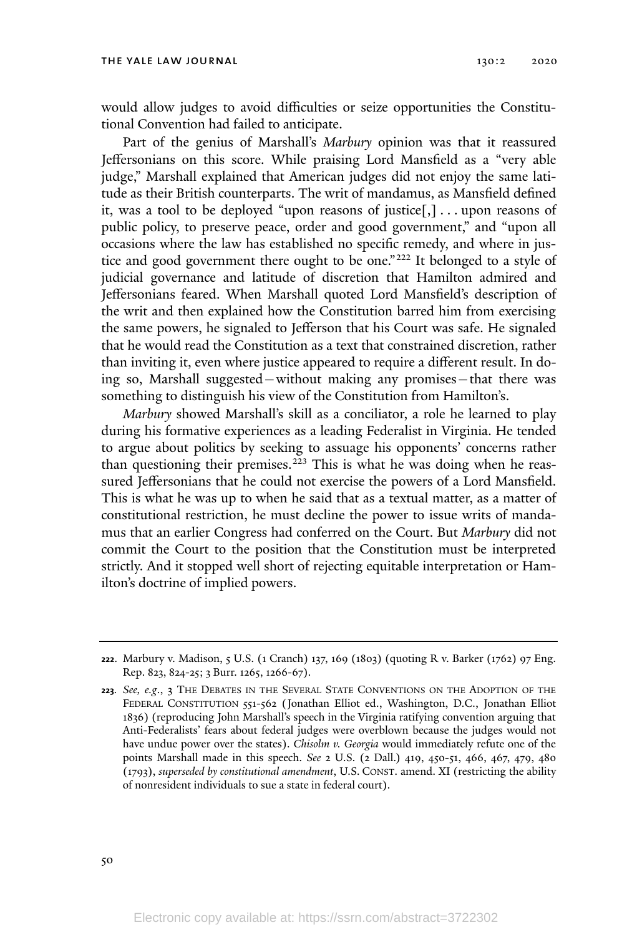would allow judges to avoid difficulties or seize opportunities the Constitutional Convention had failed to anticipate.

Part of the genius of Marshall's *Marbury* opinion was that it reassured Jeffersonians on this score. While praising Lord Mansfield as a "very able judge," Marshall explained that American judges did not enjoy the same latitude as their British counterparts. The writ of mandamus, as Mansfield defined it, was a tool to be deployed "upon reasons of justice[,] . . . upon reasons of public policy, to preserve peace, order and good government," and "upon all occasions where the law has established no specific remedy, and where in justice and good government there ought to be one."<sup>222</sup> It belonged to a style of judicial governance and latitude of discretion that Hamilton admired and Jeffersonians feared. When Marshall quoted Lord Mansfield's description of the writ and then explained how the Constitution barred him from exercising the same powers, he signaled to Jefferson that his Court was safe. He signaled that he would read the Constitution as a text that constrained discretion, rather than inviting it, even where justice appeared to require a different result. In doing so, Marshall suggested—without making any promises—that there was something to distinguish his view of the Constitution from Hamilton's.

*Marbury* showed Marshall's skill as a conciliator, a role he learned to play during his formative experiences as a leading Federalist in Virginia. He tended to argue about politics by seeking to assuage his opponents' concerns rather than questioning their premises. <sup>223</sup> This is what he was doing when he reassured Jeffersonians that he could not exercise the powers of a Lord Mansfield. This is what he was up to when he said that as a textual matter, as a matter of constitutional restriction, he must decline the power to issue writs of mandamus that an earlier Congress had conferred on the Court. But *Marbury* did not commit the Court to the position that the Constitution must be interpreted strictly. And it stopped well short of rejecting equitable interpretation or Hamilton's doctrine of implied powers.

**<sup>222</sup>**. Marbury v. Madison, 5 U.S. (1 Cranch) 137, 169 (1803) (quoting R v. Barker (1762) 97 Eng. Rep. 823, 824-25; 3 Burr. 1265, 1266-67).

**<sup>223</sup>***. See, e.g*., 3 THE DEBATES IN THE SEVERAL STATE CONVENTIONS ON THE ADOPTION OF THE FEDERAL CONSTITUTION 551-562 (Jonathan Elliot ed., Washington, D.C., Jonathan Elliot 1836) (reproducing John Marshall's speech in the Virginia ratifying convention arguing that Anti-Federalists' fears about federal judges were overblown because the judges would not have undue power over the states). *Chisolm v. Georgia* would immediately refute one of the points Marshall made in this speech. *See* 2 U.S. (2 Dall.) 419, 450-51, 466, 467, 479, 480 (1793), *superseded by constitutional amendment*, U.S. CONST. amend. XI (restricting the ability of nonresident individuals to sue a state in federal court).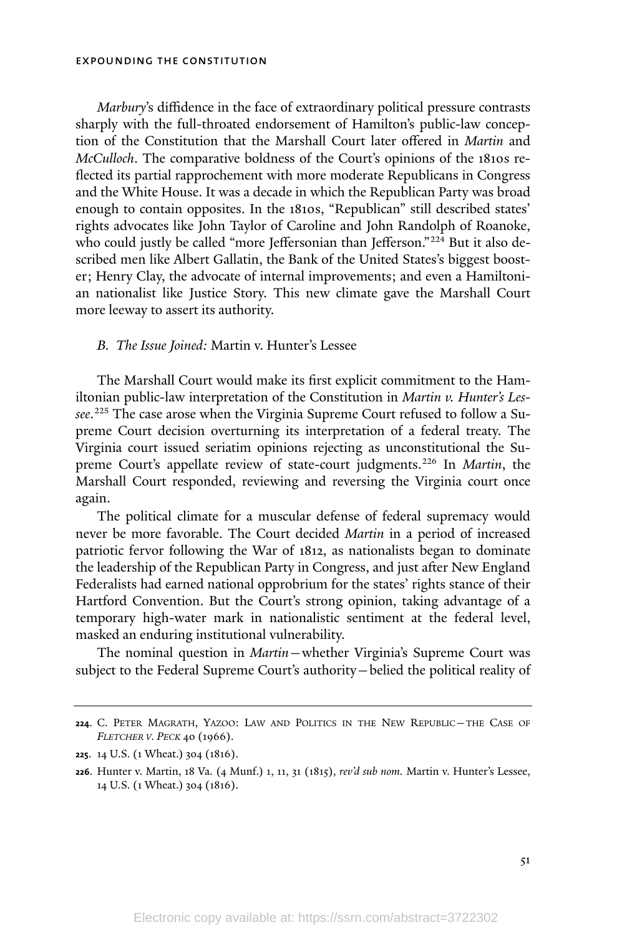*Marbury*'s diffidence in the face of extraordinary political pressure contrasts sharply with the full-throated endorsement of Hamilton's public-law conception of the Constitution that the Marshall Court later offered in *Martin* and *McCulloch*. The comparative boldness of the Court's opinions of the 1810s reflected its partial rapprochement with more moderate Republicans in Congress and the White House. It was a decade in which the Republican Party was broad enough to contain opposites. In the 1810s, "Republican" still described states' rights advocates like John Taylor of Caroline and John Randolph of Roanoke, who could justly be called "more Jeffersonian than Jefferson."<sup>224</sup> But it also described men like Albert Gallatin, the Bank of the United States's biggest booster; Henry Clay, the advocate of internal improvements; and even a Hamiltonian nationalist like Justice Story. This new climate gave the Marshall Court more leeway to assert its authority.

### *B. The Issue Joined:* Martin v. Hunter's Lessee

The Marshall Court would make its first explicit commitment to the Hamiltonian public-law interpretation of the Constitution in *Martin v. Hunter's Lessee*. <sup>225</sup> The case arose when the Virginia Supreme Court refused to follow a Supreme Court decision overturning its interpretation of a federal treaty. The Virginia court issued seriatim opinions rejecting as unconstitutional the Supreme Court's appellate review of state-court judgments.<sup>226</sup> In *Martin*, the Marshall Court responded, reviewing and reversing the Virginia court once again.

The political climate for a muscular defense of federal supremacy would never be more favorable. The Court decided *Martin* in a period of increased patriotic fervor following the War of 1812, as nationalists began to dominate the leadership of the Republican Party in Congress, and just after New England Federalists had earned national opprobrium for the states' rights stance of their Hartford Convention. But the Court's strong opinion, taking advantage of a temporary high-water mark in nationalistic sentiment at the federal level, masked an enduring institutional vulnerability.

The nominal question in *Martin*—whether Virginia's Supreme Court was subject to the Federal Supreme Court's authority—belied the political reality of

**<sup>224</sup>**. C. PETER MAGRATH, YAZOO: LAW AND POLITICS IN THE NEW REPUBLIC—THE CASE OF *FLETCHER <sup>V</sup>. PECK* 40 (1966).

**<sup>225</sup>**. 14 U.S. (1 Wheat.) 304 (1816).

**<sup>226</sup>**. Hunter v. Martin, 18 Va. (4 Munf.) 1, 11, 31 (1815), *rev'd sub nom.* Martin v. Hunter's Lessee, 14 U.S. (1 Wheat.) 304 (1816).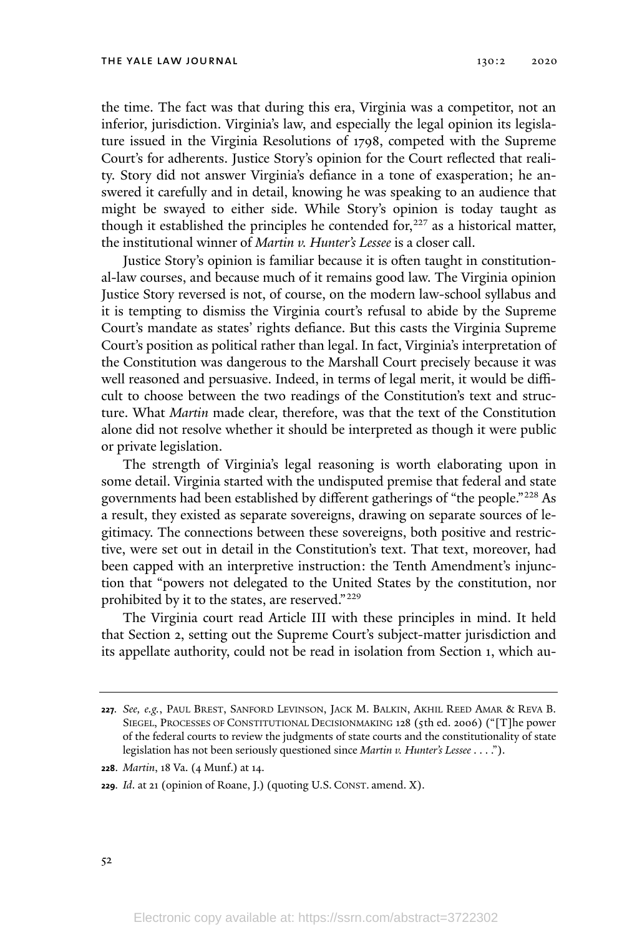the time. The fact was that during this era, Virginia was a competitor, not an inferior, jurisdiction. Virginia's law, and especially the legal opinion its legislature issued in the Virginia Resolutions of 1798, competed with the Supreme Court's for adherents. Justice Story's opinion for the Court reflected that reality. Story did not answer Virginia's defiance in a tone of exasperation; he answered it carefully and in detail, knowing he was speaking to an audience that might be swayed to either side. While Story's opinion is today taught as though it established the principles he contended for,  $227$  as a historical matter, the institutional winner of *Martin v. Hunter's Lessee* is a closer call.

Justice Story's opinion is familiar because it is often taught in constitutional-law courses, and because much of it remains good law. The Virginia opinion Justice Story reversed is not, of course, on the modern law-school syllabus and it is tempting to dismiss the Virginia court's refusal to abide by the Supreme Court's mandate as states' rights defiance. But this casts the Virginia Supreme Court's position as political rather than legal. In fact, Virginia's interpretation of the Constitution was dangerous to the Marshall Court precisely because it was well reasoned and persuasive. Indeed, in terms of legal merit, it would be difficult to choose between the two readings of the Constitution's text and structure. What *Martin* made clear, therefore, was that the text of the Constitution alone did not resolve whether it should be interpreted as though it were public or private legislation.

The strength of Virginia's legal reasoning is worth elaborating upon in some detail. Virginia started with the undisputed premise that federal and state governments had been established by different gatherings of "the people."<sup>228</sup> As a result, they existed as separate sovereigns, drawing on separate sources of legitimacy. The connections between these sovereigns, both positive and restrictive, were set out in detail in the Constitution's text. That text, moreover, had been capped with an interpretive instruction: the Tenth Amendment's injunction that "powers not delegated to the United States by the constitution, nor prohibited by it to the states, are reserved."<sup>229</sup>

The Virginia court read Article III with these principles in mind. It held that Section 2, setting out the Supreme Court's subject-matter jurisdiction and its appellate authority, could not be read in isolation from Section 1, which au-

**<sup>227</sup>***. See, e.g.*, PAUL BREST, SANFORD LEVINSON, JACK M. BALKIN, AKHIL REED AMAR & REVA B. SIEGEL, PROCESSES OF CONSTITUTIONAL DECISIONMAKING 128 (5th ed. 2006) ("[T]he power of the federal courts to review the judgments of state courts and the constitutionality of state legislation has not been seriously questioned since *Martin v. Hunter's Lessee* . . . .").

**<sup>228</sup>**. *Martin*, 18 Va. (4 Munf.) at 14.

**<sup>229</sup>***. Id*. at 21 (opinion of Roane, J.) (quoting U.S. CONST. amend. X).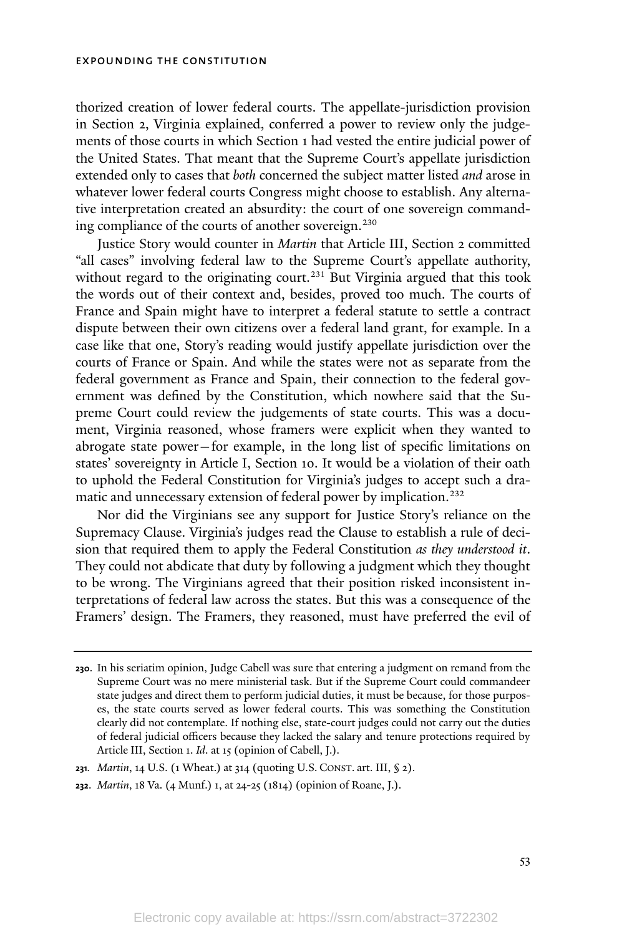thorized creation of lower federal courts. The appellate-jurisdiction provision in Section 2, Virginia explained, conferred a power to review only the judgements of those courts in which Section 1 had vested the entire judicial power of the United States. That meant that the Supreme Court's appellate jurisdiction extended only to cases that *both* concerned the subject matter listed *and* arose in whatever lower federal courts Congress might choose to establish. Any alternative interpretation created an absurdity: the court of one sovereign commanding compliance of the courts of another sovereign. 230

Justice Story would counter in *Martin* that Article III, Section 2 committed "all cases" involving federal law to the Supreme Court's appellate authority, without regard to the originating court.<sup>231</sup> But Virginia argued that this took the words out of their context and, besides, proved too much. The courts of France and Spain might have to interpret a federal statute to settle a contract dispute between their own citizens over a federal land grant, for example. In a case like that one, Story's reading would justify appellate jurisdiction over the courts of France or Spain. And while the states were not as separate from the federal government as France and Spain, their connection to the federal government was defined by the Constitution, which nowhere said that the Supreme Court could review the judgements of state courts. This was a document, Virginia reasoned, whose framers were explicit when they wanted to abrogate state power—for example, in the long list of specific limitations on states' sovereignty in Article I, Section 10. It would be a violation of their oath to uphold the Federal Constitution for Virginia's judges to accept such a dramatic and unnecessary extension of federal power by implication.<sup>232</sup>

Nor did the Virginians see any support for Justice Story's reliance on the Supremacy Clause. Virginia's judges read the Clause to establish a rule of decision that required them to apply the Federal Constitution *as they understood it*. They could not abdicate that duty by following a judgment which they thought to be wrong. The Virginians agreed that their position risked inconsistent interpretations of federal law across the states. But this was a consequence of the Framers' design. The Framers, they reasoned, must have preferred the evil of

**<sup>230</sup>**. In his seriatim opinion, Judge Cabell was sure that entering a judgment on remand from the Supreme Court was no mere ministerial task. But if the Supreme Court could commandeer state judges and direct them to perform judicial duties, it must be because, for those purposes, the state courts served as lower federal courts. This was something the Constitution clearly did not contemplate. If nothing else, state-court judges could not carry out the duties of federal judicial officers because they lacked the salary and tenure protections required by Article III, Section 1. *Id*. at 15 (opinion of Cabell, J.).

**<sup>231</sup>***. Martin*, 14 U.S. (1 Wheat.) at 314 (quoting U.S. CONST. art. III, § 2).

**<sup>232</sup>**. *Martin*, 18 Va. (4 Munf.) 1, at 24-25 (1814) (opinion of Roane, J.).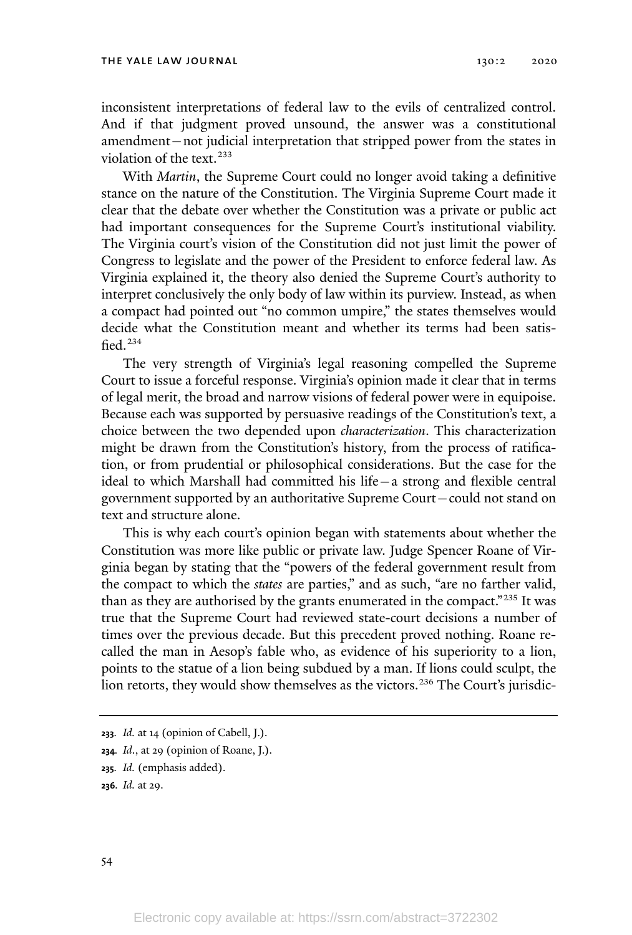inconsistent interpretations of federal law to the evils of centralized control. And if that judgment proved unsound, the answer was a constitutional amendment—not judicial interpretation that stripped power from the states in violation of the text. 233

With *Martin*, the Supreme Court could no longer avoid taking a definitive stance on the nature of the Constitution. The Virginia Supreme Court made it clear that the debate over whether the Constitution was a private or public act had important consequences for the Supreme Court's institutional viability. The Virginia court's vision of the Constitution did not just limit the power of Congress to legislate and the power of the President to enforce federal law. As Virginia explained it, the theory also denied the Supreme Court's authority to interpret conclusively the only body of law within its purview. Instead, as when a compact had pointed out "no common umpire," the states themselves would decide what the Constitution meant and whether its terms had been satisfied. 234

The very strength of Virginia's legal reasoning compelled the Supreme Court to issue a forceful response. Virginia's opinion made it clear that in terms of legal merit, the broad and narrow visions of federal power were in equipoise. Because each was supported by persuasive readings of the Constitution's text, a choice between the two depended upon *characterization*. This characterization might be drawn from the Constitution's history, from the process of ratification, or from prudential or philosophical considerations. But the case for the ideal to which Marshall had committed his life—a strong and flexible central government supported by an authoritative Supreme Court—could not stand on text and structure alone.

This is why each court's opinion began with statements about whether the Constitution was more like public or private law. Judge Spencer Roane of Virginia began by stating that the "powers of the federal government result from the compact to which the *states* are parties," and as such, "are no farther valid, than as they are authorised by the grants enumerated in the compact."<sup>235</sup> It was true that the Supreme Court had reviewed state-court decisions a number of times over the previous decade. But this precedent proved nothing. Roane recalled the man in Aesop's fable who, as evidence of his superiority to a lion, points to the statue of a lion being subdued by a man. If lions could sculpt, the lion retorts, they would show themselves as the victors.<sup>236</sup> The Court's jurisdic-

**<sup>233</sup>***. Id.* at 14 (opinion of Cabell, J.).

**<sup>234</sup>***. Id*., at 29 (opinion of Roane, J.).

**<sup>235</sup>***. Id.* (emphasis added).

**<sup>236</sup>***. Id.* at 29.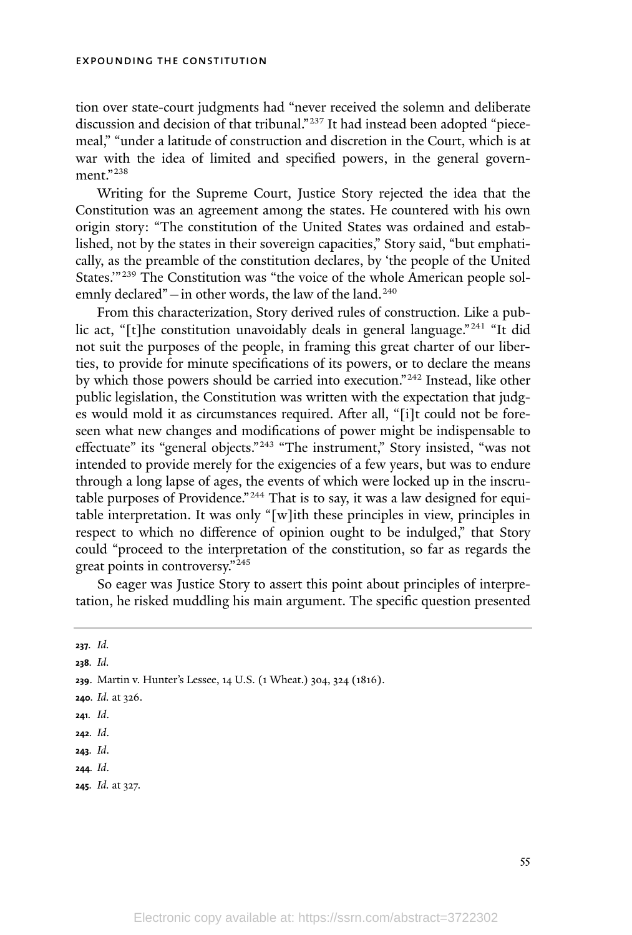tion over state-court judgments had "never received the solemn and deliberate discussion and decision of that tribunal." <sup>237</sup> It had instead been adopted "piecemeal," "under a latitude of construction and discretion in the Court, which is at war with the idea of limited and specified powers, in the general government."<sup>238</sup>

Writing for the Supreme Court, Justice Story rejected the idea that the Constitution was an agreement among the states. He countered with his own origin story: "The constitution of the United States was ordained and established, not by the states in their sovereign capacities," Story said, "but emphatically, as the preamble of the constitution declares, by 'the people of the United States."<sup>239</sup> The Constitution was "the voice of the whole American people solemnly declared" $-$ in other words, the law of the land.<sup>240</sup>

From this characterization, Story derived rules of construction. Like a public act, "[t]he constitution unavoidably deals in general language."<sup>241</sup> "It did not suit the purposes of the people, in framing this great charter of our liberties, to provide for minute specifications of its powers, or to declare the means by which those powers should be carried into execution." <sup>242</sup> Instead, like other public legislation, the Constitution was written with the expectation that judges would mold it as circumstances required. After all, "[i]t could not be foreseen what new changes and modifications of power might be indispensable to effectuate" its "general objects."<sup>243</sup> "The instrument," Story insisted, "was not intended to provide merely for the exigencies of a few years, but was to endure through a long lapse of ages, the events of which were locked up in the inscrutable purposes of Providence."<sup>244</sup> That is to say, it was a law designed for equitable interpretation. It was only "[w]ith these principles in view, principles in respect to which no difference of opinion ought to be indulged," that Story could "proceed to the interpretation of the constitution, so far as regards the great points in controversy." 245

So eager was Justice Story to assert this point about principles of interpretation, he risked muddling his main argument. The specific question presented

**238***. Id.*

- **<sup>240</sup>***. Id.* at 326.
- **241***. Id*.
- **242***. Id*.
- **243***. Id*.
- **244***. Id*.
- **<sup>245</sup>***. Id.* at 327.

**<sup>237</sup>***. Id.*

**<sup>239</sup>**. Martin v. Hunter's Lessee, 14 U.S. (1 Wheat.) 304, 324 (1816).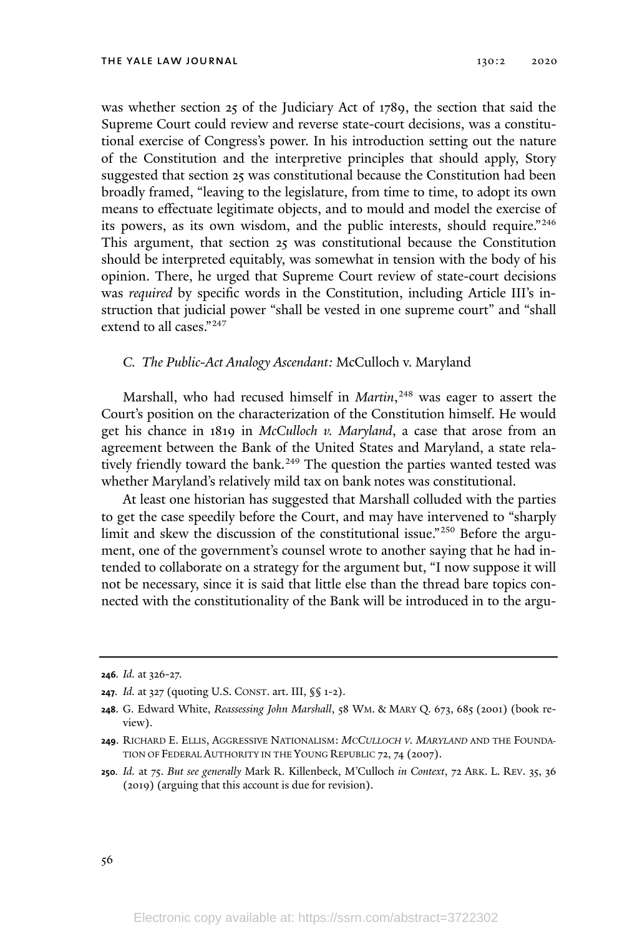was whether section 25 of the Judiciary Act of 1789, the section that said the Supreme Court could review and reverse state-court decisions, was a constitutional exercise of Congress's power. In his introduction setting out the nature of the Constitution and the interpretive principles that should apply, Story suggested that section 25 was constitutional because the Constitution had been broadly framed, "leaving to the legislature, from time to time, to adopt its own means to effectuate legitimate objects, and to mould and model the exercise of its powers, as its own wisdom, and the public interests, should require." 246 This argument, that section 25 was constitutional because the Constitution should be interpreted equitably, was somewhat in tension with the body of his opinion. There, he urged that Supreme Court review of state-court decisions was *required* by specific words in the Constitution, including Article III's instruction that judicial power "shall be vested in one supreme court" and "shall extend to all cases." 247

## *C. The Public-Act Analogy Ascendant:* McCulloch v. Maryland

Marshall, who had recused himself in *Martin*, <sup>248</sup> was eager to assert the Court's position on the characterization of the Constitution himself. He would get his chance in 1819 in *McCulloch v. Maryland*, a case that arose from an agreement between the Bank of the United States and Maryland, a state relatively friendly toward the bank.<sup>249</sup> The question the parties wanted tested was whether Maryland's relatively mild tax on bank notes was constitutional.

At least one historian has suggested that Marshall colluded with the parties to get the case speedily before the Court, and may have intervened to "sharply limit and skew the discussion of the constitutional issue."<sup>250</sup> Before the argument, one of the government's counsel wrote to another saying that he had intended to collaborate on a strategy for the argument but, "I now suppose it will not be necessary, since it is said that little else than the thread bare topics connected with the constitutionality of the Bank will be introduced in to the argu-

**<sup>246</sup>***. Id.* at 326-27.

**<sup>247</sup>***. Id.* at 327 (quoting U.S. CONST. art. III, §§ 1-2).

**<sup>248</sup>**. G. Edward White, *Reassessing John Marshall*, 58 WM. & MARY Q. 673, 685 (2001) (book review).

**<sup>249</sup>**. RICHARD E. ELLIS, AGGRESSIVE NATIONALISM: *MCCULLOCH V. MARYLAND* AND THE FOUNDA-TION OF FEDERAL AUTHORITY IN THE YOUNG REPUBLIC 72, 74 (2007).

**<sup>250</sup>***. Id.* at 75. *But see generally* Mark R. Killenbeck, M'Culloch *in Context*, 72 ARK. L. REV. 35, 36 (2019) (arguing that this account is due for revision).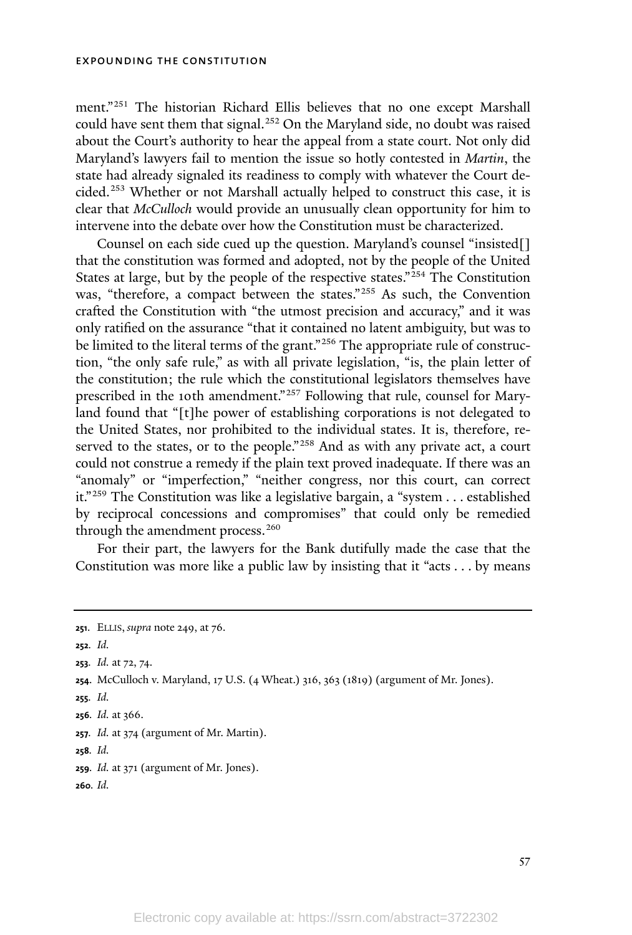ment."<sup>251</sup> The historian Richard Ellis believes that no one except Marshall could have sent them that signal.<sup>252</sup> On the Maryland side, no doubt was raised about the Court's authority to hear the appeal from a state court. Not only did Maryland's lawyers fail to mention the issue so hotly contested in *Martin*, the state had already signaled its readiness to comply with whatever the Court decided.<sup>253</sup> Whether or not Marshall actually helped to construct this case, it is clear that *McCulloch* would provide an unusually clean opportunity for him to intervene into the debate over how the Constitution must be characterized.

Counsel on each side cued up the question. Maryland's counsel "insisted[] that the constitution was formed and adopted, not by the people of the United States at large, but by the people of the respective states."<sup>254</sup> The Constitution was, "therefore, a compact between the states."<sup>255</sup> As such, the Convention crafted the Constitution with "the utmost precision and accuracy," and it was only ratified on the assurance "that it contained no latent ambiguity, but was to be limited to the literal terms of the grant."<sup>256</sup> The appropriate rule of construction, "the only safe rule," as with all private legislation, "is, the plain letter of the constitution; the rule which the constitutional legislators themselves have prescribed in the 10th amendment."<sup>257</sup> Following that rule, counsel for Maryland found that "[t]he power of establishing corporations is not delegated to the United States, nor prohibited to the individual states. It is, therefore, reserved to the states, or to the people."<sup>258</sup> And as with any private act, a court could not construe a remedy if the plain text proved inadequate. If there was an "anomaly" or "imperfection," "neither congress, nor this court, can correct it." <sup>259</sup> The Constitution was like a legislative bargain, a "system . . . established by reciprocal concessions and compromises" that could only be remedied through the amendment process.<sup>260</sup>

For their part, the lawyers for the Bank dutifully made the case that the Constitution was more like a public law by insisting that it "acts . . . by means

**252***. Id.*

**<sup>253</sup>***. Id.* at 72, 74.

- **255***. Id.*
- **<sup>256</sup>***. Id.* at 366.

**<sup>251</sup>**. ELLIS, *supra* note 249, at 76.

**<sup>254</sup>**. McCulloch v. Maryland, 17 U.S. (4 Wheat.) 316, 363 (1819) (argument of Mr. Jones).

**<sup>257</sup>***. Id.* at 374 (argument of Mr. Martin).

**<sup>258</sup>***. Id.*

**<sup>259</sup>***. Id.* at 371 (argument of Mr. Jones).

**<sup>260</sup>***. Id.*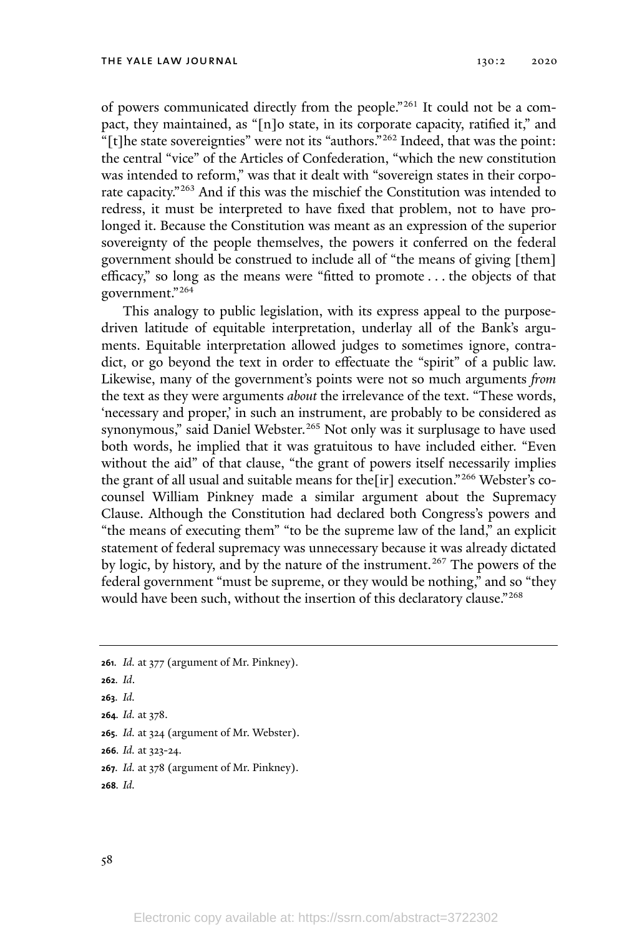of powers communicated directly from the people."<sup>261</sup> It could not be a compact, they maintained, as "[n]o state, in its corporate capacity, ratified it," and "[t]he state sovereignties" were not its "authors."<sup>262</sup> Indeed, that was the point: the central "vice" of the Articles of Confederation, "which the new constitution was intended to reform," was that it dealt with "sovereign states in their corporate capacity."<sup>263</sup> And if this was the mischief the Constitution was intended to redress, it must be interpreted to have fixed that problem, not to have prolonged it. Because the Constitution was meant as an expression of the superior sovereignty of the people themselves, the powers it conferred on the federal government should be construed to include all of "the means of giving [them] efficacy," so long as the means were "fitted to promote . . . the objects of that government."<sup>264</sup>

This analogy to public legislation, with its express appeal to the purposedriven latitude of equitable interpretation, underlay all of the Bank's arguments. Equitable interpretation allowed judges to sometimes ignore, contradict, or go beyond the text in order to effectuate the "spirit" of a public law. Likewise, many of the government's points were not so much arguments *from* the text as they were arguments *about* the irrelevance of the text. "These words, 'necessary and proper,' in such an instrument, are probably to be considered as synonymous," said Daniel Webster. <sup>265</sup> Not only was it surplusage to have used both words, he implied that it was gratuitous to have included either. "Even without the aid" of that clause, "the grant of powers itself necessarily implies the grant of all usual and suitable means for the[ir] execution." <sup>266</sup> Webster's cocounsel William Pinkney made a similar argument about the Supremacy Clause. Although the Constitution had declared both Congress's powers and "the means of executing them" "to be the supreme law of the land," an explicit statement of federal supremacy was unnecessary because it was already dictated by logic, by history, and by the nature of the instrument. <sup>267</sup> The powers of the federal government "must be supreme, or they would be nothing," and so "they would have been such, without the insertion of this declaratory clause."268

**<sup>267</sup>***. Id.* at 378 (argument of Mr. Pinkney).

**<sup>261</sup>***. Id.* at 377 (argument of Mr. Pinkney).

**<sup>262</sup>***. Id*.

**<sup>263</sup>***. Id.*

**<sup>264</sup>***. Id.* at 378.

**<sup>265</sup>***. Id.* at 324 (argument of Mr. Webster).

**<sup>266</sup>***. Id.* at 323-24.

**<sup>268</sup>***. Id.*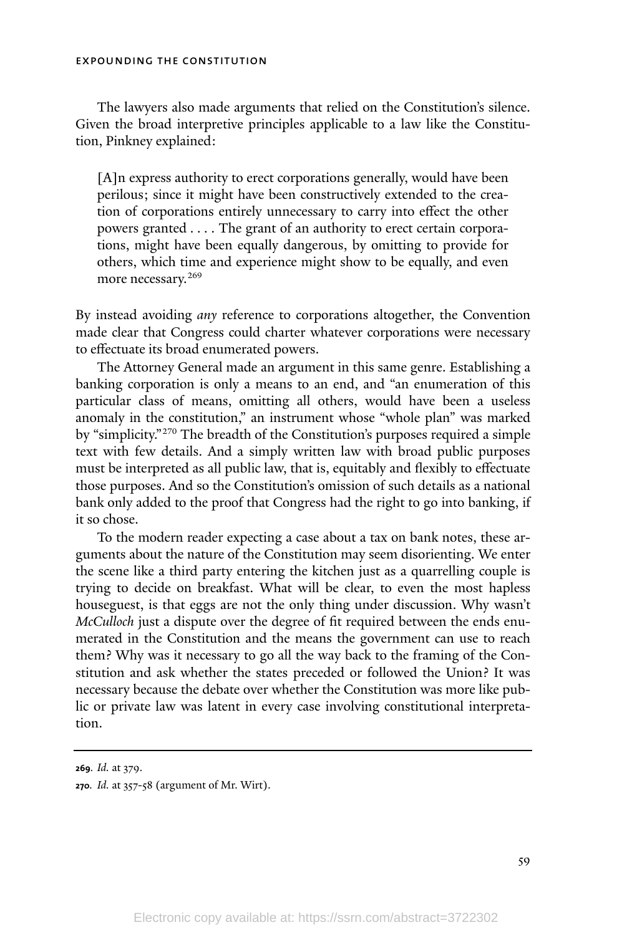The lawyers also made arguments that relied on the Constitution's silence. Given the broad interpretive principles applicable to a law like the Constitution, Pinkney explained:

[A]n express authority to erect corporations generally, would have been perilous; since it might have been constructively extended to the creation of corporations entirely unnecessary to carry into effect the other powers granted . . . . The grant of an authority to erect certain corporations, might have been equally dangerous, by omitting to provide for others, which time and experience might show to be equally, and even more necessary.<sup>269</sup>

By instead avoiding *any* reference to corporations altogether, the Convention made clear that Congress could charter whatever corporations were necessary to effectuate its broad enumerated powers.

The Attorney General made an argument in this same genre. Establishing a banking corporation is only a means to an end, and "an enumeration of this particular class of means, omitting all others, would have been a useless anomaly in the constitution," an instrument whose "whole plan" was marked by "simplicity."<sup>270</sup> The breadth of the Constitution's purposes required a simple text with few details. And a simply written law with broad public purposes must be interpreted as all public law, that is, equitably and flexibly to effectuate those purposes. And so the Constitution's omission of such details as a national bank only added to the proof that Congress had the right to go into banking, if it so chose.

To the modern reader expecting a case about a tax on bank notes, these arguments about the nature of the Constitution may seem disorienting. We enter the scene like a third party entering the kitchen just as a quarrelling couple is trying to decide on breakfast. What will be clear, to even the most hapless houseguest, is that eggs are not the only thing under discussion. Why wasn't *McCulloch* just a dispute over the degree of fit required between the ends enumerated in the Constitution and the means the government can use to reach them? Why was it necessary to go all the way back to the framing of the Constitution and ask whether the states preceded or followed the Union? It was necessary because the debate over whether the Constitution was more like public or private law was latent in every case involving constitutional interpretation.

**<sup>269</sup>***. Id.* at 379.

**<sup>270</sup>***. Id.* at 357-58 (argument of Mr. Wirt).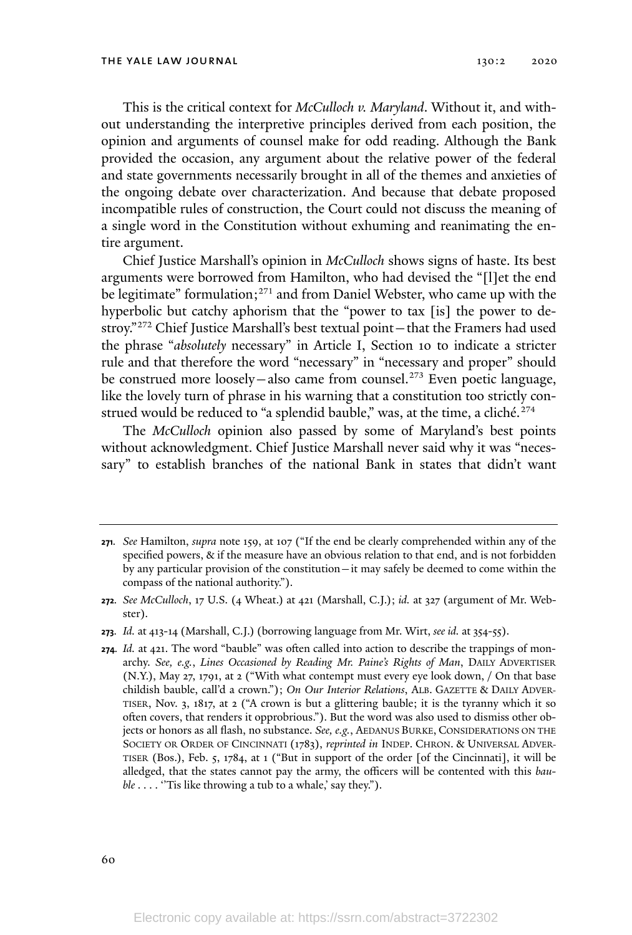This is the critical context for *McCulloch v. Maryland*. Without it, and without understanding the interpretive principles derived from each position, the opinion and arguments of counsel make for odd reading. Although the Bank provided the occasion, any argument about the relative power of the federal and state governments necessarily brought in all of the themes and anxieties of the ongoing debate over characterization. And because that debate proposed incompatible rules of construction, the Court could not discuss the meaning of a single word in the Constitution without exhuming and reanimating the entire argument.

Chief Justice Marshall's opinion in *McCulloch* shows signs of haste. Its best arguments were borrowed from Hamilton, who had devised the "[l]et the end be legitimate" formulation;<sup>271</sup> and from Daniel Webster, who came up with the hyperbolic but catchy aphorism that the "power to tax [is] the power to destroy."<sup>272</sup> Chief Justice Marshall's best textual point—that the Framers had used the phrase "*absolutely* necessary" in Article I, Section 10 to indicate a stricter rule and that therefore the word "necessary" in "necessary and proper" should be construed more loosely—also came from counsel.<sup>273</sup> Even poetic language, like the lovely turn of phrase in his warning that a constitution too strictly construed would be reduced to "a splendid bauble," was, at the time, a cliché. $274$ 

The *McCulloch* opinion also passed by some of Maryland's best points without acknowledgment. Chief Justice Marshall never said why it was "necessary" to establish branches of the national Bank in states that didn't want

60

**<sup>271</sup>***. See* Hamilton, *supra* note 159, at 107 ("If the end be clearly comprehended within any of the specified powers, & if the measure have an obvious relation to that end, and is not forbidden by any particular provision of the constitution—it may safely be deemed to come within the compass of the national authority.").

**<sup>272</sup>***. See McCulloch*, 17 U.S. (4 Wheat.) at 421 (Marshall, C.J.); *id.* at 327 (argument of Mr. Webster).

**<sup>273</sup>***. Id.* at 413-14 (Marshall, C.J.) (borrowing language from Mr. Wirt, *see id.* at 354-55).

**<sup>274</sup>***. Id.* at 421. The word "bauble" was often called into action to describe the trappings of monarchy. *See, e.g.*, *Lines Occasioned by Reading Mr. Paine's Rights of Man*, DAILY ADVERTISER (N.Y.), May 27, 1791, at 2 ("With what contempt must every eye look down, / On that base childish bauble, call'd a crown."); *On Our Interior Relations*, ALB. GAZETTE & DAILY ADVER-TISER, Nov. 3, 1817, at 2 ("A crown is but a glittering bauble; it is the tyranny which it so often covers, that renders it opprobrious."). But the word was also used to dismiss other objects or honors as all flash, no substance. *See, e.g.*, AEDANUS BURKE, CONSIDERATIONS ON THE SOCIETY OR ORDER OF CINCINNATI (1783), *reprinted in* INDEP. CHRON. & UNIVERSAL ADVER-TISER (Bos.), Feb. 5, 1784, at 1 ("But in support of the order [of the Cincinnati], it will be alledged, that the states cannot pay the army, the officers will be contented with this *bauble* . . . . ''Tis like throwing a tub to a whale,' say they.").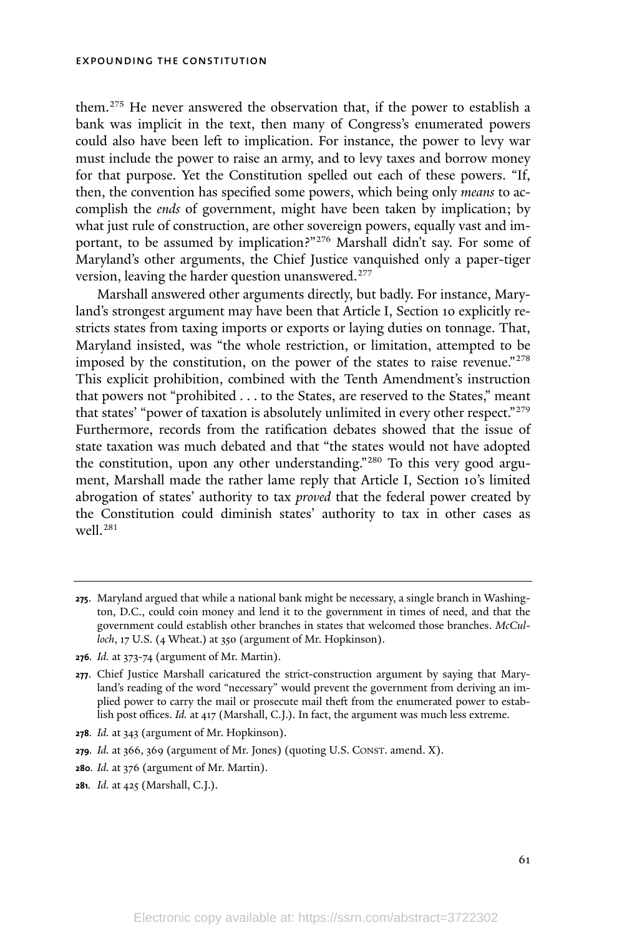them. <sup>275</sup> He never answered the observation that, if the power to establish a bank was implicit in the text, then many of Congress's enumerated powers could also have been left to implication. For instance, the power to levy war must include the power to raise an army, and to levy taxes and borrow money for that purpose. Yet the Constitution spelled out each of these powers. "If, then, the convention has specified some powers, which being only *means* to accomplish the *ends* of government, might have been taken by implication; by what just rule of construction, are other sovereign powers, equally vast and important, to be assumed by implication?" <sup>276</sup> Marshall didn't say. For some of Maryland's other arguments, the Chief Justice vanquished only a paper-tiger version, leaving the harder question unanswered.<sup>277</sup>

Marshall answered other arguments directly, but badly. For instance, Maryland's strongest argument may have been that Article I, Section 10 explicitly restricts states from taxing imports or exports or laying duties on tonnage. That, Maryland insisted, was "the whole restriction, or limitation, attempted to be imposed by the constitution, on the power of the states to raise revenue."<sup>278</sup> This explicit prohibition, combined with the Tenth Amendment's instruction that powers not "prohibited . . . to the States, are reserved to the States," meant that states' "power of taxation is absolutely unlimited in every other respect."<sup>279</sup> Furthermore, records from the ratification debates showed that the issue of state taxation was much debated and that "the states would not have adopted the constitution, upon any other understanding."<sup>280</sup> To this very good argument, Marshall made the rather lame reply that Article I, Section 10's limited abrogation of states' authority to tax *proved* that the federal power created by the Constitution could diminish states' authority to tax in other cases as well.<sup>281</sup>

- **<sup>280</sup>***. Id.* at 376 (argument of Mr. Martin).
- **<sup>281</sup>***. Id.* at 425 (Marshall, C.J.).

**<sup>275</sup>**. Maryland argued that while a national bank might be necessary, a single branch in Washington, D.C., could coin money and lend it to the government in times of need, and that the government could establish other branches in states that welcomed those branches. *McCulloch*, 17 U.S. (4 Wheat.) at 350 (argument of Mr. Hopkinson).

**<sup>276</sup>***. Id.* at 373-74 (argument of Mr. Martin).

**<sup>277</sup>**. Chief Justice Marshall caricatured the strict-construction argument by saying that Maryland's reading of the word "necessary" would prevent the government from deriving an implied power to carry the mail or prosecute mail theft from the enumerated power to establish post offices. *Id.* at 417 (Marshall, C.J.). In fact, the argument was much less extreme.

**<sup>278</sup>***. Id.* at 343 (argument of Mr. Hopkinson).

**<sup>279</sup>***. Id.* at 366, 369 (argument of Mr. Jones) (quoting U.S. CONST. amend. X).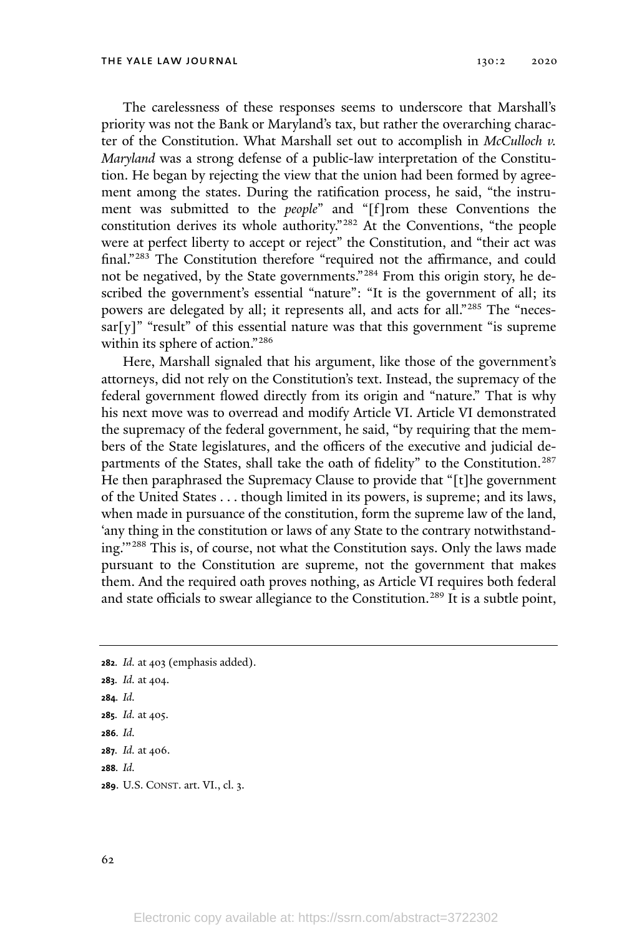The carelessness of these responses seems to underscore that Marshall's priority was not the Bank or Maryland's tax, but rather the overarching character of the Constitution. What Marshall set out to accomplish in *McCulloch v. Maryland* was a strong defense of a public-law interpretation of the Constitution. He began by rejecting the view that the union had been formed by agreement among the states. During the ratification process, he said, "the instrument was submitted to the *people*" and "[f]rom these Conventions the constitution derives its whole authority." <sup>282</sup> At the Conventions, "the people were at perfect liberty to accept or reject" the Constitution, and "their act was final."<sup>283</sup> The Constitution therefore "required not the affirmance, and could not be negatived, by the State governments." <sup>284</sup> From this origin story, he described the government's essential "nature": "It is the government of all; its powers are delegated by all; it represents all, and acts for all."<sup>285</sup> The "neces- $\text{sar}[y]$ " "result" of this essential nature was that this government "is supreme within its sphere of action." 286

Here, Marshall signaled that his argument, like those of the government's attorneys, did not rely on the Constitution's text. Instead, the supremacy of the federal government flowed directly from its origin and "nature." That is why his next move was to overread and modify Article VI. Article VI demonstrated the supremacy of the federal government, he said, "by requiring that the members of the State legislatures, and the officers of the executive and judicial departments of the States, shall take the oath of fidelity" to the Constitution.<sup>287</sup> He then paraphrased the Supremacy Clause to provide that "[t]he government of the United States . . . though limited in its powers, is supreme; and its laws, when made in pursuance of the constitution, form the supreme law of the land, 'any thing in the constitution or laws of any State to the contrary notwithstanding.'" <sup>288</sup> This is, of course, not what the Constitution says. Only the laws made pursuant to the Constitution are supreme, not the government that makes them. And the required oath proves nothing, as Article VI requires both federal and state officials to swear allegiance to the Constitution.<sup>289</sup> It is a subtle point,

*. Id.* at 403 (emphasis added). *. Id.* at 404. **284***. Id. . Id.* at 405. **286***. Id. . Id.* at 406. **288***. Id.* . U.S. CONST. art. VI., cl. 3.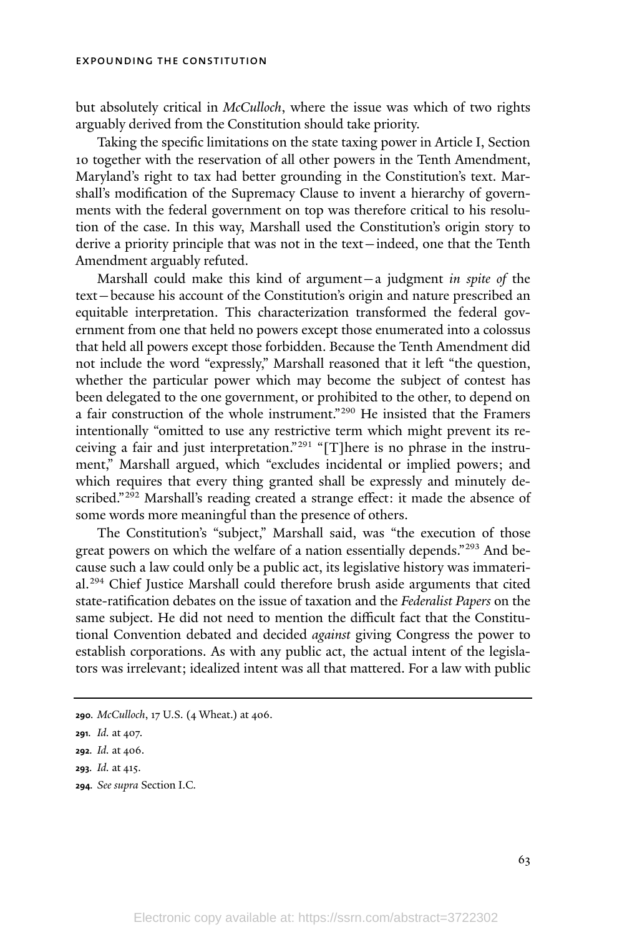but absolutely critical in *McCulloch*, where the issue was which of two rights arguably derived from the Constitution should take priority.

Taking the specific limitations on the state taxing power in Article I, Section 10 together with the reservation of all other powers in the Tenth Amendment, Maryland's right to tax had better grounding in the Constitution's text. Marshall's modification of the Supremacy Clause to invent a hierarchy of governments with the federal government on top was therefore critical to his resolution of the case. In this way, Marshall used the Constitution's origin story to derive a priority principle that was not in the text—indeed, one that the Tenth Amendment arguably refuted.

Marshall could make this kind of argument—a judgment *in spite of* the text—because his account of the Constitution's origin and nature prescribed an equitable interpretation. This characterization transformed the federal government from one that held no powers except those enumerated into a colossus that held all powers except those forbidden. Because the Tenth Amendment did not include the word "expressly," Marshall reasoned that it left "the question, whether the particular power which may become the subject of contest has been delegated to the one government, or prohibited to the other, to depend on a fair construction of the whole instrument."<sup>290</sup> He insisted that the Framers intentionally "omitted to use any restrictive term which might prevent its receiving a fair and just interpretation." <sup>291</sup> "[T]here is no phrase in the instrument," Marshall argued, which "excludes incidental or implied powers; and which requires that every thing granted shall be expressly and minutely described."<sup>292</sup> Marshall's reading created a strange effect: it made the absence of some words more meaningful than the presence of others.

The Constitution's "subject," Marshall said, was "the execution of those great powers on which the welfare of a nation essentially depends." <sup>293</sup> And because such a law could only be a public act, its legislative history was immaterial.<sup>294</sup> Chief Justice Marshall could therefore brush aside arguments that cited state-ratification debates on the issue of taxation and the *Federalist Papers* on the same subject. He did not need to mention the difficult fact that the Constitutional Convention debated and decided *against* giving Congress the power to establish corporations. As with any public act, the actual intent of the legislators was irrelevant; idealized intent was all that mattered. For a law with public

**294***. See supra* Section I.C*.*

**<sup>290</sup>***. McCulloch*, 17 U.S. (4 Wheat.) at 406.

**<sup>291</sup>***. Id.* at 407.

**<sup>292</sup>***. Id.* at 406.

**<sup>293</sup>***. Id.* at 415.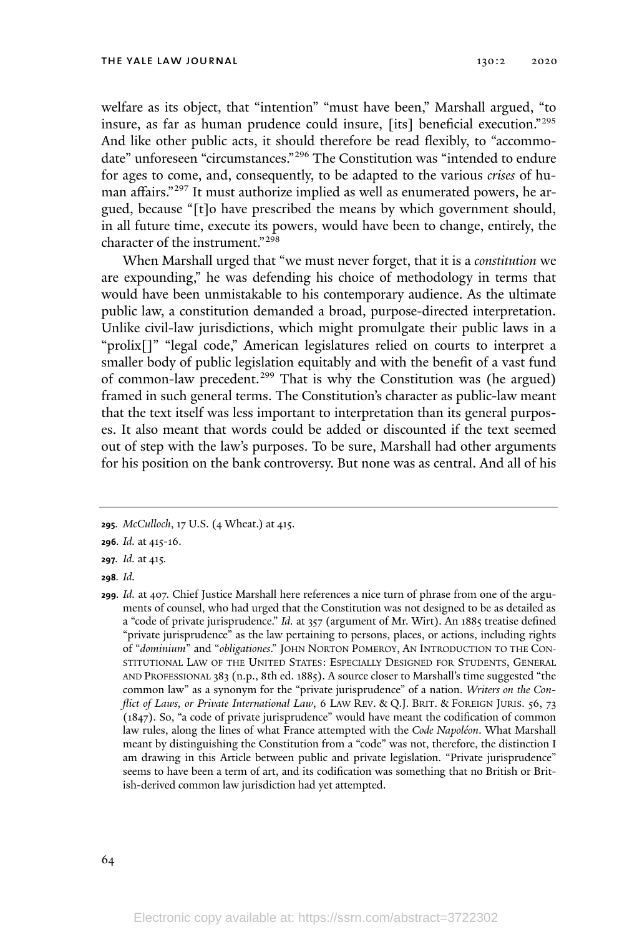welfare as its object, that "intention" "must have been," Marshall argued, "to insure, as far as human prudence could insure, [its] beneficial execution."<sup>295</sup> And like other public acts, it should therefore be read flexibly, to "accommodate" unforeseen "circumstances."<sup>296</sup> The Constitution was "intended to endure for ages to come, and, consequently, to be adapted to the various *crises* of human affairs."<sup>297</sup> It must authorize implied as well as enumerated powers, he argued, because "[t]o have prescribed the means by which government should, in all future time, execute its powers, would have been to change, entirely, the character of the instrument."<sup>298</sup>

When Marshall urged that "we must never forget, that it is a *constitution* we are expounding," he was defending his choice of methodology in terms that would have been unmistakable to his contemporary audience. As the ultimate public law, a constitution demanded a broad, purpose-directed interpretation. Unlike civil-law jurisdictions, which might promulgate their public laws in a "prolix[]" "legal code," American legislatures relied on courts to interpret a smaller body of public legislation equitably and with the benefit of a vast fund of common-law precedent.<sup>299</sup> That is why the Constitution was (he argued) framed in such general terms. The Constitution's character as public-law meant that the text itself was less important to interpretation than its general purposes. It also meant that words could be added or discounted if the text seemed out of step with the law's purposes. To be sure, Marshall had other arguments for his position on the bank controversy. But none was as central. And all of his

**<sup>295</sup>***. McCulloch*, 17 U.S. (4 Wheat.) at 415.

**<sup>296</sup>***. Id.* at 415-16.

**<sup>297</sup>***. Id.* at 415*.*

**<sup>298</sup>***. Id.*

**<sup>299</sup>***. Id.* at 407. Chief Justice Marshall here references a nice turn of phrase from one of the arguments of counsel, who had urged that the Constitution was not designed to be as detailed as a "code of private jurisprudence." *Id.* at 357 (argument of Mr. Wirt). An 1885 treatise defined "private jurisprudence" as the law pertaining to persons, places, or actions, including rights of "*dominium*" and "*obligationes*." JOHN NORTON POMEROY, AN INTRODUCTION TO THE CON-STITUTIONAL LAW OF THE UNITED STATES: ESPECIALLY DESIGNED FOR STUDENTS, GENERAL AND PROFESSIONAL 383 (n.p., 8th ed. 1885). A source closer to Marshall's time suggested "the common law" as a synonym for the "private jurisprudence" of a nation. *Writers on the Conflict of Laws, or Private International Law*, 6 LAW REV. & Q.J. BRIT. & FOREIGN JURIS. 56, 73 (1847). So, "a code of private jurisprudence" would have meant the codification of common law rules, along the lines of what France attempted with the *Code Napoléon*. What Marshall meant by distinguishing the Constitution from a "code" was not, therefore, the distinction I am drawing in this Article between public and private legislation. "Private jurisprudence" seems to have been a term of art, and its codification was something that no British or British-derived common law jurisdiction had yet attempted.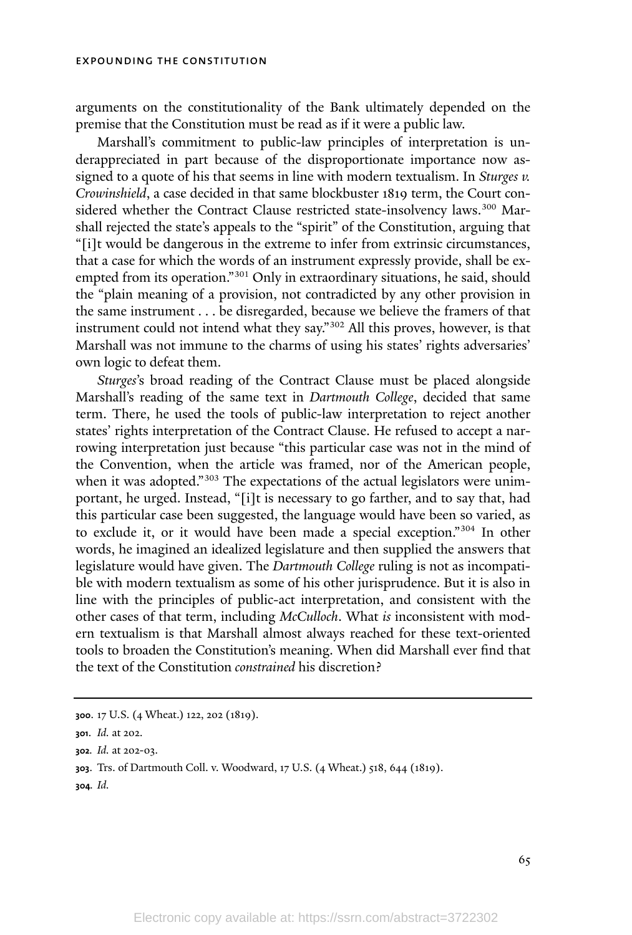arguments on the constitutionality of the Bank ultimately depended on the premise that the Constitution must be read as if it were a public law.

Marshall's commitment to public-law principles of interpretation is underappreciated in part because of the disproportionate importance now assigned to a quote of his that seems in line with modern textualism. In *Sturges v. Crowinshield*, a case decided in that same blockbuster 1819 term, the Court considered whether the Contract Clause restricted state-insolvency laws.<sup>300</sup> Marshall rejected the state's appeals to the "spirit" of the Constitution, arguing that "[i]t would be dangerous in the extreme to infer from extrinsic circumstances, that a case for which the words of an instrument expressly provide, shall be exempted from its operation." <sup>301</sup> Only in extraordinary situations, he said, should the "plain meaning of a provision, not contradicted by any other provision in the same instrument . . . be disregarded, because we believe the framers of that instrument could not intend what they say." <sup>302</sup> All this proves, however, is that Marshall was not immune to the charms of using his states' rights adversaries' own logic to defeat them.

*Sturges*'s broad reading of the Contract Clause must be placed alongside Marshall's reading of the same text in *Dartmouth College*, decided that same term. There, he used the tools of public-law interpretation to reject another states' rights interpretation of the Contract Clause. He refused to accept a narrowing interpretation just because "this particular case was not in the mind of the Convention, when the article was framed, nor of the American people, when it was adopted."<sup>303</sup> The expectations of the actual legislators were unimportant, he urged. Instead, "[i]t is necessary to go farther, and to say that, had this particular case been suggested, the language would have been so varied, as to exclude it, or it would have been made a special exception." <sup>304</sup> In other words, he imagined an idealized legislature and then supplied the answers that legislature would have given. The *Dartmouth College* ruling is not as incompatible with modern textualism as some of his other jurisprudence. But it is also in line with the principles of public-act interpretation, and consistent with the other cases of that term, including *McCulloch*. What *is* inconsistent with modern textualism is that Marshall almost always reached for these text-oriented tools to broaden the Constitution's meaning. When did Marshall ever find that the text of the Constitution *constrained* his discretion?

**304***. Id.*

**<sup>300</sup>**. 17 U.S. (4 Wheat.) 122, 202 (1819).

**<sup>301</sup>**. *Id.* at 202.

**<sup>302</sup>***. Id.* at 202-03.

**<sup>303</sup>**. Trs. of Dartmouth Coll. v. Woodward, 17 U.S. (4 Wheat.) 518, 644 (1819).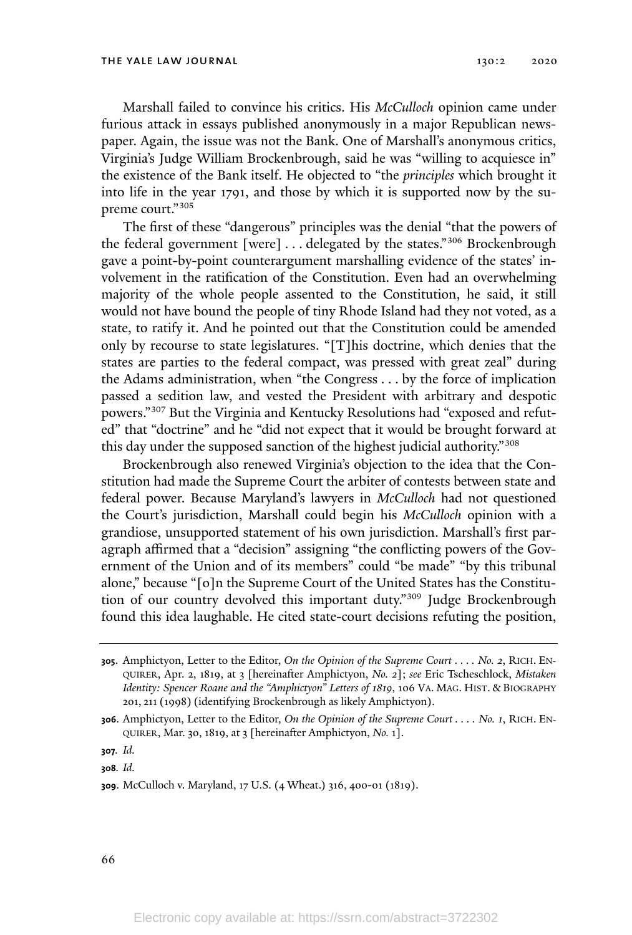Marshall failed to convince his critics. His *McCulloch* opinion came under furious attack in essays published anonymously in a major Republican newspaper. Again, the issue was not the Bank. One of Marshall's anonymous critics, Virginia's Judge William Brockenbrough, said he was "willing to acquiesce in" the existence of the Bank itself. He objected to "the *principles* which brought it into life in the year 1791, and those by which it is supported now by the supreme court." 305

The first of these "dangerous" principles was the denial "that the powers of the federal government [were]  $\ldots$  delegated by the states."<sup>306</sup> Brockenbrough gave a point-by-point counterargument marshalling evidence of the states' involvement in the ratification of the Constitution. Even had an overwhelming majority of the whole people assented to the Constitution, he said, it still would not have bound the people of tiny Rhode Island had they not voted, as a state, to ratify it. And he pointed out that the Constitution could be amended only by recourse to state legislatures. "[T]his doctrine, which denies that the states are parties to the federal compact, was pressed with great zeal" during the Adams administration, when "the Congress . . . by the force of implication passed a sedition law, and vested the President with arbitrary and despotic powers."<sup>307</sup> But the Virginia and Kentucky Resolutions had "exposed and refuted" that "doctrine" and he "did not expect that it would be brought forward at this day under the supposed sanction of the highest judicial authority." 308

Brockenbrough also renewed Virginia's objection to the idea that the Constitution had made the Supreme Court the arbiter of contests between state and federal power. Because Maryland's lawyers in *McCulloch* had not questioned the Court's jurisdiction, Marshall could begin his *McCulloch* opinion with a grandiose, unsupported statement of his own jurisdiction. Marshall's first paragraph affirmed that a "decision" assigning "the conflicting powers of the Government of the Union and of its members" could "be made" "by this tribunal alone," because "[o]n the Supreme Court of the United States has the Constitution of our country devolved this important duty."<sup>309</sup> Judge Brockenbrough found this idea laughable. He cited state-court decisions refuting the position,

**<sup>305</sup>**. Amphictyon, Letter to the Editor, *On the Opinion of the Supreme Court* . . . *. No. 2*, RICH. EN-QUIRER, Apr. 2, 1819, at 3 [hereinafter Amphictyon, *No. 2*]; *see* Eric Tscheschlock, *Mistaken Identity: Spencer Roane and the "Amphictyon" Letters of 1819*, 106 VA. MAG. HIST. & BIOGRAPHY 201, 211 (1998) (identifying Brockenbrough as likely Amphictyon).

**<sup>306</sup>**. Amphictyon, Letter to the Editor, *On the Opinion of the Supreme Court . . . . No. 1*, RICH. EN-QUIRER, Mar. 30, 1819, at 3 [hereinafter Amphictyon, *No.* 1].

**<sup>307</sup>***. Id.*

**<sup>308</sup>***. Id.*

**<sup>309</sup>**. McCulloch v. Maryland, 17 U.S. (4 Wheat.) 316, 400-01 (1819).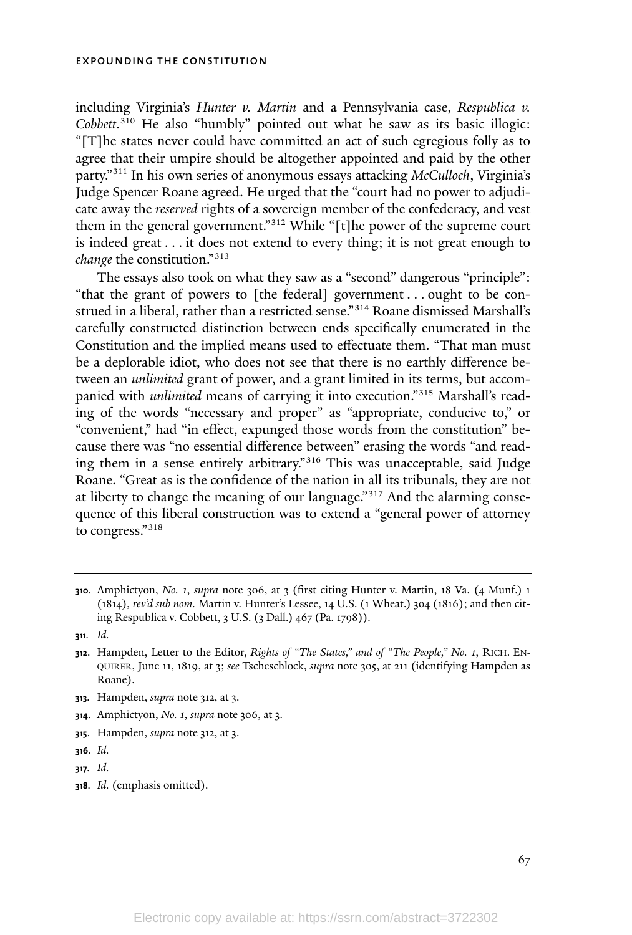including Virginia's *Hunter v. Martin* and a Pennsylvania case, *Respublica v. Cobbett*. <sup>310</sup> He also "humbly" pointed out what he saw as its basic illogic: "[T]he states never could have committed an act of such egregious folly as to agree that their umpire should be altogether appointed and paid by the other party."<sup>311</sup> In his own series of anonymous essays attacking *McCulloch*, Virginia's Judge Spencer Roane agreed. He urged that the "court had no power to adjudicate away the *reserved* rights of a sovereign member of the confederacy, and vest them in the general government."<sup>312</sup> While "[t]he power of the supreme court is indeed great . . . it does not extend to every thing; it is not great enough to *change* the constitution."<sup>313</sup>

The essays also took on what they saw as a "second" dangerous "principle": "that the grant of powers to [the federal] government . . . ought to be construed in a liberal, rather than a restricted sense." <sup>314</sup> Roane dismissed Marshall's carefully constructed distinction between ends specifically enumerated in the Constitution and the implied means used to effectuate them. "That man must be a deplorable idiot, who does not see that there is no earthly difference between an *unlimited* grant of power, and a grant limited in its terms, but accompanied with *unlimited* means of carrying it into execution."<sup>315</sup> Marshall's reading of the words "necessary and proper" as "appropriate, conducive to," or "convenient," had "in effect, expunged those words from the constitution" because there was "no essential difference between" erasing the words "and reading them in a sense entirely arbitrary." <sup>316</sup> This was unacceptable, said Judge Roane. "Great as is the confidence of the nation in all its tribunals, they are not at liberty to change the meaning of our language."<sup>317</sup> And the alarming consequence of this liberal construction was to extend a "general power of attorney to congress."<sup>318</sup>

**318***. Id.* (emphasis omitted).

**<sup>310</sup>**. Amphictyon, *No. 1*, *supra* note 306, at 3 (first citing Hunter v. Martin, 18 Va. (4 Munf.) 1 (1814), *rev'd sub nom.* Martin v. Hunter's Lessee, 14 U.S. (1 Wheat.) 304 (1816); and then citing Respublica v. Cobbett, 3 U.S. (3 Dall.) 467 (Pa. 1798)).

**<sup>311</sup>***. Id.*

**<sup>312</sup>**. Hampden, Letter to the Editor, *Rights of "The States," and of "The People," No. 1*, RICH. EN-QUIRER, June 11, 1819, at 3; *see* Tscheschlock, *supra* note 305, at 211 (identifying Hampden as Roane).

**<sup>313</sup>***.* Hampden, *supra* note 312, at 3.

**<sup>314</sup>**. Amphictyon, *No. 1*, *supra* note 306, at 3.

**<sup>315</sup>**. Hampden, *supra* note 312, at 3.

**<sup>316</sup>***. Id.*

**<sup>317</sup>***. Id.*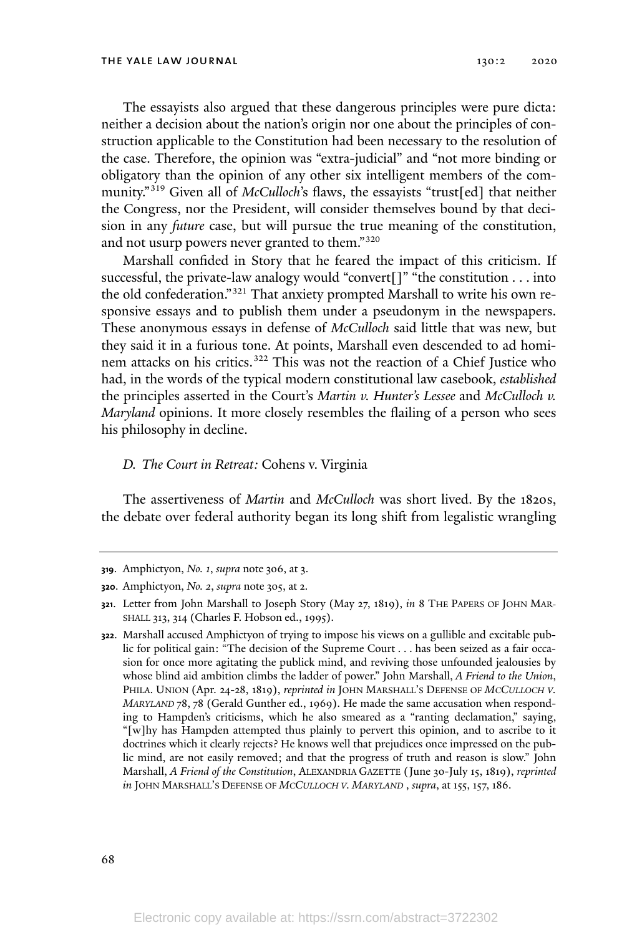The essayists also argued that these dangerous principles were pure dicta: neither a decision about the nation's origin nor one about the principles of construction applicable to the Constitution had been necessary to the resolution of the case. Therefore, the opinion was "extra-judicial" and "not more binding or obligatory than the opinion of any other six intelligent members of the community."<sup>319</sup> Given all of *McCulloch*'s flaws, the essayists "trust[ed] that neither the Congress, nor the President, will consider themselves bound by that decision in any *future* case, but will pursue the true meaning of the constitution, and not usurp powers never granted to them."<sup>320</sup>

Marshall confided in Story that he feared the impact of this criticism. If successful, the private-law analogy would "convert[]" "the constitution . . . into the old confederation." <sup>321</sup> That anxiety prompted Marshall to write his own responsive essays and to publish them under a pseudonym in the newspapers. These anonymous essays in defense of *McCulloch* said little that was new, but they said it in a furious tone. At points, Marshall even descended to ad hominem attacks on his critics. <sup>322</sup> This was not the reaction of a Chief Justice who had, in the words of the typical modern constitutional law casebook, *established* the principles asserted in the Court's *Martin v. Hunter's Lessee* and *McCulloch v. Maryland* opinions. It more closely resembles the flailing of a person who sees his philosophy in decline.

## *D. The Court in Retreat:* Cohens v. Virginia

The assertiveness of *Martin* and *McCulloch* was short lived. By the 1820s, the debate over federal authority began its long shift from legalistic wrangling

**<sup>319</sup>**. Amphictyon, *No. 1*, *supra* note 306, at 3.

**<sup>320</sup>**. Amphictyon, *No. 2*, *supra* note 305, at 2.

**<sup>321</sup>**. Letter from John Marshall to Joseph Story (May 27, 1819), *in* 8 THE PAPERS OF JOHN MAR-SHALL 313, 314 (Charles F. Hobson ed., 1995).

**<sup>322</sup>**. Marshall accused Amphictyon of trying to impose his views on a gullible and excitable public for political gain: "The decision of the Supreme Court . . . has been seized as a fair occasion for once more agitating the publick mind, and reviving those unfounded jealousies by whose blind aid ambition climbs the ladder of power." John Marshall, *A Friend to the Union*, PHILA. UNION (Apr. 24-28, 1819), *reprinted in* JOHN MARSHALL'<sup>S</sup> DEFENSE OF *MCCULLOCH <sup>V</sup>. MARYLAND* 78, 78 (Gerald Gunther ed., 1969). He made the same accusation when responding to Hampden's criticisms, which he also smeared as a "ranting declamation," saying, "[w]hy has Hampden attempted thus plainly to pervert this opinion, and to ascribe to it doctrines which it clearly rejects? He knows well that prejudices once impressed on the public mind, are not easily removed; and that the progress of truth and reason is slow." John Marshall, *A Friend of the Constitution*, ALEXANDRIA GAZETTE (June 30-July 15, 1819), *reprinted in* JOHN MARSHALL'<sup>S</sup> DEFENSE OF *MCCULLOCH <sup>V</sup>. MARYLAND* , *supra*, at 155, 157, 186.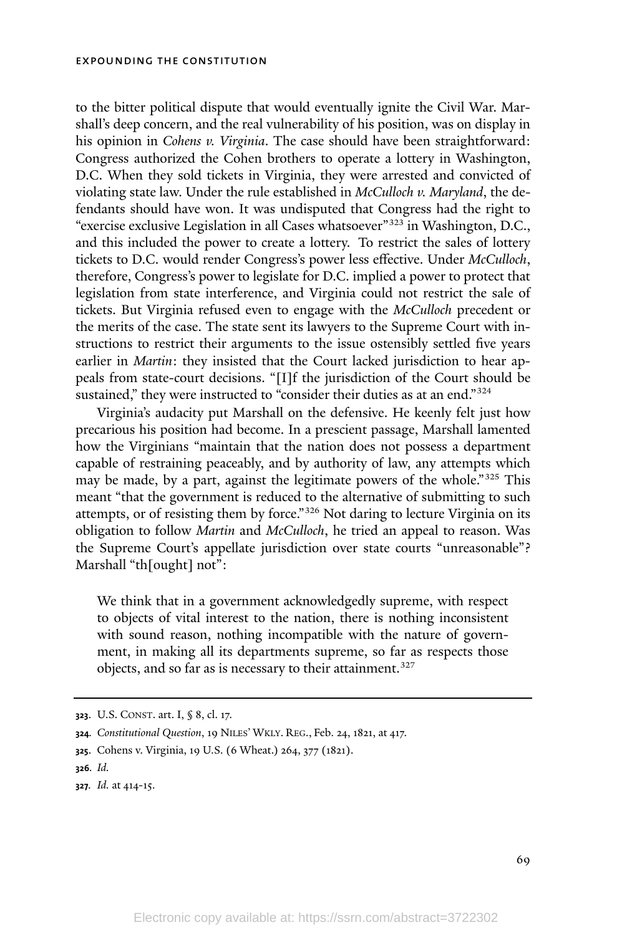to the bitter political dispute that would eventually ignite the Civil War. Marshall's deep concern, and the real vulnerability of his position, was on display in his opinion in *Cohens v. Virginia*. The case should have been straightforward: Congress authorized the Cohen brothers to operate a lottery in Washington, D.C. When they sold tickets in Virginia, they were arrested and convicted of violating state law. Under the rule established in *McCulloch v. Maryland*, the defendants should have won. It was undisputed that Congress had the right to "exercise exclusive Legislation in all Cases whatsoever"<sup>323</sup> in Washington, D.C., and this included the power to create a lottery. To restrict the sales of lottery tickets to D.C. would render Congress's power less effective. Under *McCulloch*, therefore, Congress's power to legislate for D.C. implied a power to protect that legislation from state interference, and Virginia could not restrict the sale of tickets. But Virginia refused even to engage with the *McCulloch* precedent or the merits of the case. The state sent its lawyers to the Supreme Court with instructions to restrict their arguments to the issue ostensibly settled five years earlier in *Martin*: they insisted that the Court lacked jurisdiction to hear appeals from state-court decisions. "[I]f the jurisdiction of the Court should be sustained," they were instructed to "consider their duties as at an end."<sup>324</sup>

Virginia's audacity put Marshall on the defensive. He keenly felt just how precarious his position had become. In a prescient passage, Marshall lamented how the Virginians "maintain that the nation does not possess a department capable of restraining peaceably, and by authority of law, any attempts which may be made, by a part, against the legitimate powers of the whole."<sup>325</sup> This meant "that the government is reduced to the alternative of submitting to such attempts, or of resisting them by force."<sup>326</sup> Not daring to lecture Virginia on its obligation to follow *Martin* and *McCulloch*, he tried an appeal to reason. Was the Supreme Court's appellate jurisdiction over state courts "unreasonable"? Marshall "th[ought] not":

We think that in a government acknowledgedly supreme, with respect to objects of vital interest to the nation, there is nothing inconsistent with sound reason, nothing incompatible with the nature of government, in making all its departments supreme, so far as respects those objects, and so far as is necessary to their attainment. 327

**<sup>323</sup>**. U.S. CONST. art. I, § 8, cl. 17.

**<sup>324</sup>***. Constitutional Question*, 19 NILES' WKLY. REG., Feb. 24, 1821, at 417.

**<sup>325</sup>**. Cohens v. Virginia, 19 U.S. (6 Wheat.) 264, 377 (1821).

**<sup>326</sup>***. Id.*

**<sup>327</sup>***. Id.* at 414-15.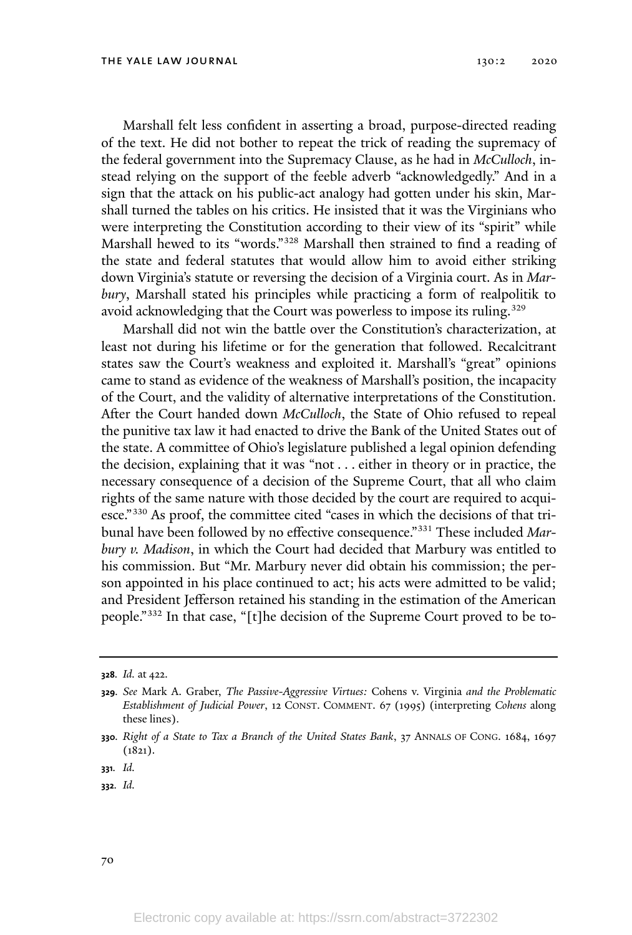Marshall felt less confident in asserting a broad, purpose-directed reading of the text. He did not bother to repeat the trick of reading the supremacy of the federal government into the Supremacy Clause, as he had in *McCulloch*, instead relying on the support of the feeble adverb "acknowledgedly." And in a sign that the attack on his public-act analogy had gotten under his skin, Marshall turned the tables on his critics. He insisted that it was the Virginians who were interpreting the Constitution according to their view of its "spirit" while Marshall hewed to its "words." <sup>328</sup> Marshall then strained to find a reading of the state and federal statutes that would allow him to avoid either striking down Virginia's statute or reversing the decision of a Virginia court. As in *Marbury*, Marshall stated his principles while practicing a form of realpolitik to avoid acknowledging that the Court was powerless to impose its ruling. 329

Marshall did not win the battle over the Constitution's characterization, at least not during his lifetime or for the generation that followed. Recalcitrant states saw the Court's weakness and exploited it. Marshall's "great" opinions came to stand as evidence of the weakness of Marshall's position, the incapacity of the Court, and the validity of alternative interpretations of the Constitution. After the Court handed down *McCulloch*, the State of Ohio refused to repeal the punitive tax law it had enacted to drive the Bank of the United States out of the state. A committee of Ohio's legislature published a legal opinion defending the decision, explaining that it was "not . . . either in theory or in practice, the necessary consequence of a decision of the Supreme Court, that all who claim rights of the same nature with those decided by the court are required to acquiesce."<sup>330</sup> As proof, the committee cited "cases in which the decisions of that tribunal have been followed by no effective consequence."<sup>331</sup> These included *Marbury v. Madison*, in which the Court had decided that Marbury was entitled to his commission. But "Mr. Marbury never did obtain his commission; the person appointed in his place continued to act; his acts were admitted to be valid; and President Jefferson retained his standing in the estimation of the American people."<sup>332</sup> In that case, "[t]he decision of the Supreme Court proved to be to-

**<sup>328</sup>***. Id.* at 422.

**<sup>329</sup>***. See* Mark A. Graber, *The Passive-Aggressive Virtues:* Cohens v. Virginia *and the Problematic Establishment of Judicial Power*, 12 CONST. COMMENT. 67 (1995) (interpreting *Cohens* along these lines).

**<sup>330</sup>***. Right of a State to Tax a Branch of the United States Bank*, 37 ANNALS OF CONG. 1684, 1697 (1821).

**<sup>331</sup>***. Id.*

**<sup>332</sup>***. Id.*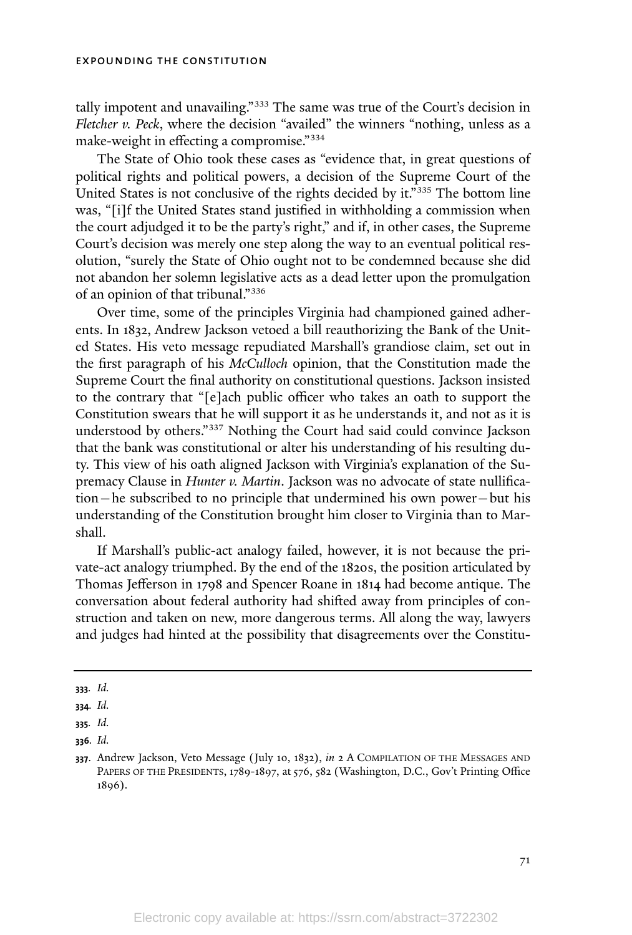tally impotent and unavailing." <sup>333</sup> The same was true of the Court's decision in *Fletcher v. Peck*, where the decision "availed" the winners "nothing, unless as a make-weight in effecting a compromise."<sup>334</sup>

The State of Ohio took these cases as "evidence that, in great questions of political rights and political powers, a decision of the Supreme Court of the United States is not conclusive of the rights decided by it."<sup>335</sup> The bottom line was, "[i]f the United States stand justified in withholding a commission when the court adjudged it to be the party's right," and if, in other cases, the Supreme Court's decision was merely one step along the way to an eventual political resolution, "surely the State of Ohio ought not to be condemned because she did not abandon her solemn legislative acts as a dead letter upon the promulgation of an opinion of that tribunal."336

Over time, some of the principles Virginia had championed gained adherents. In 1832, Andrew Jackson vetoed a bill reauthorizing the Bank of the United States. His veto message repudiated Marshall's grandiose claim, set out in the first paragraph of his *McCulloch* opinion, that the Constitution made the Supreme Court the final authority on constitutional questions. Jackson insisted to the contrary that "[e]ach public officer who takes an oath to support the Constitution swears that he will support it as he understands it, and not as it is understood by others." <sup>337</sup> Nothing the Court had said could convince Jackson that the bank was constitutional or alter his understanding of his resulting duty. This view of his oath aligned Jackson with Virginia's explanation of the Supremacy Clause in *Hunter v. Martin*. Jackson was no advocate of state nullification—he subscribed to no principle that undermined his own power—but his understanding of the Constitution brought him closer to Virginia than to Marshall.

If Marshall's public-act analogy failed, however, it is not because the private-act analogy triumphed. By the end of the 1820s, the position articulated by Thomas Jefferson in 1798 and Spencer Roane in 1814 had become antique. The conversation about federal authority had shifted away from principles of construction and taken on new, more dangerous terms. All along the way, lawyers and judges had hinted at the possibility that disagreements over the Constitu-

**<sup>333</sup>***. Id.*

**<sup>334</sup>***. Id.*

**<sup>335</sup>***. Id.*

**<sup>336</sup>***. Id.*

**<sup>337</sup>**. Andrew Jackson, Veto Message (July 10, 1832), *in* 2 A COMPILATION OF THE MESSAGES AND PAPERS OF THE PRESIDENTS, 1789-1897, at 576, 582 (Washington, D.C., Gov't Printing Office 1896).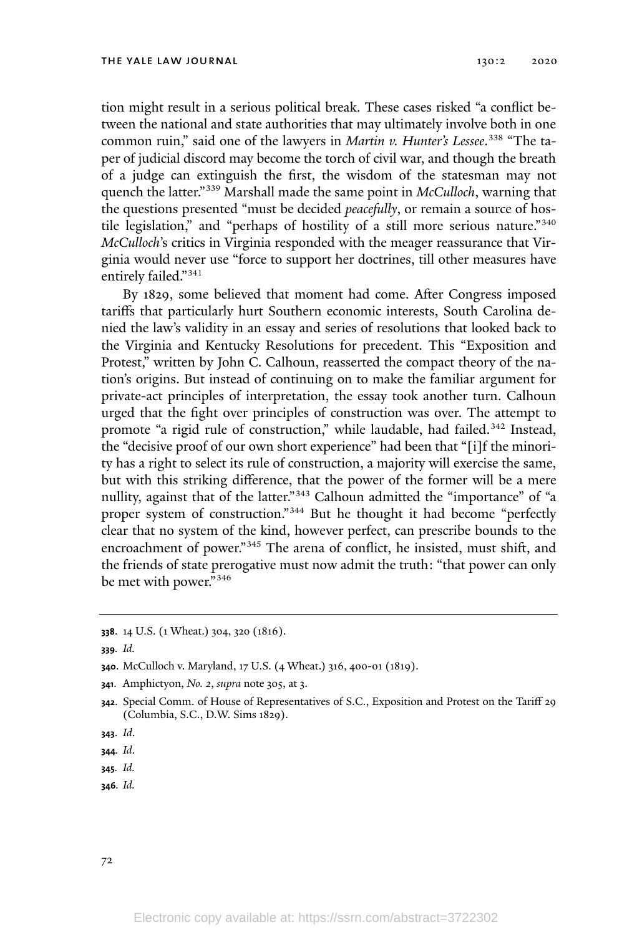tion might result in a serious political break. These cases risked "a conflict between the national and state authorities that may ultimately involve both in one common ruin," said one of the lawyers in *Martin v. Hunter's Lessee*. 338 "The taper of judicial discord may become the torch of civil war, and though the breath of a judge can extinguish the first, the wisdom of the statesman may not quench the latter."<sup>339</sup> Marshall made the same point in *McCulloch*, warning that the questions presented "must be decided *peacefully*, or remain a source of hostile legislation," and "perhaps of hostility of a still more serious nature."<sup>340</sup> *McCulloch*'s critics in Virginia responded with the meager reassurance that Virginia would never use "force to support her doctrines, till other measures have entirely failed."<sup>341</sup>

By 1829, some believed that moment had come. After Congress imposed tariffs that particularly hurt Southern economic interests, South Carolina denied the law's validity in an essay and series of resolutions that looked back to the Virginia and Kentucky Resolutions for precedent. This "Exposition and Protest," written by John C. Calhoun, reasserted the compact theory of the nation's origins. But instead of continuing on to make the familiar argument for private-act principles of interpretation, the essay took another turn. Calhoun urged that the fight over principles of construction was over. The attempt to promote "a rigid rule of construction," while laudable, had failed.<sup>342</sup> Instead, the "decisive proof of our own short experience" had been that "[i]f the minority has a right to select its rule of construction, a majority will exercise the same, but with this striking difference, that the power of the former will be a mere nullity, against that of the latter."<sup>343</sup> Calhoun admitted the "importance" of "a proper system of construction."<sup>344</sup> But he thought it had become "perfectly clear that no system of the kind, however perfect, can prescribe bounds to the encroachment of power." <sup>345</sup> The arena of conflict, he insisted, must shift, and the friends of state prerogative must now admit the truth: "that power can only be met with power." 346

**339***. Id.*

- **<sup>341</sup>**. Amphictyon, *No. 2*, *supra* note 305, at 3.
- **<sup>342</sup>**. Special Comm. of House of Representatives of S.C., Exposition and Protest on the Tariff 29 (Columbia, S.C., D.W. Sims 1829).
- **343**. *Id*.

- **345***. Id.*
- **346***. Id.*

**<sup>338</sup>**. 14 U.S. (1 Wheat.) 304, 320 (1816).

**<sup>340</sup>**. McCulloch v. Maryland, 17 U.S. (4 Wheat.) 316, 400-01 (1819).

**<sup>344</sup>***. Id*.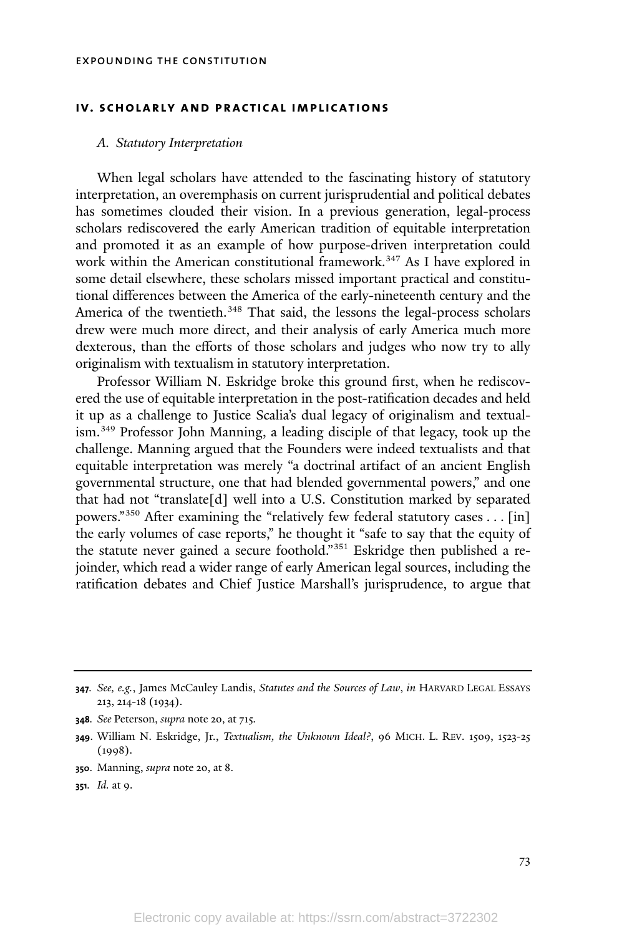## **iv. scholarly and practical implications**

## *A. Statutory Interpretation*

When legal scholars have attended to the fascinating history of statutory interpretation, an overemphasis on current jurisprudential and political debates has sometimes clouded their vision. In a previous generation, legal-process scholars rediscovered the early American tradition of equitable interpretation and promoted it as an example of how purpose-driven interpretation could work within the American constitutional framework.<sup>347</sup> As I have explored in some detail elsewhere, these scholars missed important practical and constitutional differences between the America of the early-nineteenth century and the America of the twentieth.<sup>348</sup> That said, the lessons the legal-process scholars drew were much more direct, and their analysis of early America much more dexterous, than the efforts of those scholars and judges who now try to ally originalism with textualism in statutory interpretation.

Professor William N. Eskridge broke this ground first, when he rediscovered the use of equitable interpretation in the post-ratification decades and held it up as a challenge to Justice Scalia's dual legacy of originalism and textualism.<sup>349</sup> Professor John Manning, a leading disciple of that legacy, took up the challenge. Manning argued that the Founders were indeed textualists and that equitable interpretation was merely "a doctrinal artifact of an ancient English governmental structure, one that had blended governmental powers," and one that had not "translate[d] well into a U.S. Constitution marked by separated powers."<sup>350</sup> After examining the "relatively few federal statutory cases . . . [in] the early volumes of case reports," he thought it "safe to say that the equity of the statute never gained a secure foothold."<sup>351</sup> Eskridge then published a rejoinder, which read a wider range of early American legal sources, including the ratification debates and Chief Justice Marshall's jurisprudence, to argue that

- **<sup>350</sup>**. Manning, *supra* note 20, at 8.
- **<sup>351</sup>***. Id.* at 9.

**<sup>347</sup>***. See, e.g.*, James McCauley Landis, *Statutes and the Sources of Law*, *in* HARVARD LEGAL ESSAYS 213, 214-18 (1934).

**<sup>348</sup>***. See* Peterson, *supra* note 20, at 715*.*

**<sup>349</sup>**. William N. Eskridge, Jr., *Textualism, the Unknown Ideal?*, 96 MICH. L. REV. 1509, 1523-25 (1998).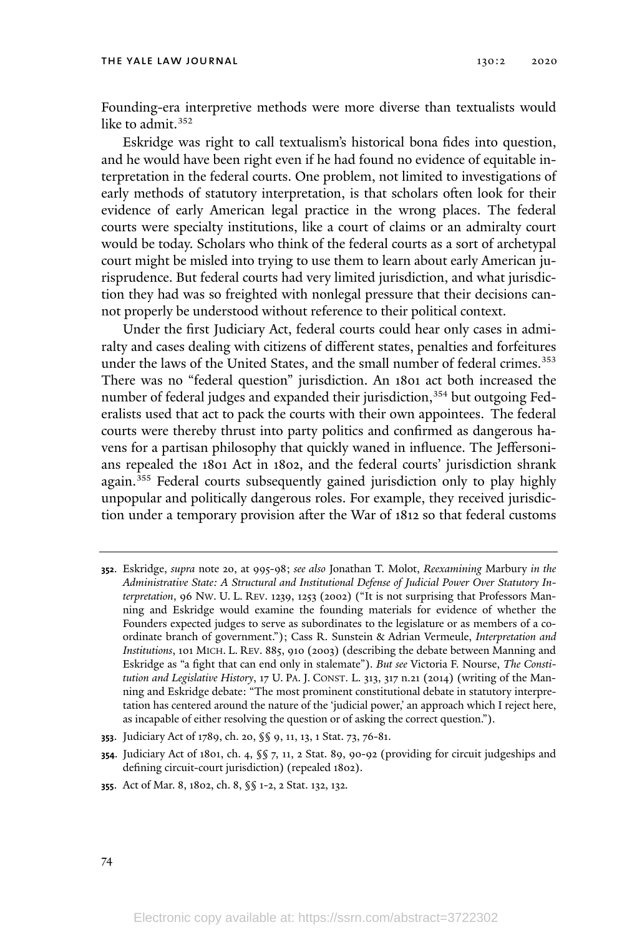#### THE YALE LAW JOURNAL 130:2 2020

Founding-era interpretive methods were more diverse than textualists would like to admit.<sup>352</sup>

Eskridge was right to call textualism's historical bona fides into question, and he would have been right even if he had found no evidence of equitable interpretation in the federal courts. One problem, not limited to investigations of early methods of statutory interpretation, is that scholars often look for their evidence of early American legal practice in the wrong places. The federal courts were specialty institutions, like a court of claims or an admiralty court would be today. Scholars who think of the federal courts as a sort of archetypal court might be misled into trying to use them to learn about early American jurisprudence. But federal courts had very limited jurisdiction, and what jurisdiction they had was so freighted with nonlegal pressure that their decisions cannot properly be understood without reference to their political context.

Under the first Judiciary Act, federal courts could hear only cases in admiralty and cases dealing with citizens of different states, penalties and forfeitures under the laws of the United States, and the small number of federal crimes. 353 There was no "federal question" jurisdiction. An 1801 act both increased the number of federal judges and expanded their jurisdiction,<sup>354</sup> but outgoing Federalists used that act to pack the courts with their own appointees. The federal courts were thereby thrust into party politics and confirmed as dangerous havens for a partisan philosophy that quickly waned in influence. The Jeffersonians repealed the 1801 Act in 1802, and the federal courts' jurisdiction shrank again.<sup>355</sup> Federal courts subsequently gained jurisdiction only to play highly unpopular and politically dangerous roles. For example, they received jurisdiction under a temporary provision after the War of 1812 so that federal customs

74

**<sup>352</sup>**. Eskridge, *supra* note 20, at 995-98; *see also* Jonathan T. Molot, *Reexamining* Marbury *in the Administrative State: A Structural and Institutional Defense of Judicial Power Over Statutory Interpretation*, 96 NW. U. L. REV. 1239, 1253 (2002) ("It is not surprising that Professors Manning and Eskridge would examine the founding materials for evidence of whether the Founders expected judges to serve as subordinates to the legislature or as members of a coordinate branch of government."); Cass R. Sunstein & Adrian Vermeule, *Interpretation and Institutions*, 101 MICH. L. REV. 885, 910 (2003) (describing the debate between Manning and Eskridge as "a fight that can end only in stalemate"). *But see* Victoria F. Nourse, *The Constitution and Legislative History*, 17 U. PA. J. CONST. L. 313, 317 n.21 (2014) (writing of the Manning and Eskridge debate: "The most prominent constitutional debate in statutory interpretation has centered around the nature of the 'judicial power,' an approach which I reject here, as incapable of either resolving the question or of asking the correct question.").

**<sup>353</sup>**. Judiciary Act of 1789, ch. 20, §§ 9, 11, 13, 1 Stat. 73, 76-81.

**<sup>354</sup>**. Judiciary Act of 1801, ch. 4, §§ 7, 11, 2 Stat. 89, 90-92 (providing for circuit judgeships and defining circuit-court jurisdiction) (repealed 1802).

**<sup>355</sup>**. Act of Mar. 8, 1802, ch. 8, §§ 1-2, 2 Stat. 132, 132.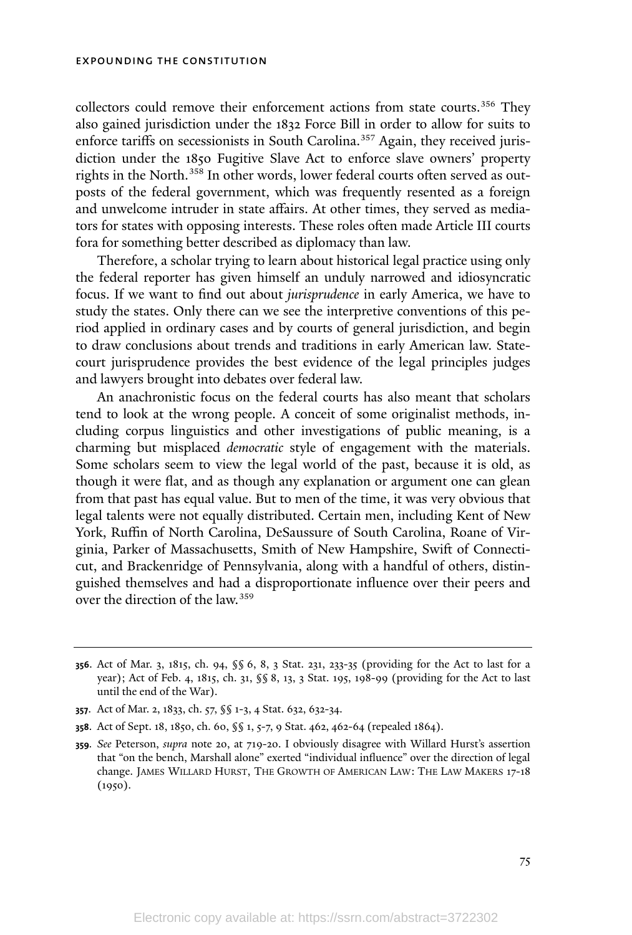collectors could remove their enforcement actions from state courts. <sup>356</sup> They also gained jurisdiction under the 1832 Force Bill in order to allow for suits to enforce tariffs on secessionists in South Carolina. <sup>357</sup> Again, they received jurisdiction under the 1850 Fugitive Slave Act to enforce slave owners' property rights in the North. <sup>358</sup> In other words, lower federal courts often served as outposts of the federal government, which was frequently resented as a foreign and unwelcome intruder in state affairs. At other times, they served as mediators for states with opposing interests. These roles often made Article III courts fora for something better described as diplomacy than law.

Therefore, a scholar trying to learn about historical legal practice using only the federal reporter has given himself an unduly narrowed and idiosyncratic focus. If we want to find out about *jurisprudence* in early America, we have to study the states. Only there can we see the interpretive conventions of this period applied in ordinary cases and by courts of general jurisdiction, and begin to draw conclusions about trends and traditions in early American law. Statecourt jurisprudence provides the best evidence of the legal principles judges and lawyers brought into debates over federal law.

An anachronistic focus on the federal courts has also meant that scholars tend to look at the wrong people. A conceit of some originalist methods, including corpus linguistics and other investigations of public meaning, is a charming but misplaced *democratic* style of engagement with the materials. Some scholars seem to view the legal world of the past, because it is old, as though it were flat, and as though any explanation or argument one can glean from that past has equal value. But to men of the time, it was very obvious that legal talents were not equally distributed. Certain men, including Kent of New York, Ruffin of North Carolina, DeSaussure of South Carolina, Roane of Virginia, Parker of Massachusetts, Smith of New Hampshire, Swift of Connecticut, and Brackenridge of Pennsylvania, along with a handful of others, distinguished themselves and had a disproportionate influence over their peers and over the direction of the law.<sup>359</sup>

- **<sup>357</sup>**. Act of Mar. 2, 1833, ch. 57, §§ 1-3, 4 Stat. 632, 632-34.
- **<sup>358</sup>**. Act of Sept. 18, 1850, ch. 60, §§ 1, 5-7, 9 Stat. 462, 462-64 (repealed 1864).

**<sup>356</sup>**. Act of Mar. 3, 1815, ch. 94, §§ 6, 8, 3 Stat. 231, 233-35 (providing for the Act to last for a year); Act of Feb. 4, 1815, ch. 31, §§ 8, 13, 3 Stat. 195, 198-99 (providing for the Act to last until the end of the War).

**<sup>359</sup>***. See* Peterson, *supra* note 20, at 719-20. I obviously disagree with Willard Hurst's assertion that "on the bench, Marshall alone" exerted "individual influence" over the direction of legal change. JAMES WILLARD HURST, THE GROWTH OF AMERICAN LAW: THE LAW MAKERS 17-18 (1950).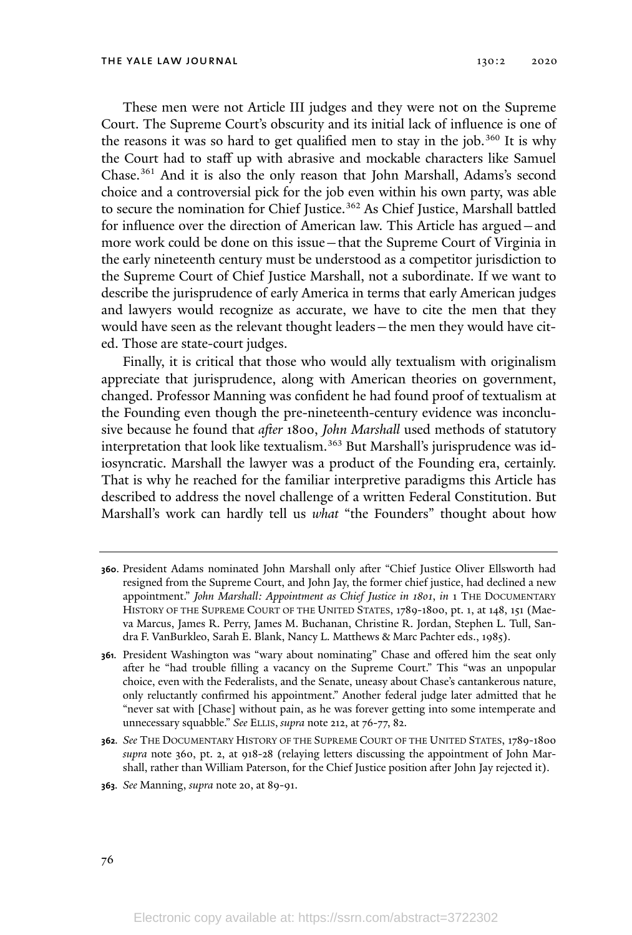These men were not Article III judges and they were not on the Supreme Court. The Supreme Court's obscurity and its initial lack of influence is one of the reasons it was so hard to get qualified men to stay in the job.<sup>360</sup> It is why the Court had to staff up with abrasive and mockable characters like Samuel Chase.<sup>361</sup> And it is also the only reason that John Marshall, Adams's second choice and a controversial pick for the job even within his own party, was able to secure the nomination for Chief Justice.<sup>362</sup> As Chief Justice, Marshall battled for influence over the direction of American law. This Article has argued—and more work could be done on this issue—that the Supreme Court of Virginia in the early nineteenth century must be understood as a competitor jurisdiction to the Supreme Court of Chief Justice Marshall, not a subordinate. If we want to describe the jurisprudence of early America in terms that early American judges and lawyers would recognize as accurate, we have to cite the men that they would have seen as the relevant thought leaders—the men they would have cited. Those are state-court judges.

Finally, it is critical that those who would ally textualism with originalism appreciate that jurisprudence, along with American theories on government, changed. Professor Manning was confident he had found proof of textualism at the Founding even though the pre-nineteenth-century evidence was inconclusive because he found that *after* 1800, *John Marshall* used methods of statutory interpretation that look like textualism. <sup>363</sup> But Marshall's jurisprudence was idiosyncratic. Marshall the lawyer was a product of the Founding era, certainly. That is why he reached for the familiar interpretive paradigms this Article has described to address the novel challenge of a written Federal Constitution. But Marshall's work can hardly tell us *what* "the Founders" thought about how

**<sup>363</sup>***. See* Manning, *supra* note 20, at 89-91.

**<sup>360</sup>**. President Adams nominated John Marshall only after "Chief Justice Oliver Ellsworth had resigned from the Supreme Court, and John Jay, the former chief justice, had declined a new appointment." *John Marshall: Appointment as Chief Justice in 1801*, *in* 1 THE DOCUMENTARY HISTORY OF THE SUPREME COURT OF THE UNITED STATES, 1789-1800, pt. 1, at 148, 151 (Maeva Marcus, James R. Perry, James M. Buchanan, Christine R. Jordan, Stephen L. Tull, Sandra F. VanBurkleo, Sarah E. Blank, Nancy L. Matthews & Marc Pachter eds., 1985).

**<sup>361</sup>***.* President Washington was "wary about nominating" Chase and offered him the seat only after he "had trouble filling a vacancy on the Supreme Court." This "was an unpopular choice, even with the Federalists, and the Senate, uneasy about Chase's cantankerous nature, only reluctantly confirmed his appointment." Another federal judge later admitted that he "never sat with [Chase] without pain, as he was forever getting into some intemperate and unnecessary squabble." *See* ELLIS, *supra* note 212, at 76-77, 82.

**<sup>362</sup>***. See* THE DOCUMENTARY HISTORY OF THE SUPREME COURT OF THE UNITED STATES, 1789-1800 *supra* note 360, pt. 2, at 918-28 (relaying letters discussing the appointment of John Marshall, rather than William Paterson, for the Chief Justice position after John Jay rejected it).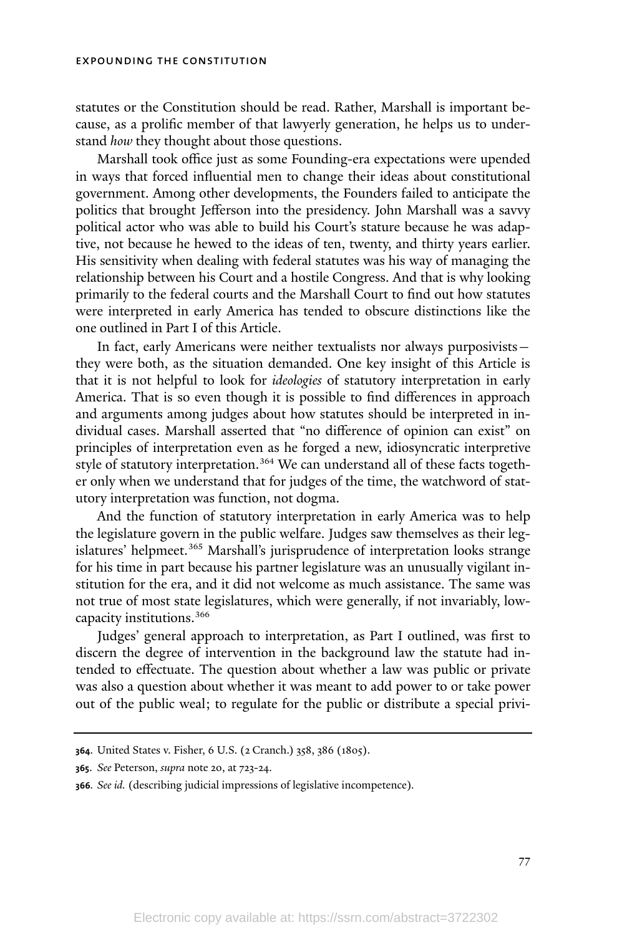statutes or the Constitution should be read. Rather, Marshall is important because, as a prolific member of that lawyerly generation, he helps us to understand *how* they thought about those questions.

Marshall took office just as some Founding-era expectations were upended in ways that forced influential men to change their ideas about constitutional government. Among other developments, the Founders failed to anticipate the politics that brought Jefferson into the presidency. John Marshall was a savvy political actor who was able to build his Court's stature because he was adaptive, not because he hewed to the ideas of ten, twenty, and thirty years earlier. His sensitivity when dealing with federal statutes was his way of managing the relationship between his Court and a hostile Congress. And that is why looking primarily to the federal courts and the Marshall Court to find out how statutes were interpreted in early America has tended to obscure distinctions like the one outlined in Part I of this Article.

In fact, early Americans were neither textualists nor always purposivists they were both, as the situation demanded. One key insight of this Article is that it is not helpful to look for *ideologies* of statutory interpretation in early America. That is so even though it is possible to find differences in approach and arguments among judges about how statutes should be interpreted in individual cases. Marshall asserted that "no difference of opinion can exist" on principles of interpretation even as he forged a new, idiosyncratic interpretive style of statutory interpretation.<sup>364</sup> We can understand all of these facts together only when we understand that for judges of the time, the watchword of statutory interpretation was function, not dogma.

And the function of statutory interpretation in early America was to help the legislature govern in the public welfare. Judges saw themselves as their legislatures' helpmeet. <sup>365</sup> Marshall's jurisprudence of interpretation looks strange for his time in part because his partner legislature was an unusually vigilant institution for the era, and it did not welcome as much assistance. The same was not true of most state legislatures, which were generally, if not invariably, lowcapacity institutions.<sup>366</sup>

Judges' general approach to interpretation, as Part I outlined, was first to discern the degree of intervention in the background law the statute had intended to effectuate. The question about whether a law was public or private was also a question about whether it was meant to add power to or take power out of the public weal; to regulate for the public or distribute a special privi-

**<sup>364</sup>**. United States v. Fisher, 6 U.S. (2 Cranch.) 358, 386 (1805).

**<sup>365</sup>**. *See* Peterson, *supra* note 20, at 723-24.

**<sup>366</sup>***. See id.* (describing judicial impressions of legislative incompetence)*.*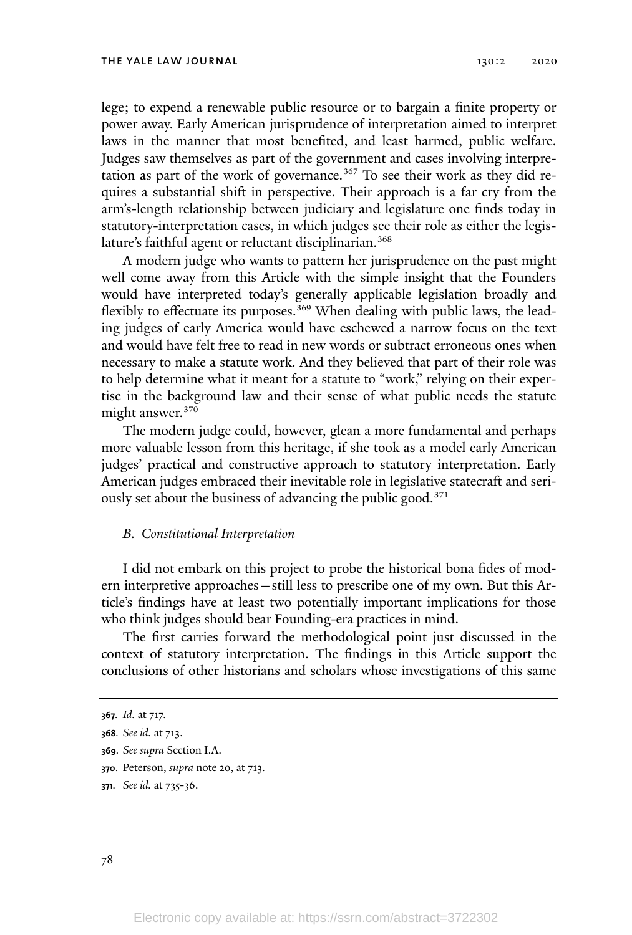lege; to expend a renewable public resource or to bargain a finite property or power away. Early American jurisprudence of interpretation aimed to interpret laws in the manner that most benefited, and least harmed, public welfare. Judges saw themselves as part of the government and cases involving interpretation as part of the work of governance. <sup>367</sup> To see their work as they did requires a substantial shift in perspective. Their approach is a far cry from the arm's-length relationship between judiciary and legislature one finds today in statutory-interpretation cases, in which judges see their role as either the legislature's faithful agent or reluctant disciplinarian.<sup>368</sup>

A modern judge who wants to pattern her jurisprudence on the past might well come away from this Article with the simple insight that the Founders would have interpreted today's generally applicable legislation broadly and flexibly to effectuate its purposes.<sup>369</sup> When dealing with public laws, the leading judges of early America would have eschewed a narrow focus on the text and would have felt free to read in new words or subtract erroneous ones when necessary to make a statute work. And they believed that part of their role was to help determine what it meant for a statute to "work," relying on their expertise in the background law and their sense of what public needs the statute might answer. 370

The modern judge could, however, glean a more fundamental and perhaps more valuable lesson from this heritage, if she took as a model early American judges' practical and constructive approach to statutory interpretation. Early American judges embraced their inevitable role in legislative statecraft and seriously set about the business of advancing the public good.<sup>371</sup>

# *B. Constitutional Interpretation*

I did not embark on this project to probe the historical bona fides of modern interpretive approaches—still less to prescribe one of my own. But this Article's findings have at least two potentially important implications for those who think judges should bear Founding-era practices in mind.

The first carries forward the methodological point just discussed in the context of statutory interpretation. The findings in this Article support the conclusions of other historians and scholars whose investigations of this same

- **369***. See supra* Section I.A.
- **<sup>370</sup>**. Peterson, *supra* note 20, at 713.
- **<sup>371</sup>***. See id.* at 735-36.

**<sup>367</sup>***. Id.* at 717.

**<sup>368</sup>***. See id.* at 713.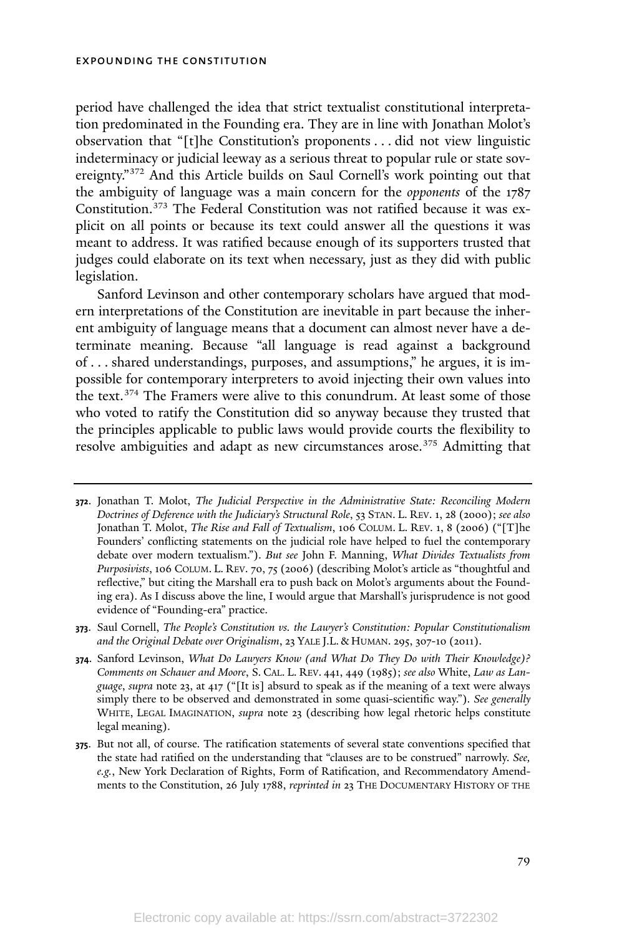period have challenged the idea that strict textualist constitutional interpretation predominated in the Founding era. They are in line with Jonathan Molot's observation that "[t]he Constitution's proponents . . . did not view linguistic indeterminacy or judicial leeway as a serious threat to popular rule or state sovereignty."<sup>372</sup> And this Article builds on Saul Cornell's work pointing out that the ambiguity of language was a main concern for the *opponents* of the 1787 Constitution. <sup>373</sup> The Federal Constitution was not ratified because it was explicit on all points or because its text could answer all the questions it was meant to address. It was ratified because enough of its supporters trusted that judges could elaborate on its text when necessary, just as they did with public legislation.

Sanford Levinson and other contemporary scholars have argued that modern interpretations of the Constitution are inevitable in part because the inherent ambiguity of language means that a document can almost never have a determinate meaning. Because "all language is read against a background of . . . shared understandings, purposes, and assumptions," he argues, it is impossible for contemporary interpreters to avoid injecting their own values into the text. <sup>374</sup> The Framers were alive to this conundrum. At least some of those who voted to ratify the Constitution did so anyway because they trusted that the principles applicable to public laws would provide courts the flexibility to resolve ambiguities and adapt as new circumstances arose.<sup>375</sup> Admitting that

**<sup>372</sup>**. Jonathan T. Molot, *The Judicial Perspective in the Administrative State: Reconciling Modern Doctrines of Deference with the Judiciary's Structural Role*, 53 STAN. L. REV. 1, 28 (2000); *see also* Jonathan T. Molot, *The Rise and Fall of Textualism*, 106 COLUM. L. REV. 1, 8 (2006) ("[T]he Founders' conflicting statements on the judicial role have helped to fuel the contemporary debate over modern textualism."). *But see* John F. Manning, *What Divides Textualists from Purposivists*, 106 COLUM. L. REV. 70, 75 (2006) (describing Molot's article as "thoughtful and reflective," but citing the Marshall era to push back on Molot's arguments about the Founding era). As I discuss above the line, I would argue that Marshall's jurisprudence is not good evidence of "Founding-era" practice.

**<sup>373</sup>**. Saul Cornell, *The People's Constitution vs. the Lawyer's Constitution: Popular Constitutionalism and the Original Debate over Originalism*, 23 YALE J.L. & HUMAN. 295, 307-10 (2011).

**<sup>374</sup>**. Sanford Levinson, *What Do Lawyers Know (and What Do They Do with Their Knowledge)? Comments on Schauer and Moore*, S. CAL. L. REV. 441, 449 (1985); *see also* White, *Law as Language*, *supra* note 23, at 417 ("[It is] absurd to speak as if the meaning of a text were always simply there to be observed and demonstrated in some quasi-scientific way."). *See generally* WHITE, LEGAL IMAGINATION, *supra* note 23 (describing how legal rhetoric helps constitute legal meaning).

**<sup>375</sup>**. But not all, of course. The ratification statements of several state conventions specified that the state had ratified on the understanding that "clauses are to be construed" narrowly. *See, e.g.*, New York Declaration of Rights, Form of Ratification, and Recommendatory Amendments to the Constitution, 26 July 1788, *reprinted in* 23 THE DOCUMENTARY HISTORY OF THE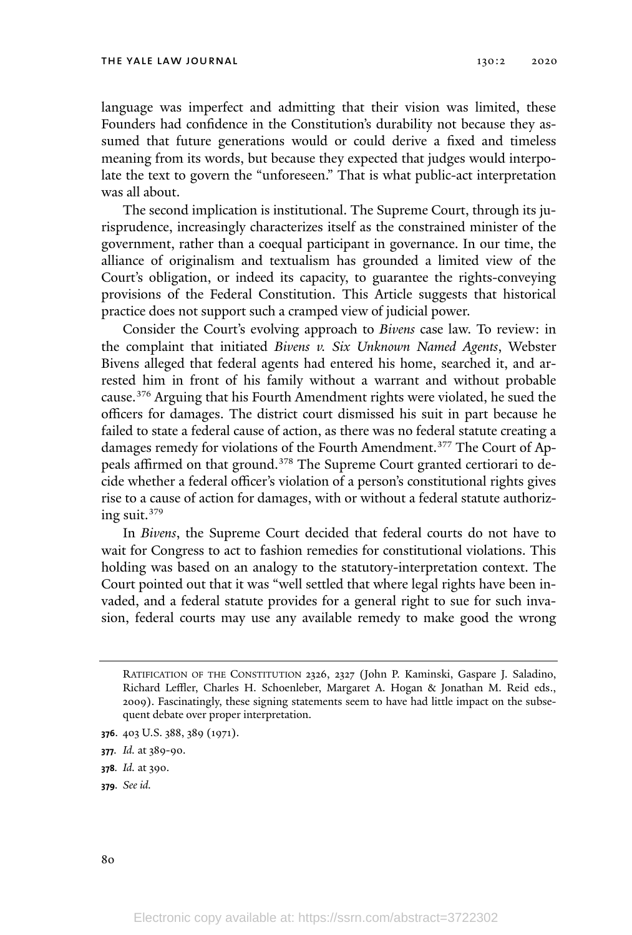language was imperfect and admitting that their vision was limited, these Founders had confidence in the Constitution's durability not because they assumed that future generations would or could derive a fixed and timeless meaning from its words, but because they expected that judges would interpolate the text to govern the "unforeseen." That is what public-act interpretation was all about.

The second implication is institutional. The Supreme Court, through its jurisprudence, increasingly characterizes itself as the constrained minister of the government, rather than a coequal participant in governance. In our time, the alliance of originalism and textualism has grounded a limited view of the Court's obligation, or indeed its capacity, to guarantee the rights-conveying provisions of the Federal Constitution. This Article suggests that historical practice does not support such a cramped view of judicial power.

Consider the Court's evolving approach to *Bivens* case law. To review: in the complaint that initiated *Bivens v. Six Unknown Named Agents*, Webster Bivens alleged that federal agents had entered his home, searched it, and arrested him in front of his family without a warrant and without probable cause. <sup>376</sup> Arguing that his Fourth Amendment rights were violated, he sued the officers for damages. The district court dismissed his suit in part because he failed to state a federal cause of action, as there was no federal statute creating a damages remedy for violations of the Fourth Amendment.<sup>377</sup> The Court of Appeals affirmed on that ground.<sup>378</sup> The Supreme Court granted certiorari to decide whether a federal officer's violation of a person's constitutional rights gives rise to a cause of action for damages, with or without a federal statute authorizing suit.<sup>379</sup>

In *Bivens*, the Supreme Court decided that federal courts do not have to wait for Congress to act to fashion remedies for constitutional violations. This holding was based on an analogy to the statutory-interpretation context. The Court pointed out that it was "well settled that where legal rights have been invaded, and a federal statute provides for a general right to sue for such invasion, federal courts may use any available remedy to make good the wrong

RATIFICATION OF THE CONSTITUTION 2326, 2327 (John P. Kaminski, Gaspare J. Saladino, Richard Leffler, Charles H. Schoenleber, Margaret A. Hogan & Jonathan M. Reid eds., 2009). Fascinatingly, these signing statements seem to have had little impact on the subsequent debate over proper interpretation.

**<sup>376</sup>**. 403 U.S. 388, 389 (1971).

**<sup>377</sup>***. Id.* at 389-90.

**<sup>378</sup>***. Id.* at 390.

**<sup>379</sup>***. See id.*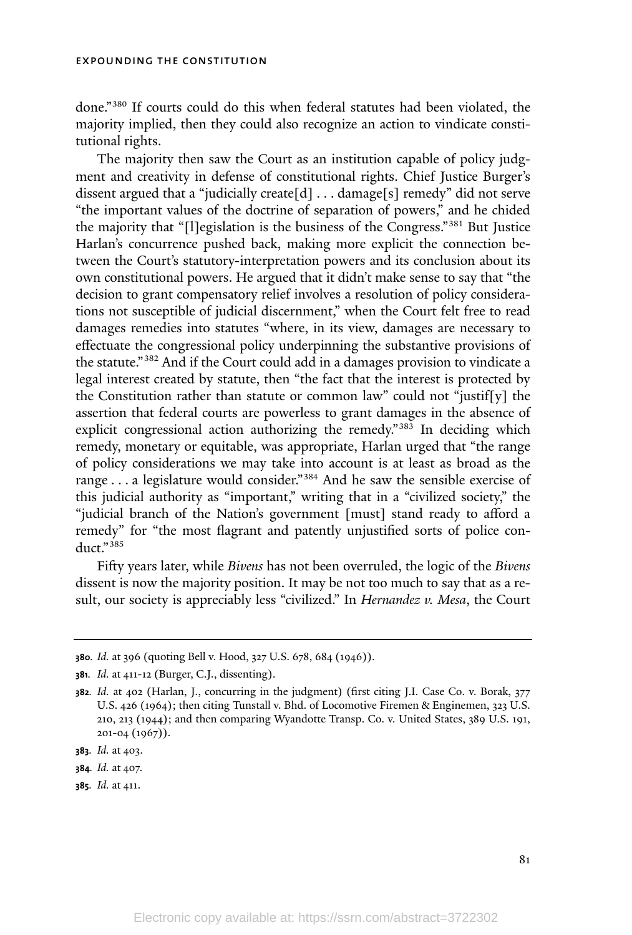done." <sup>380</sup> If courts could do this when federal statutes had been violated, the majority implied, then they could also recognize an action to vindicate constitutional rights.

The majority then saw the Court as an institution capable of policy judgment and creativity in defense of constitutional rights. Chief Justice Burger's dissent argued that a "judicially create[d] . . . damage[s] remedy" did not serve "the important values of the doctrine of separation of powers," and he chided the majority that "[l]egislation is the business of the Congress."<sup>381</sup> But Justice Harlan's concurrence pushed back, making more explicit the connection between the Court's statutory-interpretation powers and its conclusion about its own constitutional powers. He argued that it didn't make sense to say that "the decision to grant compensatory relief involves a resolution of policy considerations not susceptible of judicial discernment," when the Court felt free to read damages remedies into statutes "where, in its view, damages are necessary to effectuate the congressional policy underpinning the substantive provisions of the statute."<sup>382</sup> And if the Court could add in a damages provision to vindicate a legal interest created by statute, then "the fact that the interest is protected by the Constitution rather than statute or common law" could not "justif[y] the assertion that federal courts are powerless to grant damages in the absence of explicit congressional action authorizing the remedy."<sup>383</sup> In deciding which remedy, monetary or equitable, was appropriate, Harlan urged that "the range of policy considerations we may take into account is at least as broad as the range . . . a legislature would consider."<sup>384</sup> And he saw the sensible exercise of this judicial authority as "important," writing that in a "civilized society," the "judicial branch of the Nation's government [must] stand ready to afford a remedy" for "the most flagrant and patently unjustified sorts of police conduct." 385

Fifty years later, while *Bivens* has not been overruled, the logic of the *Bivens* dissent is now the majority position. It may be not too much to say that as a result, our society is appreciably less "civilized." In *Hernandez v. Mesa*, the Court

**<sup>380</sup>***. Id.* at 396 (quoting Bell v. Hood, 327 U.S. 678, 684 (1946)).

**<sup>381</sup>***. Id.* at 411-12 (Burger, C.J., dissenting).

**<sup>382</sup>***. Id.* at 402 (Harlan, J., concurring in the judgment) (first citing J.I. Case Co. v. Borak, 377 U.S. 426 (1964); then citing Tunstall v. Bhd. of Locomotive Firemen & Enginemen, 323 U.S. 210, 213 (1944); and then comparing Wyandotte Transp. Co. v. United States, 389 U.S. 191, 201-04 (1967)).

**<sup>383</sup>***. Id.* at 403.

**<sup>384</sup>***. Id.* at 407.

**<sup>385</sup>***. Id.* at 411.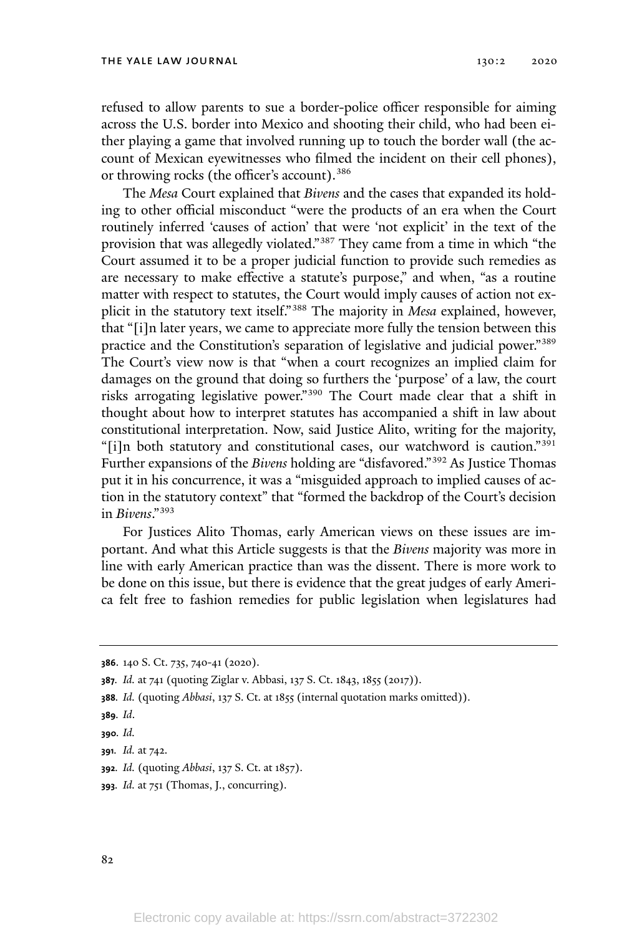refused to allow parents to sue a border-police officer responsible for aiming across the U.S. border into Mexico and shooting their child, who had been either playing a game that involved running up to touch the border wall (the account of Mexican eyewitnesses who filmed the incident on their cell phones), or throwing rocks (the officer's account).<sup>386</sup>

The *Mesa* Court explained that *Bivens* and the cases that expanded its holding to other official misconduct "were the products of an era when the Court routinely inferred 'causes of action' that were 'not explicit' in the text of the provision that was allegedly violated." <sup>387</sup> They came from a time in which "the Court assumed it to be a proper judicial function to provide such remedies as are necessary to make effective a statute's purpose," and when, "as a routine matter with respect to statutes, the Court would imply causes of action not explicit in the statutory text itself."<sup>388</sup> The majority in *Mesa* explained, however, that "[i]n later years, we came to appreciate more fully the tension between this practice and the Constitution's separation of legislative and judicial power." 389 The Court's view now is that "when a court recognizes an implied claim for damages on the ground that doing so furthers the 'purpose' of a law, the court risks arrogating legislative power." <sup>390</sup> The Court made clear that a shift in thought about how to interpret statutes has accompanied a shift in law about constitutional interpretation. Now, said Justice Alito, writing for the majority, "[i]n both statutory and constitutional cases, our watchword is caution." 391 Further expansions of the *Bivens* holding are "disfavored." <sup>392</sup> As Justice Thomas put it in his concurrence, it was a "misguided approach to implied causes of action in the statutory context" that "formed the backdrop of the Court's decision in *Bivens*."<sup>393</sup>

For Justices Alito Thomas, early American views on these issues are important. And what this Article suggests is that the *Bivens* majority was more in line with early American practice than was the dissent. There is more work to be done on this issue, but there is evidence that the great judges of early America felt free to fashion remedies for public legislation when legislatures had

**<sup>386</sup>**. 140 S. Ct. 735, 740-41 (2020).

**<sup>387</sup>***. Id.* at 741 (quoting Ziglar v. Abbasi, 137 S. Ct. 1843, 1855 (2017)).

**<sup>388</sup>***. Id.* (quoting *Abbasi*, 137 S. Ct. at 1855 (internal quotation marks omitted)).

**<sup>389</sup>***. Id*.

**<sup>390</sup>***. Id.*

**<sup>391</sup>***. Id.* at 742.

**<sup>392</sup>***. Id.* (quoting *Abbasi*, 137 S. Ct. at 1857).

**<sup>393</sup>***. Id.* at 751 (Thomas, J., concurring).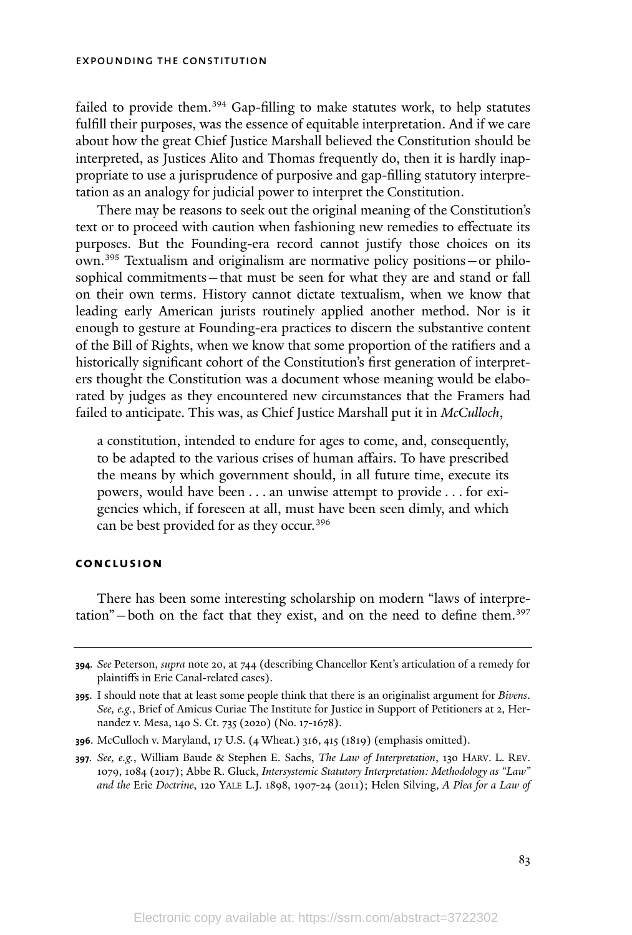failed to provide them.<sup>394</sup> Gap-filling to make statutes work, to help statutes fulfill their purposes, was the essence of equitable interpretation. And if we care about how the great Chief Justice Marshall believed the Constitution should be interpreted, as Justices Alito and Thomas frequently do, then it is hardly inappropriate to use a jurisprudence of purposive and gap-filling statutory interpretation as an analogy for judicial power to interpret the Constitution.

There may be reasons to seek out the original meaning of the Constitution's text or to proceed with caution when fashioning new remedies to effectuate its purposes. But the Founding-era record cannot justify those choices on its own.<sup>395</sup> Textualism and originalism are normative policy positions—or philosophical commitments—that must be seen for what they are and stand or fall on their own terms. History cannot dictate textualism, when we know that leading early American jurists routinely applied another method. Nor is it enough to gesture at Founding-era practices to discern the substantive content of the Bill of Rights, when we know that some proportion of the ratifiers and a historically significant cohort of the Constitution's first generation of interpreters thought the Constitution was a document whose meaning would be elaborated by judges as they encountered new circumstances that the Framers had failed to anticipate. This was, as Chief Justice Marshall put it in *McCulloch*,

a constitution, intended to endure for ages to come, and, consequently, to be adapted to the various crises of human affairs. To have prescribed the means by which government should, in all future time, execute its powers, would have been . . . an unwise attempt to provide . . . for exigencies which, if foreseen at all, must have been seen dimly, and which can be best provided for as they occur.<sup>396</sup>

#### **conclusion**

There has been some interesting scholarship on modern "laws of interpretation" $-$  both on the fact that they exist, and on the need to define them.<sup>397</sup>

**<sup>394</sup>***. See* Peterson, *supra* note 20, at 744 (describing Chancellor Kent's articulation of a remedy for plaintiffs in Erie Canal-related cases).

**<sup>395</sup>**. I should note that at least some people think that there is an originalist argument for *Bivens*. *See, e.g.*, Brief of Amicus Curiae The Institute for Justice in Support of Petitioners at 2, Hernandez v. Mesa, 140 S. Ct. 735 (2020) (No. 17-1678).

**<sup>396</sup>**. McCulloch v. Maryland, 17 U.S. (4 Wheat.) 316, 415 (1819) (emphasis omitted).

**<sup>397</sup>***. See, e.g.*, William Baude & Stephen E. Sachs, *The Law of Interpretation*, 130 HARV. L. REV. 1079, 1084 (2017); Abbe R. Gluck, *Intersystemic Statutory Interpretation: Methodology as "Law" and the* Erie *Doctrine*, 120 YALE L.J. 1898, 1907-24 (2011); Helen Silving, *A Plea for a Law of*